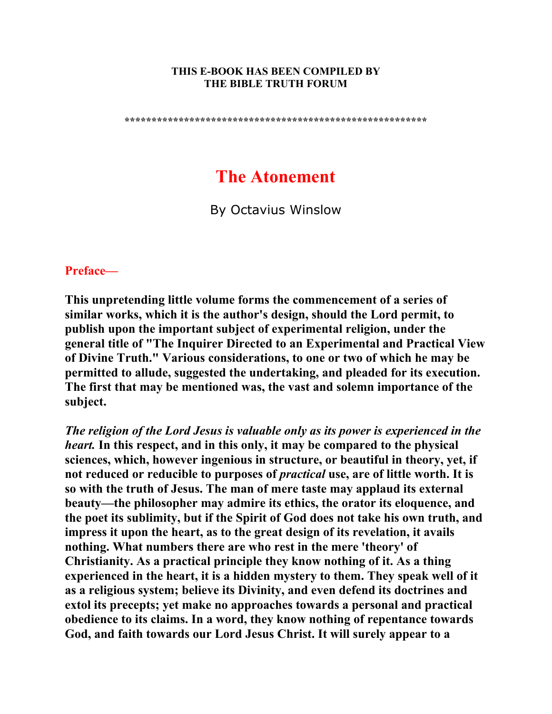#### **THIS E-BOOK HAS BEEN COMPILED BY THE BIBLE TRUTH FORUM**

**\*\*\*\*\*\*\*\*\*\*\*\*\*\*\*\*\*\*\*\*\*\*\*\*\*\*\*\*\*\*\*\*\*\*\*\*\*\*\*\*\*\*\*\*\*\*\*\*\*\*\*\*\*\*\*\*** 

# **The Atonement**

By Octavius Winslow

# **Preface—**

**This unpretending little volume forms the commencement of a series of similar works, which it is the author's design, should the Lord permit, to publish upon the important subject of experimental religion, under the general title of "The Inquirer Directed to an Experimental and Practical View of Divine Truth." Various considerations, to one or two of which he may be permitted to allude, suggested the undertaking, and pleaded for its execution. The first that may be mentioned was, the vast and solemn importance of the subject.** 

*The religion of the Lord Jesus is valuable only as its power is experienced in the heart.* **In this respect, and in this only, it may be compared to the physical sciences, which, however ingenious in structure, or beautiful in theory, yet, if not reduced or reducible to purposes of** *practical* **use, are of little worth. It is so with the truth of Jesus. The man of mere taste may applaud its external beauty—the philosopher may admire its ethics, the orator its eloquence, and the poet its sublimity, but if the Spirit of God does not take his own truth, and impress it upon the heart, as to the great design of its revelation, it avails nothing. What numbers there are who rest in the mere 'theory' of Christianity. As a practical principle they know nothing of it. As a thing experienced in the heart, it is a hidden mystery to them. They speak well of it as a religious system; believe its Divinity, and even defend its doctrines and extol its precepts; yet make no approaches towards a personal and practical obedience to its claims. In a word, they know nothing of repentance towards God, and faith towards our Lord Jesus Christ. It will surely appear to a**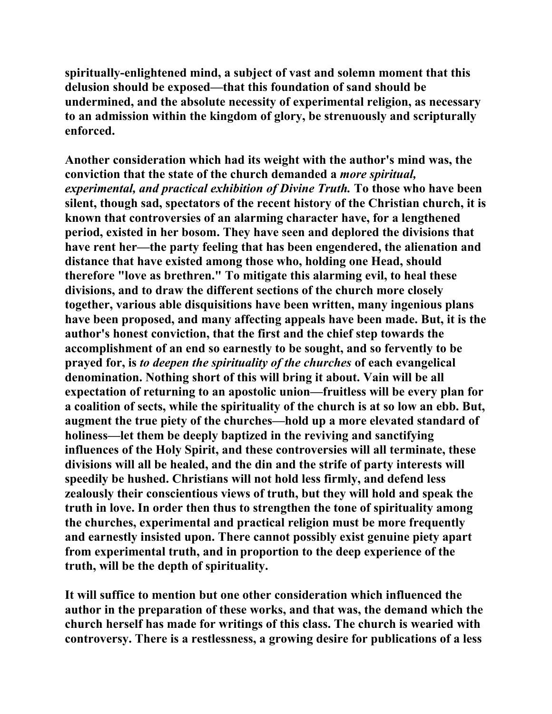**spiritually-enlightened mind, a subject of vast and solemn moment that this delusion should be exposed—that this foundation of sand should be undermined, and the absolute necessity of experimental religion, as necessary to an admission within the kingdom of glory, be strenuously and scripturally enforced.** 

**Another consideration which had its weight with the author's mind was, the conviction that the state of the church demanded a** *more spiritual, experimental, and practical exhibition of Divine Truth.* **To those who have been silent, though sad, spectators of the recent history of the Christian church, it is known that controversies of an alarming character have, for a lengthened period, existed in her bosom. They have seen and deplored the divisions that have rent her—the party feeling that has been engendered, the alienation and distance that have existed among those who, holding one Head, should therefore "love as brethren." To mitigate this alarming evil, to heal these divisions, and to draw the different sections of the church more closely together, various able disquisitions have been written, many ingenious plans have been proposed, and many affecting appeals have been made. But, it is the author's honest conviction, that the first and the chief step towards the accomplishment of an end so earnestly to be sought, and so fervently to be prayed for, is** *to deepen the spirituality of the churches* **of each evangelical denomination. Nothing short of this will bring it about. Vain will be all expectation of returning to an apostolic union—fruitless will be every plan for a coalition of sects, while the spirituality of the church is at so low an ebb. But, augment the true piety of the churches—hold up a more elevated standard of holiness—let them be deeply baptized in the reviving and sanctifying influences of the Holy Spirit, and these controversies will all terminate, these divisions will all be healed, and the din and the strife of party interests will speedily be hushed. Christians will not hold less firmly, and defend less zealously their conscientious views of truth, but they will hold and speak the truth in love. In order then thus to strengthen the tone of spirituality among the churches, experimental and practical religion must be more frequently and earnestly insisted upon. There cannot possibly exist genuine piety apart from experimental truth, and in proportion to the deep experience of the truth, will be the depth of spirituality.** 

**It will suffice to mention but one other consideration which influenced the author in the preparation of these works, and that was, the demand which the church herself has made for writings of this class. The church is wearied with controversy. There is a restlessness, a growing desire for publications of a less**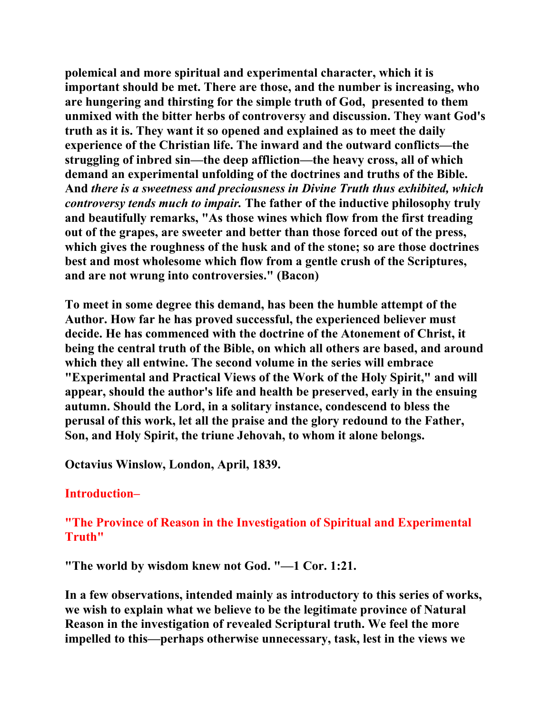**polemical and more spiritual and experimental character, which it is important should be met. There are those, and the number is increasing, who are hungering and thirsting for the simple truth of God, presented to them unmixed with the bitter herbs of controversy and discussion. They want God's truth as it is. They want it so opened and explained as to meet the daily experience of the Christian life. The inward and the outward conflicts—the struggling of inbred sin—the deep affliction—the heavy cross, all of which demand an experimental unfolding of the doctrines and truths of the Bible. And** *there is a sweetness and preciousness in Divine Truth thus exhibited, which controversy tends much to impair.* **The father of the inductive philosophy truly and beautifully remarks, "As those wines which flow from the first treading out of the grapes, are sweeter and better than those forced out of the press, which gives the roughness of the husk and of the stone; so are those doctrines best and most wholesome which flow from a gentle crush of the Scriptures, and are not wrung into controversies." (Bacon)** 

**To meet in some degree this demand, has been the humble attempt of the Author. How far he has proved successful, the experienced believer must decide. He has commenced with the doctrine of the Atonement of Christ, it being the central truth of the Bible, on which all others are based, and around which they all entwine. The second volume in the series will embrace "Experimental and Practical Views of the Work of the Holy Spirit," and will appear, should the author's life and health be preserved, early in the ensuing autumn. Should the Lord, in a solitary instance, condescend to bless the perusal of this work, let all the praise and the glory redound to the Father, Son, and Holy Spirit, the triune Jehovah, to whom it alone belongs.** 

**Octavius Winslow, London, April, 1839.** 

## **Introduction–**

# **"The Province of Reason in the Investigation of Spiritual and Experimental Truth"**

**"The world by wisdom knew not God. "—1 Cor. 1:21.** 

**In a few observations, intended mainly as introductory to this series of works, we wish to explain what we believe to be the legitimate province of Natural Reason in the investigation of revealed Scriptural truth. We feel the more impelled to this—perhaps otherwise unnecessary, task, lest in the views we**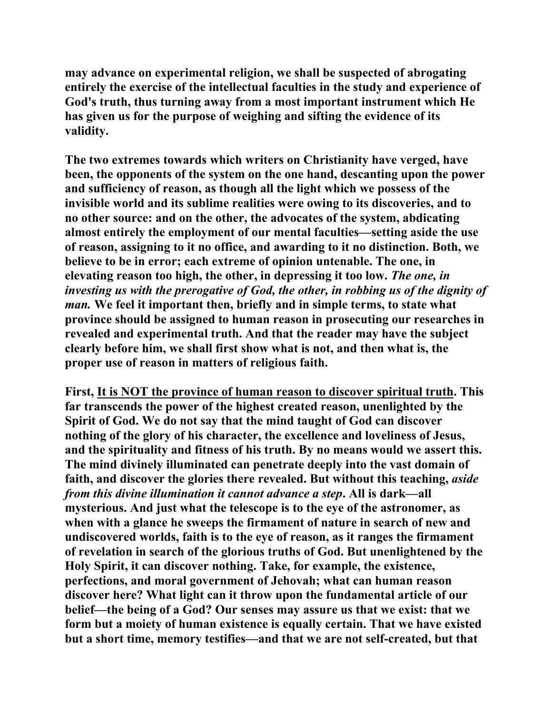**may advance on experimental religion, we shall be suspected of abrogating entirely the exercise of the intellectual faculties in the study and experience of God's truth, thus turning away from a most important instrument which He has given us for the purpose of weighing and sifting the evidence of its validity.** 

**The two extremes towards which writers on Christianity have verged, have been, the opponents of the system on the one hand, descanting upon the power and sufficiency of reason, as though all the light which we possess of the invisible world and its sublime realities were owing to its discoveries, and to no other source: and on the other, the advocates of the system, abdicating almost entirely the employment of our mental faculties—setting aside the use of reason, assigning to it no office, and awarding to it no distinction. Both, we believe to be in error; each extreme of opinion untenable. The one, in elevating reason too high, the other, in depressing it too low.** *The one, in investing us with the prerogative of God, the other, in robbing us of the dignity of man.* **We feel it important then, briefly and in simple terms, to state what province should be assigned to human reason in prosecuting our researches in revealed and experimental truth. And that the reader may have the subject clearly before him, we shall first show what is not, and then what is, the proper use of reason in matters of religious faith.** 

**First, It is NOT the province of human reason to discover spiritual truth. This far transcends the power of the highest created reason, unenlighted by the Spirit of God. We do not say that the mind taught of God can discover nothing of the glory of his character, the excellence and loveliness of Jesus, and the spirituality and fitness of his truth. By no means would we assert this. The mind divinely illuminated can penetrate deeply into the vast domain of faith, and discover the glories there revealed. But without this teaching,** *aside from this divine illumination it cannot advance a step***. All is dark—all mysterious. And just what the telescope is to the eye of the astronomer, as when with a glance he sweeps the firmament of nature in search of new and undiscovered worlds, faith is to the eye of reason, as it ranges the firmament of revelation in search of the glorious truths of God. But unenlightened by the Holy Spirit, it can discover nothing. Take, for example, the existence, perfections, and moral government of Jehovah; what can human reason discover here? What light can it throw upon the fundamental article of our belief—the being of a God? Our senses may assure us that we exist: that we form but a moiety of human existence is equally certain. That we have existed but a short time, memory testifies—and that we are not self-created, but that**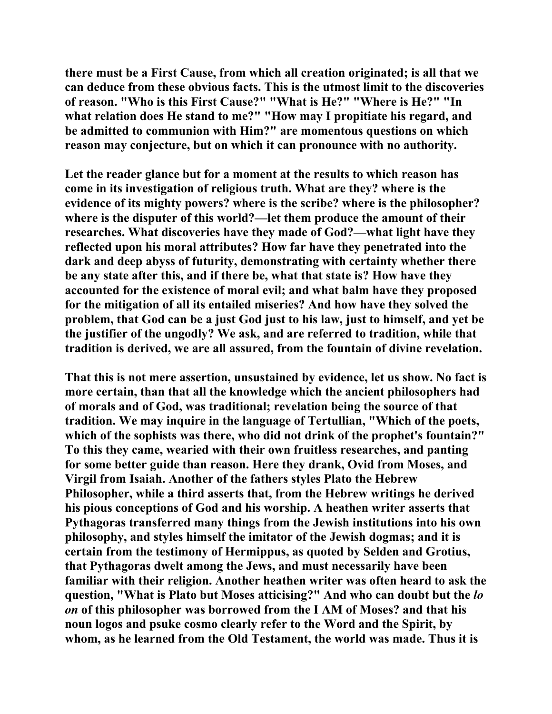**there must be a First Cause, from which all creation originated; is all that we can deduce from these obvious facts. This is the utmost limit to the discoveries of reason. "Who is this First Cause?" "What is He?" "Where is He?" "In what relation does He stand to me?" "How may I propitiate his regard, and be admitted to communion with Him?" are momentous questions on which reason may conjecture, but on which it can pronounce with no authority.** 

**Let the reader glance but for a moment at the results to which reason has come in its investigation of religious truth. What are they? where is the evidence of its mighty powers? where is the scribe? where is the philosopher? where is the disputer of this world?—let them produce the amount of their researches. What discoveries have they made of God?—what light have they reflected upon his moral attributes? How far have they penetrated into the dark and deep abyss of futurity, demonstrating with certainty whether there be any state after this, and if there be, what that state is? How have they accounted for the existence of moral evil; and what balm have they proposed for the mitigation of all its entailed miseries? And how have they solved the problem, that God can be a just God just to his law, just to himself, and yet be the justifier of the ungodly? We ask, and are referred to tradition, while that tradition is derived, we are all assured, from the fountain of divine revelation.** 

**That this is not mere assertion, unsustained by evidence, let us show. No fact is more certain, than that all the knowledge which the ancient philosophers had of morals and of God, was traditional; revelation being the source of that tradition. We may inquire in the language of Tertullian, "Which of the poets, which of the sophists was there, who did not drink of the prophet's fountain?" To this they came, wearied with their own fruitless researches, and panting for some better guide than reason. Here they drank, Ovid from Moses, and Virgil from Isaiah. Another of the fathers styles Plato the Hebrew Philosopher, while a third asserts that, from the Hebrew writings he derived his pious conceptions of God and his worship. A heathen writer asserts that Pythagoras transferred many things from the Jewish institutions into his own philosophy, and styles himself the imitator of the Jewish dogmas; and it is certain from the testimony of Hermippus, as quoted by Selden and Grotius, that Pythagoras dwelt among the Jews, and must necessarily have been familiar with their religion. Another heathen writer was often heard to ask the question, "What is Plato but Moses atticising?" And who can doubt but the** *lo on* **of this philosopher was borrowed from the I AM of Moses? and that his noun logos and psuke cosmo clearly refer to the Word and the Spirit, by whom, as he learned from the Old Testament, the world was made. Thus it is**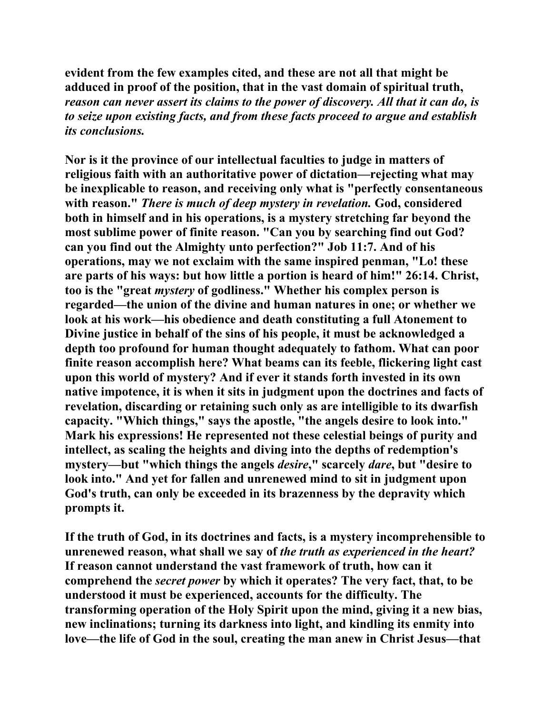**evident from the few examples cited, and these are not all that might be adduced in proof of the position, that in the vast domain of spiritual truth,**  *reason can never assert its claims to the power of discovery. All that it can do, is to seize upon existing facts, and from these facts proceed to argue and establish its conclusions.*

**Nor is it the province of our intellectual faculties to judge in matters of religious faith with an authoritative power of dictation—rejecting what may be inexplicable to reason, and receiving only what is "perfectly consentaneous with reason."** *There is much of deep mystery in revelation.* **God, considered both in himself and in his operations, is a mystery stretching far beyond the most sublime power of finite reason. "Can you by searching find out God? can you find out the Almighty unto perfection?" Job 11:7. And of his operations, may we not exclaim with the same inspired penman, "Lo! these are parts of his ways: but how little a portion is heard of him!" 26:14. Christ, too is the "great** *mystery* **of godliness." Whether his complex person is regarded—the union of the divine and human natures in one; or whether we look at his work—his obedience and death constituting a full Atonement to Divine justice in behalf of the sins of his people, it must be acknowledged a depth too profound for human thought adequately to fathom. What can poor finite reason accomplish here? What beams can its feeble, flickering light cast upon this world of mystery? And if ever it stands forth invested in its own native impotence, it is when it sits in judgment upon the doctrines and facts of revelation, discarding or retaining such only as are intelligible to its dwarfish capacity. "Which things," says the apostle, "the angels desire to look into." Mark his expressions! He represented not these celestial beings of purity and intellect, as scaling the heights and diving into the depths of redemption's mystery—but "which things the angels** *desire***," scarcely** *dare***, but "desire to look into." And yet for fallen and unrenewed mind to sit in judgment upon God's truth, can only be exceeded in its brazenness by the depravity which prompts it.** 

**If the truth of God, in its doctrines and facts, is a mystery incomprehensible to unrenewed reason, what shall we say of** *the truth as experienced in the heart?* **If reason cannot understand the vast framework of truth, how can it comprehend the** *secret power* **by which it operates? The very fact, that, to be understood it must be experienced, accounts for the difficulty. The transforming operation of the Holy Spirit upon the mind, giving it a new bias, new inclinations; turning its darkness into light, and kindling its enmity into love—the life of God in the soul, creating the man anew in Christ Jesus—that**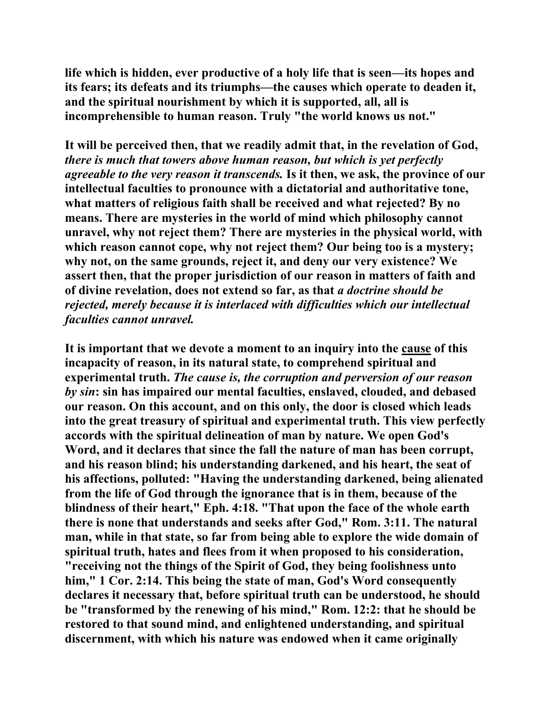**life which is hidden, ever productive of a holy life that is seen—its hopes and its fears; its defeats and its triumphs—the causes which operate to deaden it, and the spiritual nourishment by which it is supported, all, all is incomprehensible to human reason. Truly "the world knows us not."** 

**It will be perceived then, that we readily admit that, in the revelation of God,**  *there is much that towers above human reason, but which is yet perfectly agreeable to the very reason it transcends.* **Is it then, we ask, the province of our intellectual faculties to pronounce with a dictatorial and authoritative tone, what matters of religious faith shall be received and what rejected? By no means. There are mysteries in the world of mind which philosophy cannot unravel, why not reject them? There are mysteries in the physical world, with which reason cannot cope, why not reject them? Our being too is a mystery; why not, on the same grounds, reject it, and deny our very existence? We assert then, that the proper jurisdiction of our reason in matters of faith and of divine revelation, does not extend so far, as that** *a doctrine should be rejected, merely because it is interlaced with difficulties which our intellectual faculties cannot unravel.*

**It is important that we devote a moment to an inquiry into the cause of this incapacity of reason, in its natural state, to comprehend spiritual and experimental truth.** *The cause is, the corruption and perversion of our reason by sin***: sin has impaired our mental faculties, enslaved, clouded, and debased our reason. On this account, and on this only, the door is closed which leads into the great treasury of spiritual and experimental truth. This view perfectly accords with the spiritual delineation of man by nature. We open God's Word, and it declares that since the fall the nature of man has been corrupt, and his reason blind; his understanding darkened, and his heart, the seat of his affections, polluted: "Having the understanding darkened, being alienated from the life of God through the ignorance that is in them, because of the blindness of their heart," Eph. 4:18. "That upon the face of the whole earth there is none that understands and seeks after God," Rom. 3:11. The natural man, while in that state, so far from being able to explore the wide domain of spiritual truth, hates and flees from it when proposed to his consideration, "receiving not the things of the Spirit of God, they being foolishness unto him," 1 Cor. 2:14. This being the state of man, God's Word consequently declares it necessary that, before spiritual truth can be understood, he should be "transformed by the renewing of his mind," Rom. 12:2: that he should be restored to that sound mind, and enlightened understanding, and spiritual discernment, with which his nature was endowed when it came originally**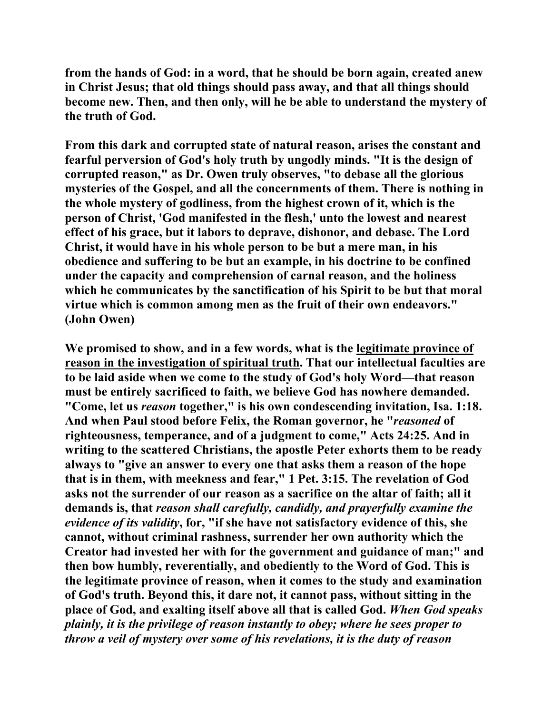**from the hands of God: in a word, that he should be born again, created anew in Christ Jesus; that old things should pass away, and that all things should become new. Then, and then only, will he be able to understand the mystery of the truth of God.** 

**From this dark and corrupted state of natural reason, arises the constant and fearful perversion of God's holy truth by ungodly minds. "It is the design of corrupted reason," as Dr. Owen truly observes, "to debase all the glorious mysteries of the Gospel, and all the concernments of them. There is nothing in the whole mystery of godliness, from the highest crown of it, which is the person of Christ, 'God manifested in the flesh,' unto the lowest and nearest effect of his grace, but it labors to deprave, dishonor, and debase. The Lord Christ, it would have in his whole person to be but a mere man, in his obedience and suffering to be but an example, in his doctrine to be confined under the capacity and comprehension of carnal reason, and the holiness which he communicates by the sanctification of his Spirit to be but that moral virtue which is common among men as the fruit of their own endeavors." (John Owen)** 

**We promised to show, and in a few words, what is the legitimate province of reason in the investigation of spiritual truth. That our intellectual faculties are to be laid aside when we come to the study of God's holy Word—that reason must be entirely sacrificed to faith, we believe God has nowhere demanded. "Come, let us** *reason* **together," is his own condescending invitation, Isa. 1:18. And when Paul stood before Felix, the Roman governor, he "***reasoned* **of righteousness, temperance, and of a judgment to come," Acts 24:25. And in writing to the scattered Christians, the apostle Peter exhorts them to be ready always to "give an answer to every one that asks them a reason of the hope that is in them, with meekness and fear," 1 Pet. 3:15. The revelation of God asks not the surrender of our reason as a sacrifice on the altar of faith; all it demands is, that** *reason shall carefully, candidly, and prayerfully examine the evidence of its validity***, for, "if she have not satisfactory evidence of this, she cannot, without criminal rashness, surrender her own authority which the Creator had invested her with for the government and guidance of man;" and then bow humbly, reverentially, and obediently to the Word of God. This is the legitimate province of reason, when it comes to the study and examination of God's truth. Beyond this, it dare not, it cannot pass, without sitting in the place of God, and exalting itself above all that is called God.** *When God speaks plainly, it is the privilege of reason instantly to obey; where he sees proper to throw a veil of mystery over some of his revelations, it is the duty of reason*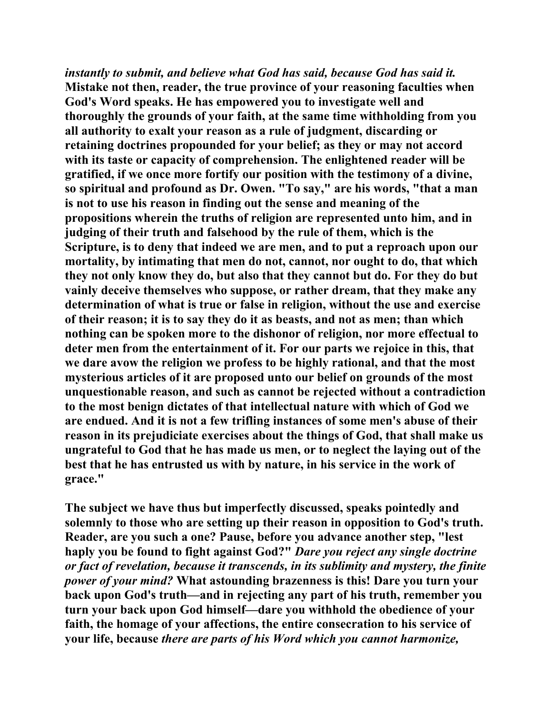*instantly to submit, and believe what God has said, because God has said it.*  **Mistake not then, reader, the true province of your reasoning faculties when God's Word speaks. He has empowered you to investigate well and thoroughly the grounds of your faith, at the same time withholding from you all authority to exalt your reason as a rule of judgment, discarding or retaining doctrines propounded for your belief; as they or may not accord with its taste or capacity of comprehension. The enlightened reader will be gratified, if we once more fortify our position with the testimony of a divine, so spiritual and profound as Dr. Owen. "To say," are his words, "that a man is not to use his reason in finding out the sense and meaning of the propositions wherein the truths of religion are represented unto him, and in judging of their truth and falsehood by the rule of them, which is the Scripture, is to deny that indeed we are men, and to put a reproach upon our mortality, by intimating that men do not, cannot, nor ought to do, that which they not only know they do, but also that they cannot but do. For they do but vainly deceive themselves who suppose, or rather dream, that they make any determination of what is true or false in religion, without the use and exercise of their reason; it is to say they do it as beasts, and not as men; than which nothing can be spoken more to the dishonor of religion, nor more effectual to deter men from the entertainment of it. For our parts we rejoice in this, that we dare avow the religion we profess to be highly rational, and that the most mysterious articles of it are proposed unto our belief on grounds of the most unquestionable reason, and such as cannot be rejected without a contradiction to the most benign dictates of that intellectual nature with which of God we are endued. And it is not a few trifling instances of some men's abuse of their reason in its prejudiciate exercises about the things of God, that shall make us ungrateful to God that he has made us men, or to neglect the laying out of the best that he has entrusted us with by nature, in his service in the work of grace."** 

**The subject we have thus but imperfectly discussed, speaks pointedly and solemnly to those who are setting up their reason in opposition to God's truth. Reader, are you such a one? Pause, before you advance another step, "lest haply you be found to fight against God?"** *Dare you reject any single doctrine or fact of revelation, because it transcends, in its sublimity and mystery, the finite power of your mind?* **What astounding brazenness is this! Dare you turn your back upon God's truth—and in rejecting any part of his truth, remember you turn your back upon God himself—dare you withhold the obedience of your faith, the homage of your affections, the entire consecration to his service of your life, because** *there are parts of his Word which you cannot harmonize,*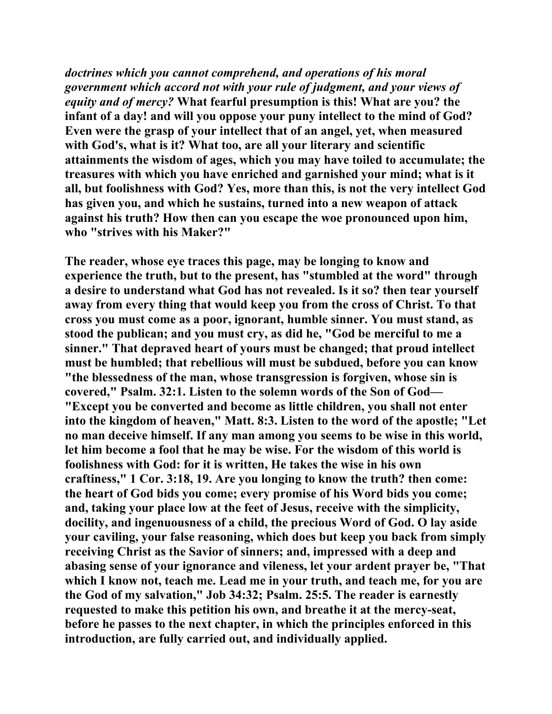*doctrines which you cannot comprehend, and operations of his moral government which accord not with your rule of judgment, and your views of equity and of mercy?* **What fearful presumption is this! What are you? the infant of a day! and will you oppose your puny intellect to the mind of God? Even were the grasp of your intellect that of an angel, yet, when measured with God's, what is it? What too, are all your literary and scientific attainments the wisdom of ages, which you may have toiled to accumulate; the treasures with which you have enriched and garnished your mind; what is it all, but foolishness with God? Yes, more than this, is not the very intellect God has given you, and which he sustains, turned into a new weapon of attack against his truth? How then can you escape the woe pronounced upon him, who "strives with his Maker?"** 

**The reader, whose eye traces this page, may be longing to know and experience the truth, but to the present, has "stumbled at the word" through a desire to understand what God has not revealed. Is it so? then tear yourself away from every thing that would keep you from the cross of Christ. To that cross you must come as a poor, ignorant, humble sinner. You must stand, as stood the publican; and you must cry, as did he, "God be merciful to me a sinner." That depraved heart of yours must be changed; that proud intellect must be humbled; that rebellious will must be subdued, before you can know "the blessedness of the man, whose transgression is forgiven, whose sin is covered," Psalm. 32:1. Listen to the solemn words of the Son of God— "Except you be converted and become as little children, you shall not enter into the kingdom of heaven," Matt. 8:3. Listen to the word of the apostle; "Let no man deceive himself. If any man among you seems to be wise in this world, let him become a fool that he may be wise. For the wisdom of this world is foolishness with God: for it is written, He takes the wise in his own craftiness," 1 Cor. 3:18, 19. Are you longing to know the truth? then come: the heart of God bids you come; every promise of his Word bids you come; and, taking your place low at the feet of Jesus, receive with the simplicity, docility, and ingenuousness of a child, the precious Word of God. O lay aside your caviling, your false reasoning, which does but keep you back from simply receiving Christ as the Savior of sinners; and, impressed with a deep and abasing sense of your ignorance and vileness, let your ardent prayer be, "That which I know not, teach me. Lead me in your truth, and teach me, for you are the God of my salvation," Job 34:32; Psalm. 25:5. The reader is earnestly requested to make this petition his own, and breathe it at the mercy-seat, before he passes to the next chapter, in which the principles enforced in this introduction, are fully carried out, and individually applied.**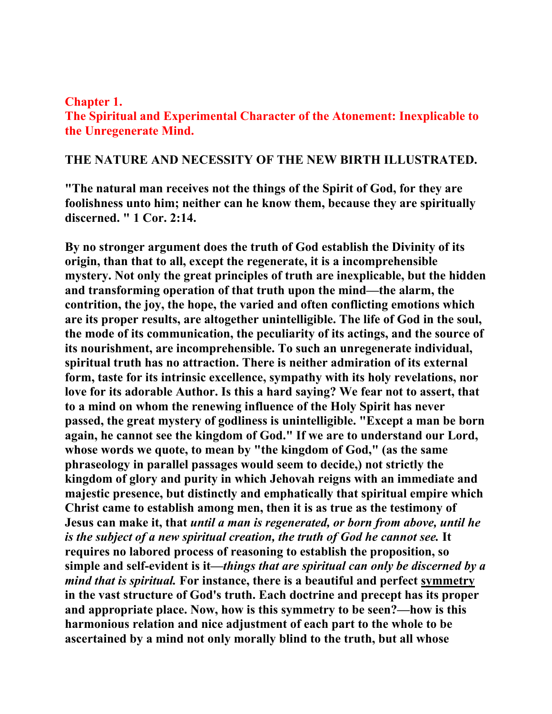#### **Chapter 1.**

**The Spiritual and Experimental Character of the Atonement: Inexplicable to the Unregenerate Mind.**

## **THE NATURE AND NECESSITY OF THE NEW BIRTH ILLUSTRATED.**

**"The natural man receives not the things of the Spirit of God, for they are foolishness unto him; neither can he know them, because they are spiritually discerned. " 1 Cor. 2:14.** 

**By no stronger argument does the truth of God establish the Divinity of its origin, than that to all, except the regenerate, it is a incomprehensible mystery. Not only the great principles of truth are inexplicable, but the hidden and transforming operation of that truth upon the mind—the alarm, the contrition, the joy, the hope, the varied and often conflicting emotions which are its proper results, are altogether unintelligible. The life of God in the soul, the mode of its communication, the peculiarity of its actings, and the source of its nourishment, are incomprehensible. To such an unregenerate individual, spiritual truth has no attraction. There is neither admiration of its external form, taste for its intrinsic excellence, sympathy with its holy revelations, nor love for its adorable Author. Is this a hard saying? We fear not to assert, that to a mind on whom the renewing influence of the Holy Spirit has never passed, the great mystery of godliness is unintelligible. "Except a man be born again, he cannot see the kingdom of God." If we are to understand our Lord, whose words we quote, to mean by "the kingdom of God," (as the same phraseology in parallel passages would seem to decide,) not strictly the kingdom of glory and purity in which Jehovah reigns with an immediate and majestic presence, but distinctly and emphatically that spiritual empire which Christ came to establish among men, then it is as true as the testimony of Jesus can make it, that** *until a man is regenerated, or born from above, until he is the subject of a new spiritual creation, the truth of God he cannot see.* **It requires no labored process of reasoning to establish the proposition, so simple and self-evident is it—***things that are spiritual can only be discerned by a mind that is spiritual.* **For instance, there is a beautiful and perfect symmetry in the vast structure of God's truth. Each doctrine and precept has its proper and appropriate place. Now, how is this symmetry to be seen?—how is this harmonious relation and nice adjustment of each part to the whole to be ascertained by a mind not only morally blind to the truth, but all whose**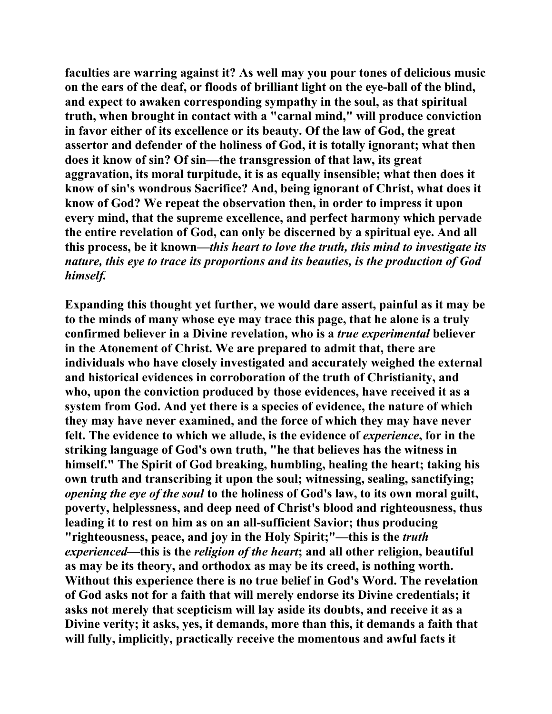**faculties are warring against it? As well may you pour tones of delicious music on the ears of the deaf, or floods of brilliant light on the eye-ball of the blind, and expect to awaken corresponding sympathy in the soul, as that spiritual truth, when brought in contact with a "carnal mind," will produce conviction in favor either of its excellence or its beauty. Of the law of God, the great assertor and defender of the holiness of God, it is totally ignorant; what then does it know of sin? Of sin—the transgression of that law, its great aggravation, its moral turpitude, it is as equally insensible; what then does it know of sin's wondrous Sacrifice? And, being ignorant of Christ, what does it know of God? We repeat the observation then, in order to impress it upon every mind, that the supreme excellence, and perfect harmony which pervade the entire revelation of God, can only be discerned by a spiritual eye. And all this process, be it known—***this heart to love the truth, this mind to investigate its nature, this eye to trace its proportions and its beauties, is the production of God himself.*

**Expanding this thought yet further, we would dare assert, painful as it may be to the minds of many whose eye may trace this page, that he alone is a truly confirmed believer in a Divine revelation, who is a** *true experimental* **believer in the Atonement of Christ. We are prepared to admit that, there are individuals who have closely investigated and accurately weighed the external and historical evidences in corroboration of the truth of Christianity, and who, upon the conviction produced by those evidences, have received it as a system from God. And yet there is a species of evidence, the nature of which they may have never examined, and the force of which they may have never felt. The evidence to which we allude, is the evidence of** *experience***, for in the striking language of God's own truth, "he that believes has the witness in himself." The Spirit of God breaking, humbling, healing the heart; taking his own truth and transcribing it upon the soul; witnessing, sealing, sanctifying;**  *opening the eye of the soul* **to the holiness of God's law, to its own moral guilt, poverty, helplessness, and deep need of Christ's blood and righteousness, thus leading it to rest on him as on an all-sufficient Savior; thus producing "righteousness, peace, and joy in the Holy Spirit;"—this is the** *truth experienced***—this is the** *religion of the heart***; and all other religion, beautiful as may be its theory, and orthodox as may be its creed, is nothing worth. Without this experience there is no true belief in God's Word. The revelation of God asks not for a faith that will merely endorse its Divine credentials; it asks not merely that scepticism will lay aside its doubts, and receive it as a Divine verity; it asks, yes, it demands, more than this, it demands a faith that will fully, implicitly, practically receive the momentous and awful facts it**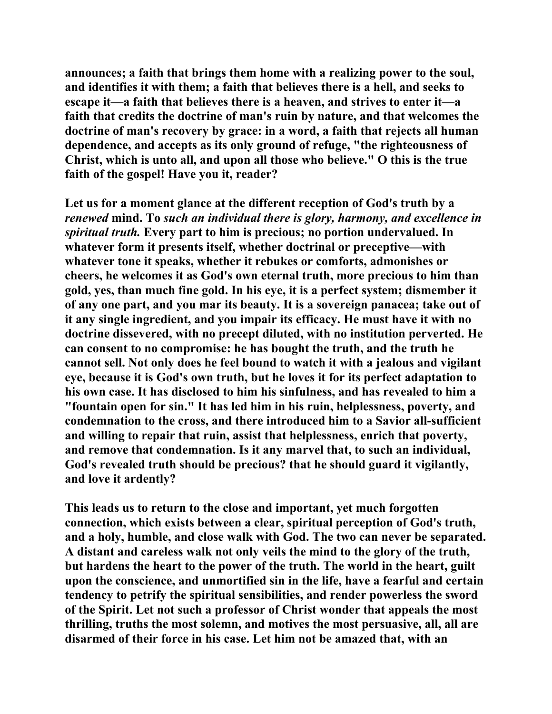**announces; a faith that brings them home with a realizing power to the soul, and identifies it with them; a faith that believes there is a hell, and seeks to escape it—a faith that believes there is a heaven, and strives to enter it—a faith that credits the doctrine of man's ruin by nature, and that welcomes the doctrine of man's recovery by grace: in a word, a faith that rejects all human dependence, and accepts as its only ground of refuge, "the righteousness of Christ, which is unto all, and upon all those who believe." O this is the true faith of the gospel! Have you it, reader?** 

**Let us for a moment glance at the different reception of God's truth by a**  *renewed* **mind. To** *such an individual there is glory, harmony, and excellence in spiritual truth.* **Every part to him is precious; no portion undervalued. In whatever form it presents itself, whether doctrinal or preceptive—with whatever tone it speaks, whether it rebukes or comforts, admonishes or cheers, he welcomes it as God's own eternal truth, more precious to him than gold, yes, than much fine gold. In his eye, it is a perfect system; dismember it of any one part, and you mar its beauty. It is a sovereign panacea; take out of it any single ingredient, and you impair its efficacy. He must have it with no doctrine dissevered, with no precept diluted, with no institution perverted. He can consent to no compromise: he has bought the truth, and the truth he cannot sell. Not only does he feel bound to watch it with a jealous and vigilant eye, because it is God's own truth, but he loves it for its perfect adaptation to his own case. It has disclosed to him his sinfulness, and has revealed to him a "fountain open for sin." It has led him in his ruin, helplessness, poverty, and condemnation to the cross, and there introduced him to a Savior all-sufficient and willing to repair that ruin, assist that helplessness, enrich that poverty, and remove that condemnation. Is it any marvel that, to such an individual, God's revealed truth should be precious? that he should guard it vigilantly, and love it ardently?** 

**This leads us to return to the close and important, yet much forgotten connection, which exists between a clear, spiritual perception of God's truth, and a holy, humble, and close walk with God. The two can never be separated. A distant and careless walk not only veils the mind to the glory of the truth, but hardens the heart to the power of the truth. The world in the heart, guilt upon the conscience, and unmortified sin in the life, have a fearful and certain tendency to petrify the spiritual sensibilities, and render powerless the sword of the Spirit. Let not such a professor of Christ wonder that appeals the most thrilling, truths the most solemn, and motives the most persuasive, all, all are disarmed of their force in his case. Let him not be amazed that, with an**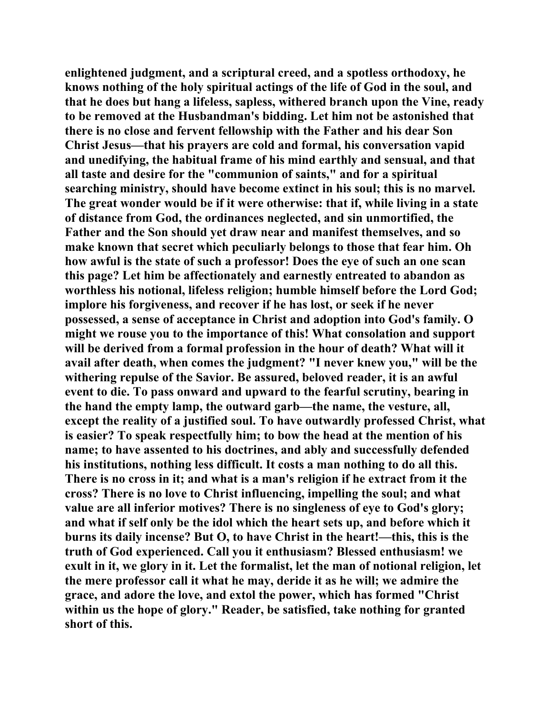**enlightened judgment, and a scriptural creed, and a spotless orthodoxy, he knows nothing of the holy spiritual actings of the life of God in the soul, and that he does but hang a lifeless, sapless, withered branch upon the Vine, ready to be removed at the Husbandman's bidding. Let him not be astonished that there is no close and fervent fellowship with the Father and his dear Son Christ Jesus—that his prayers are cold and formal, his conversation vapid and unedifying, the habitual frame of his mind earthly and sensual, and that all taste and desire for the "communion of saints," and for a spiritual searching ministry, should have become extinct in his soul; this is no marvel. The great wonder would be if it were otherwise: that if, while living in a state of distance from God, the ordinances neglected, and sin unmortified, the Father and the Son should yet draw near and manifest themselves, and so make known that secret which peculiarly belongs to those that fear him. Oh how awful is the state of such a professor! Does the eye of such an one scan this page? Let him be affectionately and earnestly entreated to abandon as worthless his notional, lifeless religion; humble himself before the Lord God; implore his forgiveness, and recover if he has lost, or seek if he never possessed, a sense of acceptance in Christ and adoption into God's family. O might we rouse you to the importance of this! What consolation and support will be derived from a formal profession in the hour of death? What will it avail after death, when comes the judgment? "I never knew you," will be the withering repulse of the Savior. Be assured, beloved reader, it is an awful event to die. To pass onward and upward to the fearful scrutiny, bearing in the hand the empty lamp, the outward garb—the name, the vesture, all, except the reality of a justified soul. To have outwardly professed Christ, what is easier? To speak respectfully him; to bow the head at the mention of his name; to have assented to his doctrines, and ably and successfully defended his institutions, nothing less difficult. It costs a man nothing to do all this. There is no cross in it; and what is a man's religion if he extract from it the cross? There is no love to Christ influencing, impelling the soul; and what value are all inferior motives? There is no singleness of eye to God's glory; and what if self only be the idol which the heart sets up, and before which it burns its daily incense? But O, to have Christ in the heart!—this, this is the truth of God experienced. Call you it enthusiasm? Blessed enthusiasm! we exult in it, we glory in it. Let the formalist, let the man of notional religion, let the mere professor call it what he may, deride it as he will; we admire the grace, and adore the love, and extol the power, which has formed "Christ within us the hope of glory." Reader, be satisfied, take nothing for granted short of this.**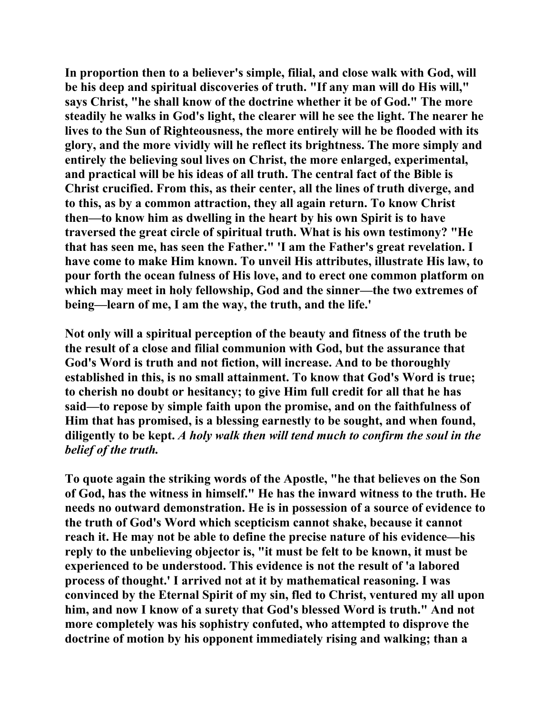**In proportion then to a believer's simple, filial, and close walk with God, will be his deep and spiritual discoveries of truth. "If any man will do His will," says Christ, "he shall know of the doctrine whether it be of God." The more steadily he walks in God's light, the clearer will he see the light. The nearer he lives to the Sun of Righteousness, the more entirely will he be flooded with its glory, and the more vividly will he reflect its brightness. The more simply and entirely the believing soul lives on Christ, the more enlarged, experimental, and practical will be his ideas of all truth. The central fact of the Bible is Christ crucified. From this, as their center, all the lines of truth diverge, and to this, as by a common attraction, they all again return. To know Christ then—to know him as dwelling in the heart by his own Spirit is to have traversed the great circle of spiritual truth. What is his own testimony? "He that has seen me, has seen the Father." 'I am the Father's great revelation. I have come to make Him known. To unveil His attributes, illustrate His law, to pour forth the ocean fulness of His love, and to erect one common platform on which may meet in holy fellowship, God and the sinner—the two extremes of being—learn of me, I am the way, the truth, and the life.'** 

**Not only will a spiritual perception of the beauty and fitness of the truth be the result of a close and filial communion with God, but the assurance that God's Word is truth and not fiction, will increase. And to be thoroughly established in this, is no small attainment. To know that God's Word is true; to cherish no doubt or hesitancy; to give Him full credit for all that he has said—to repose by simple faith upon the promise, and on the faithfulness of Him that has promised, is a blessing earnestly to be sought, and when found, diligently to be kept.** *A holy walk then will tend much to confirm the soul in the belief of the truth.*

**To quote again the striking words of the Apostle, "he that believes on the Son of God, has the witness in himself." He has the inward witness to the truth. He needs no outward demonstration. He is in possession of a source of evidence to the truth of God's Word which scepticism cannot shake, because it cannot reach it. He may not be able to define the precise nature of his evidence—his reply to the unbelieving objector is, "it must be felt to be known, it must be experienced to be understood. This evidence is not the result of 'a labored process of thought.' I arrived not at it by mathematical reasoning. I was convinced by the Eternal Spirit of my sin, fled to Christ, ventured my all upon him, and now I know of a surety that God's blessed Word is truth." And not more completely was his sophistry confuted, who attempted to disprove the doctrine of motion by his opponent immediately rising and walking; than a**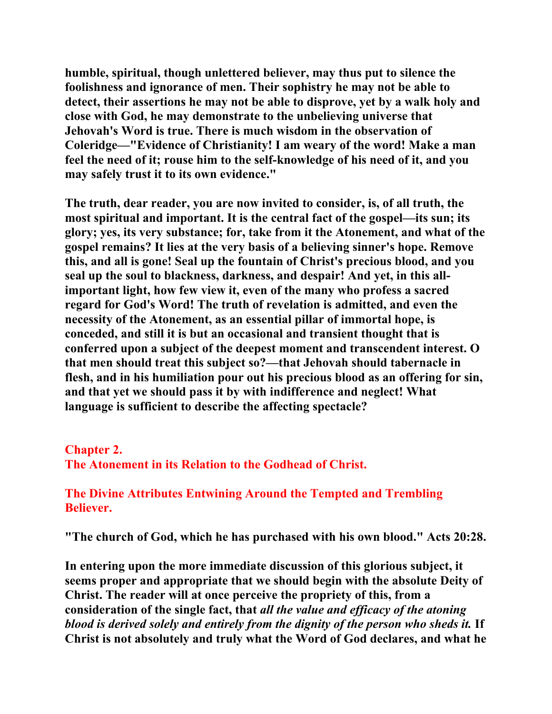**humble, spiritual, though unlettered believer, may thus put to silence the foolishness and ignorance of men. Their sophistry he may not be able to detect, their assertions he may not be able to disprove, yet by a walk holy and close with God, he may demonstrate to the unbelieving universe that Jehovah's Word is true. There is much wisdom in the observation of Coleridge—"Evidence of Christianity! I am weary of the word! Make a man feel the need of it; rouse him to the self-knowledge of his need of it, and you may safely trust it to its own evidence."** 

**The truth, dear reader, you are now invited to consider, is, of all truth, the most spiritual and important. It is the central fact of the gospel—its sun; its glory; yes, its very substance; for, take from it the Atonement, and what of the gospel remains? It lies at the very basis of a believing sinner's hope. Remove this, and all is gone! Seal up the fountain of Christ's precious blood, and you seal up the soul to blackness, darkness, and despair! And yet, in this allimportant light, how few view it, even of the many who profess a sacred regard for God's Word! The truth of revelation is admitted, and even the necessity of the Atonement, as an essential pillar of immortal hope, is conceded, and still it is but an occasional and transient thought that is conferred upon a subject of the deepest moment and transcendent interest. O that men should treat this subject so?—that Jehovah should tabernacle in flesh, and in his humiliation pour out his precious blood as an offering for sin, and that yet we should pass it by with indifference and neglect! What language is sufficient to describe the affecting spectacle?** 

## **Chapter 2.**

**The Atonement in its Relation to the Godhead of Christ.** 

# **The Divine Attributes Entwining Around the Tempted and Trembling Believer.**

**"The church of God, which he has purchased with his own blood." Acts 20:28.** 

**In entering upon the more immediate discussion of this glorious subject, it seems proper and appropriate that we should begin with the absolute Deity of Christ. The reader will at once perceive the propriety of this, from a consideration of the single fact, that** *all the value and efficacy of the atoning blood is derived solely and entirely from the dignity of the person who sheds it.* **If Christ is not absolutely and truly what the Word of God declares, and what he**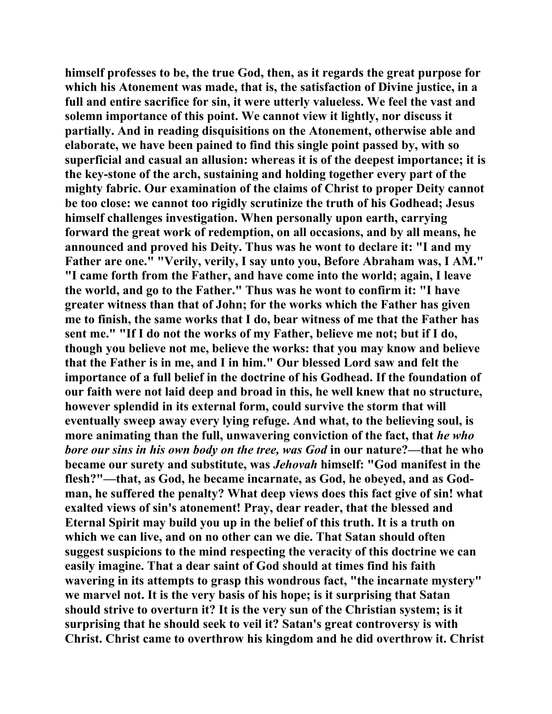**himself professes to be, the true God, then, as it regards the great purpose for which his Atonement was made, that is, the satisfaction of Divine justice, in a full and entire sacrifice for sin, it were utterly valueless. We feel the vast and solemn importance of this point. We cannot view it lightly, nor discuss it partially. And in reading disquisitions on the Atonement, otherwise able and elaborate, we have been pained to find this single point passed by, with so superficial and casual an allusion: whereas it is of the deepest importance; it is the key-stone of the arch, sustaining and holding together every part of the mighty fabric. Our examination of the claims of Christ to proper Deity cannot be too close: we cannot too rigidly scrutinize the truth of his Godhead; Jesus himself challenges investigation. When personally upon earth, carrying forward the great work of redemption, on all occasions, and by all means, he announced and proved his Deity. Thus was he wont to declare it: "I and my Father are one." "Verily, verily, I say unto you, Before Abraham was, I AM." "I came forth from the Father, and have come into the world; again, I leave the world, and go to the Father." Thus was he wont to confirm it: "I have greater witness than that of John; for the works which the Father has given me to finish, the same works that I do, bear witness of me that the Father has sent me." "If I do not the works of my Father, believe me not; but if I do, though you believe not me, believe the works: that you may know and believe that the Father is in me, and I in him." Our blessed Lord saw and felt the importance of a full belief in the doctrine of his Godhead. If the foundation of our faith were not laid deep and broad in this, he well knew that no structure, however splendid in its external form, could survive the storm that will eventually sweep away every lying refuge. And what, to the believing soul, is more animating than the full, unwavering conviction of the fact, that** *he who bore our sins in his own body on the tree, was God* **in our nature?—that he who became our surety and substitute, was** *Jehovah* **himself: "God manifest in the flesh?"—that, as God, he became incarnate, as God, he obeyed, and as Godman, he suffered the penalty? What deep views does this fact give of sin! what exalted views of sin's atonement! Pray, dear reader, that the blessed and Eternal Spirit may build you up in the belief of this truth. It is a truth on which we can live, and on no other can we die. That Satan should often suggest suspicions to the mind respecting the veracity of this doctrine we can easily imagine. That a dear saint of God should at times find his faith wavering in its attempts to grasp this wondrous fact, "the incarnate mystery" we marvel not. It is the very basis of his hope; is it surprising that Satan should strive to overturn it? It is the very sun of the Christian system; is it surprising that he should seek to veil it? Satan's great controversy is with Christ. Christ came to overthrow his kingdom and he did overthrow it. Christ**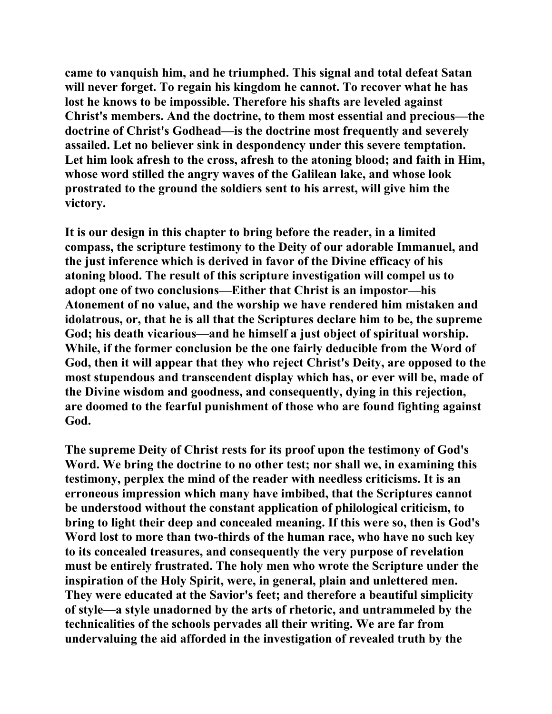**came to vanquish him, and he triumphed. This signal and total defeat Satan will never forget. To regain his kingdom he cannot. To recover what he has lost he knows to be impossible. Therefore his shafts are leveled against Christ's members. And the doctrine, to them most essential and precious—the doctrine of Christ's Godhead—is the doctrine most frequently and severely assailed. Let no believer sink in despondency under this severe temptation. Let him look afresh to the cross, afresh to the atoning blood; and faith in Him, whose word stilled the angry waves of the Galilean lake, and whose look prostrated to the ground the soldiers sent to his arrest, will give him the victory.** 

**It is our design in this chapter to bring before the reader, in a limited compass, the scripture testimony to the Deity of our adorable Immanuel, and the just inference which is derived in favor of the Divine efficacy of his atoning blood. The result of this scripture investigation will compel us to adopt one of two conclusions—Either that Christ is an impostor—his Atonement of no value, and the worship we have rendered him mistaken and idolatrous, or, that he is all that the Scriptures declare him to be, the supreme God; his death vicarious—and he himself a just object of spiritual worship. While, if the former conclusion be the one fairly deducible from the Word of God, then it will appear that they who reject Christ's Deity, are opposed to the most stupendous and transcendent display which has, or ever will be, made of the Divine wisdom and goodness, and consequently, dying in this rejection, are doomed to the fearful punishment of those who are found fighting against God.** 

**The supreme Deity of Christ rests for its proof upon the testimony of God's Word. We bring the doctrine to no other test; nor shall we, in examining this testimony, perplex the mind of the reader with needless criticisms. It is an erroneous impression which many have imbibed, that the Scriptures cannot be understood without the constant application of philological criticism, to bring to light their deep and concealed meaning. If this were so, then is God's Word lost to more than two-thirds of the human race, who have no such key to its concealed treasures, and consequently the very purpose of revelation must be entirely frustrated. The holy men who wrote the Scripture under the inspiration of the Holy Spirit, were, in general, plain and unlettered men. They were educated at the Savior's feet; and therefore a beautiful simplicity of style—a style unadorned by the arts of rhetoric, and untrammeled by the technicalities of the schools pervades all their writing. We are far from undervaluing the aid afforded in the investigation of revealed truth by the**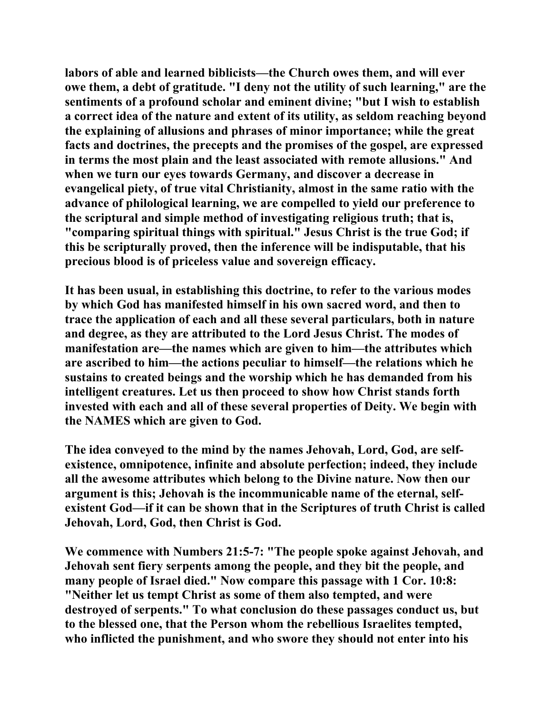**labors of able and learned biblicists—the Church owes them, and will ever owe them, a debt of gratitude. "I deny not the utility of such learning," are the sentiments of a profound scholar and eminent divine; "but I wish to establish a correct idea of the nature and extent of its utility, as seldom reaching beyond the explaining of allusions and phrases of minor importance; while the great facts and doctrines, the precepts and the promises of the gospel, are expressed in terms the most plain and the least associated with remote allusions." And when we turn our eyes towards Germany, and discover a decrease in evangelical piety, of true vital Christianity, almost in the same ratio with the advance of philological learning, we are compelled to yield our preference to the scriptural and simple method of investigating religious truth; that is, "comparing spiritual things with spiritual." Jesus Christ is the true God; if this be scripturally proved, then the inference will be indisputable, that his precious blood is of priceless value and sovereign efficacy.** 

**It has been usual, in establishing this doctrine, to refer to the various modes by which God has manifested himself in his own sacred word, and then to trace the application of each and all these several particulars, both in nature and degree, as they are attributed to the Lord Jesus Christ. The modes of manifestation are—the names which are given to him—the attributes which are ascribed to him—the actions peculiar to himself—the relations which he sustains to created beings and the worship which he has demanded from his intelligent creatures. Let us then proceed to show how Christ stands forth invested with each and all of these several properties of Deity. We begin with the NAMES which are given to God.** 

**The idea conveyed to the mind by the names Jehovah, Lord, God, are selfexistence, omnipotence, infinite and absolute perfection; indeed, they include all the awesome attributes which belong to the Divine nature. Now then our argument is this; Jehovah is the incommunicable name of the eternal, selfexistent God—if it can be shown that in the Scriptures of truth Christ is called Jehovah, Lord, God, then Christ is God.** 

**We commence with Numbers 21:5-7: "The people spoke against Jehovah, and Jehovah sent fiery serpents among the people, and they bit the people, and many people of Israel died." Now compare this passage with 1 Cor. 10:8: "Neither let us tempt Christ as some of them also tempted, and were destroyed of serpents." To what conclusion do these passages conduct us, but to the blessed one, that the Person whom the rebellious Israelites tempted, who inflicted the punishment, and who swore they should not enter into his**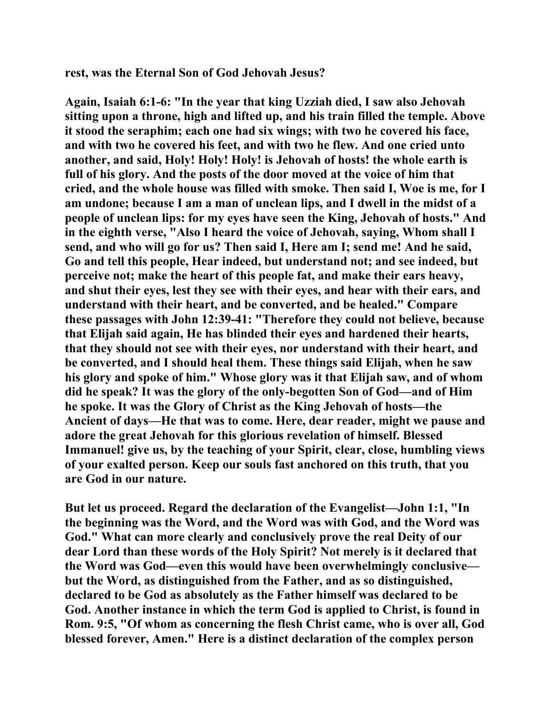**rest, was the Eternal Son of God Jehovah Jesus?** 

**Again, Isaiah 6:1-6: "In the year that king Uzziah died, I saw also Jehovah sitting upon a throne, high and lifted up, and his train filled the temple. Above it stood the seraphim; each one had six wings; with two he covered his face, and with two he covered his feet, and with two he flew. And one cried unto another, and said, Holy! Holy! Holy! is Jehovah of hosts! the whole earth is full of his glory. And the posts of the door moved at the voice of him that cried, and the whole house was filled with smoke. Then said I, Woe is me, for I am undone; because I am a man of unclean lips, and I dwell in the midst of a people of unclean lips: for my eyes have seen the King, Jehovah of hosts." And in the eighth verse, "Also I heard the voice of Jehovah, saying, Whom shall I send, and who will go for us? Then said I, Here am I; send me! And he said, Go and tell this people, Hear indeed, but understand not; and see indeed, but perceive not; make the heart of this people fat, and make their ears heavy, and shut their eyes, lest they see with their eyes, and hear with their ears, and understand with their heart, and be converted, and be healed." Compare these passages with John 12:39-41: "Therefore they could not believe, because that Elijah said again, He has blinded their eyes and hardened their hearts, that they should not see with their eyes, nor understand with their heart, and be converted, and I should heal them. These things said Elijah, when he saw his glory and spoke of him." Whose glory was it that Elijah saw, and of whom did he speak? It was the glory of the only-begotten Son of God—and of Him he spoke. It was the Glory of Christ as the King Jehovah of hosts—the Ancient of days—He that was to come. Here, dear reader, might we pause and adore the great Jehovah for this glorious revelation of himself. Blessed Immanuel! give us, by the teaching of your Spirit, clear, close, humbling views of your exalted person. Keep our souls fast anchored on this truth, that you are God in our nature.** 

**But let us proceed. Regard the declaration of the Evangelist—John 1:1, "In the beginning was the Word, and the Word was with God, and the Word was God." What can more clearly and conclusively prove the real Deity of our dear Lord than these words of the Holy Spirit? Not merely is it declared that the Word was God—even this would have been overwhelmingly conclusive but the Word, as distinguished from the Father, and as so distinguished, declared to be God as absolutely as the Father himself was declared to be God. Another instance in which the term God is applied to Christ, is found in Rom. 9:5, "Of whom as concerning the flesh Christ came, who is over all, God blessed forever, Amen." Here is a distinct declaration of the complex person**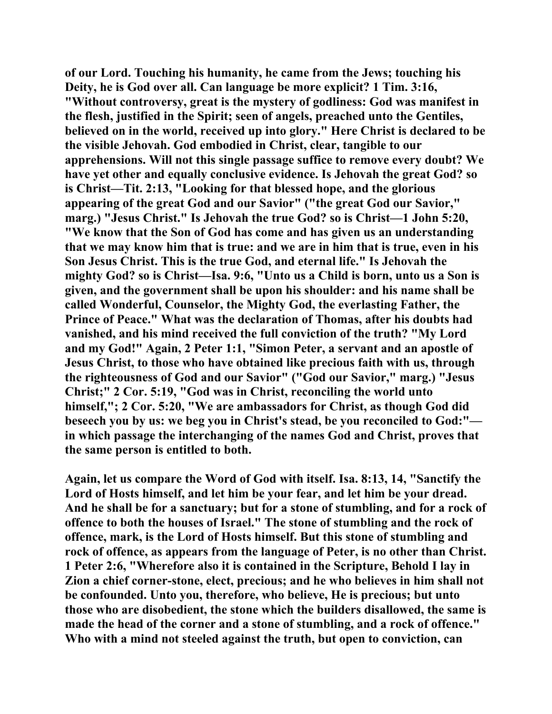**of our Lord. Touching his humanity, he came from the Jews; touching his Deity, he is God over all. Can language be more explicit? 1 Tim. 3:16, "Without controversy, great is the mystery of godliness: God was manifest in the flesh, justified in the Spirit; seen of angels, preached unto the Gentiles, believed on in the world, received up into glory." Here Christ is declared to be the visible Jehovah. God embodied in Christ, clear, tangible to our apprehensions. Will not this single passage suffice to remove every doubt? We have yet other and equally conclusive evidence. Is Jehovah the great God? so is Christ—Tit. 2:13, "Looking for that blessed hope, and the glorious appearing of the great God and our Savior" ("the great God our Savior," marg.) "Jesus Christ." Is Jehovah the true God? so is Christ—1 John 5:20, "We know that the Son of God has come and has given us an understanding that we may know him that is true: and we are in him that is true, even in his Son Jesus Christ. This is the true God, and eternal life." Is Jehovah the mighty God? so is Christ—Isa. 9:6, "Unto us a Child is born, unto us a Son is given, and the government shall be upon his shoulder: and his name shall be called Wonderful, Counselor, the Mighty God, the everlasting Father, the Prince of Peace." What was the declaration of Thomas, after his doubts had vanished, and his mind received the full conviction of the truth? "My Lord and my God!" Again, 2 Peter 1:1, "Simon Peter, a servant and an apostle of Jesus Christ, to those who have obtained like precious faith with us, through the righteousness of God and our Savior" ("God our Savior," marg.) "Jesus Christ;" 2 Cor. 5:19, "God was in Christ, reconciling the world unto himself,"; 2 Cor. 5:20, "We are ambassadors for Christ, as though God did beseech you by us: we beg you in Christ's stead, be you reconciled to God:" in which passage the interchanging of the names God and Christ, proves that the same person is entitled to both.** 

**Again, let us compare the Word of God with itself. Isa. 8:13, 14, "Sanctify the Lord of Hosts himself, and let him be your fear, and let him be your dread. And he shall be for a sanctuary; but for a stone of stumbling, and for a rock of offence to both the houses of Israel." The stone of stumbling and the rock of offence, mark, is the Lord of Hosts himself. But this stone of stumbling and rock of offence, as appears from the language of Peter, is no other than Christ. 1 Peter 2:6, "Wherefore also it is contained in the Scripture, Behold I lay in Zion a chief corner-stone, elect, precious; and he who believes in him shall not be confounded. Unto you, therefore, who believe, He is precious; but unto those who are disobedient, the stone which the builders disallowed, the same is made the head of the corner and a stone of stumbling, and a rock of offence." Who with a mind not steeled against the truth, but open to conviction, can**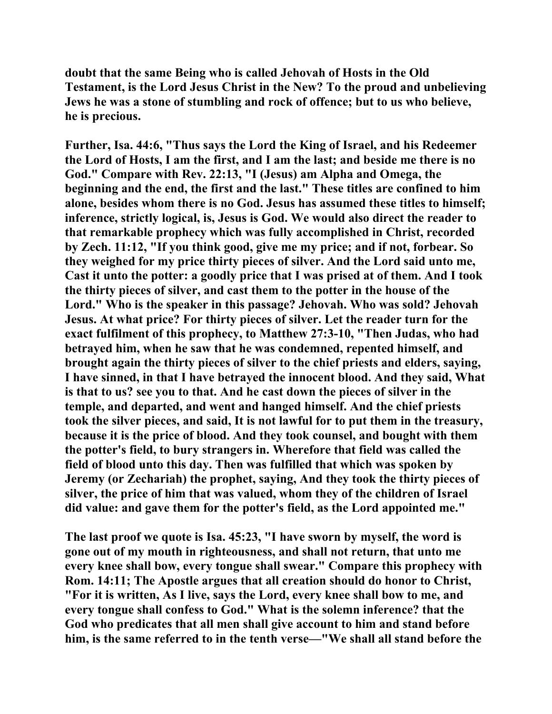**doubt that the same Being who is called Jehovah of Hosts in the Old Testament, is the Lord Jesus Christ in the New? To the proud and unbelieving Jews he was a stone of stumbling and rock of offence; but to us who believe, he is precious.** 

**Further, Isa. 44:6, "Thus says the Lord the King of Israel, and his Redeemer the Lord of Hosts, I am the first, and I am the last; and beside me there is no God." Compare with Rev. 22:13, "I (Jesus) am Alpha and Omega, the beginning and the end, the first and the last." These titles are confined to him alone, besides whom there is no God. Jesus has assumed these titles to himself; inference, strictly logical, is, Jesus is God. We would also direct the reader to that remarkable prophecy which was fully accomplished in Christ, recorded by Zech. 11:12, "If you think good, give me my price; and if not, forbear. So they weighed for my price thirty pieces of silver. And the Lord said unto me, Cast it unto the potter: a goodly price that I was prised at of them. And I took the thirty pieces of silver, and cast them to the potter in the house of the Lord." Who is the speaker in this passage? Jehovah. Who was sold? Jehovah Jesus. At what price? For thirty pieces of silver. Let the reader turn for the exact fulfilment of this prophecy, to Matthew 27:3-10, "Then Judas, who had betrayed him, when he saw that he was condemned, repented himself, and brought again the thirty pieces of silver to the chief priests and elders, saying, I have sinned, in that I have betrayed the innocent blood. And they said, What is that to us? see you to that. And he cast down the pieces of silver in the temple, and departed, and went and hanged himself. And the chief priests took the silver pieces, and said, It is not lawful for to put them in the treasury, because it is the price of blood. And they took counsel, and bought with them the potter's field, to bury strangers in. Wherefore that field was called the field of blood unto this day. Then was fulfilled that which was spoken by Jeremy (or Zechariah) the prophet, saying, And they took the thirty pieces of silver, the price of him that was valued, whom they of the children of Israel did value: and gave them for the potter's field, as the Lord appointed me."** 

**The last proof we quote is Isa. 45:23, "I have sworn by myself, the word is gone out of my mouth in righteousness, and shall not return, that unto me every knee shall bow, every tongue shall swear." Compare this prophecy with Rom. 14:11; The Apostle argues that all creation should do honor to Christ, "For it is written, As I live, says the Lord, every knee shall bow to me, and every tongue shall confess to God." What is the solemn inference? that the God who predicates that all men shall give account to him and stand before him, is the same referred to in the tenth verse—"We shall all stand before the**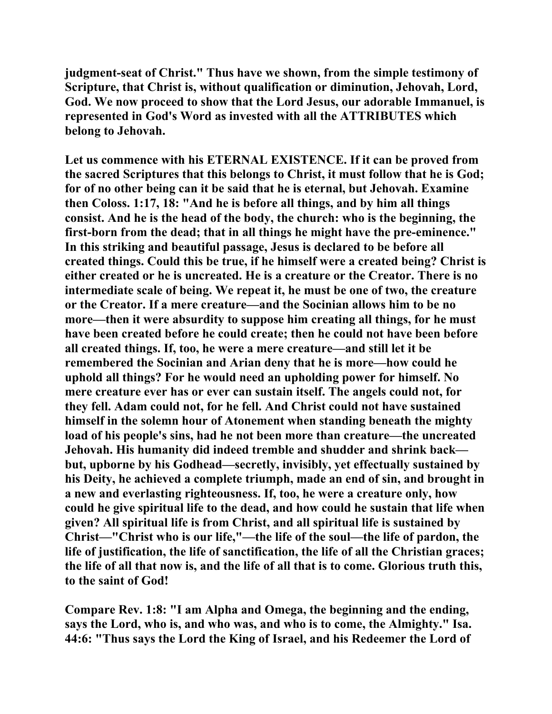**judgment-seat of Christ." Thus have we shown, from the simple testimony of Scripture, that Christ is, without qualification or diminution, Jehovah, Lord, God. We now proceed to show that the Lord Jesus, our adorable Immanuel, is represented in God's Word as invested with all the ATTRIBUTES which belong to Jehovah.** 

**Let us commence with his ETERNAL EXISTENCE. If it can be proved from the sacred Scriptures that this belongs to Christ, it must follow that he is God; for of no other being can it be said that he is eternal, but Jehovah. Examine then Coloss. 1:17, 18: "And he is before all things, and by him all things consist. And he is the head of the body, the church: who is the beginning, the first-born from the dead; that in all things he might have the pre-eminence." In this striking and beautiful passage, Jesus is declared to be before all created things. Could this be true, if he himself were a created being? Christ is either created or he is uncreated. He is a creature or the Creator. There is no intermediate scale of being. We repeat it, he must be one of two, the creature or the Creator. If a mere creature—and the Socinian allows him to be no more—then it were absurdity to suppose him creating all things, for he must have been created before he could create; then he could not have been before all created things. If, too, he were a mere creature—and still let it be remembered the Socinian and Arian deny that he is more—how could he uphold all things? For he would need an upholding power for himself. No mere creature ever has or ever can sustain itself. The angels could not, for they fell. Adam could not, for he fell. And Christ could not have sustained himself in the solemn hour of Atonement when standing beneath the mighty load of his people's sins, had he not been more than creature—the uncreated Jehovah. His humanity did indeed tremble and shudder and shrink back but, upborne by his Godhead—secretly, invisibly, yet effectually sustained by his Deity, he achieved a complete triumph, made an end of sin, and brought in a new and everlasting righteousness. If, too, he were a creature only, how could he give spiritual life to the dead, and how could he sustain that life when given? All spiritual life is from Christ, and all spiritual life is sustained by Christ—"Christ who is our life,"—the life of the soul—the life of pardon, the life of justification, the life of sanctification, the life of all the Christian graces; the life of all that now is, and the life of all that is to come. Glorious truth this, to the saint of God!** 

**Compare Rev. 1:8: "I am Alpha and Omega, the beginning and the ending, says the Lord, who is, and who was, and who is to come, the Almighty." Isa. 44:6: "Thus says the Lord the King of Israel, and his Redeemer the Lord of**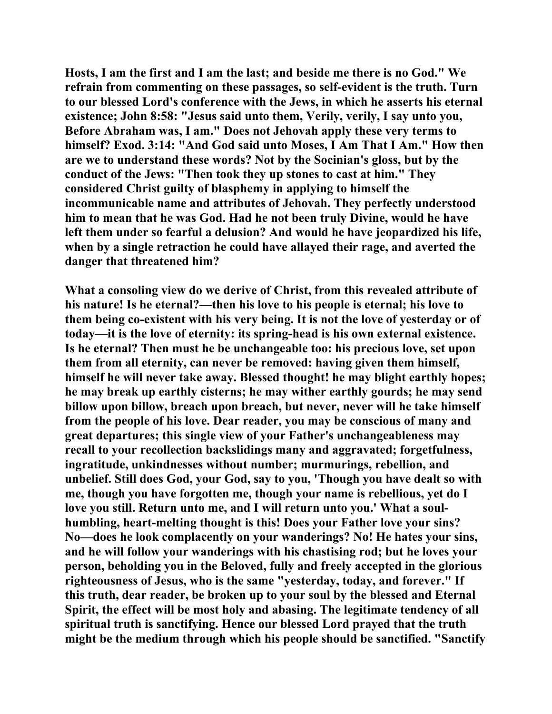**Hosts, I am the first and I am the last; and beside me there is no God." We refrain from commenting on these passages, so self-evident is the truth. Turn to our blessed Lord's conference with the Jews, in which he asserts his eternal existence; John 8:58: "Jesus said unto them, Verily, verily, I say unto you, Before Abraham was, I am." Does not Jehovah apply these very terms to himself? Exod. 3:14: "And God said unto Moses, I Am That I Am." How then are we to understand these words? Not by the Socinian's gloss, but by the conduct of the Jews: "Then took they up stones to cast at him." They considered Christ guilty of blasphemy in applying to himself the incommunicable name and attributes of Jehovah. They perfectly understood him to mean that he was God. Had he not been truly Divine, would he have left them under so fearful a delusion? And would he have jeopardized his life, when by a single retraction he could have allayed their rage, and averted the danger that threatened him?** 

**What a consoling view do we derive of Christ, from this revealed attribute of his nature! Is he eternal?—then his love to his people is eternal; his love to them being co-existent with his very being. It is not the love of yesterday or of today—it is the love of eternity: its spring-head is his own external existence. Is he eternal? Then must he be unchangeable too: his precious love, set upon them from all eternity, can never be removed: having given them himself, himself he will never take away. Blessed thought! he may blight earthly hopes; he may break up earthly cisterns; he may wither earthly gourds; he may send billow upon billow, breach upon breach, but never, never will he take himself from the people of his love. Dear reader, you may be conscious of many and great departures; this single view of your Father's unchangeableness may recall to your recollection backslidings many and aggravated; forgetfulness, ingratitude, unkindnesses without number; murmurings, rebellion, and unbelief. Still does God, your God, say to you, 'Though you have dealt so with me, though you have forgotten me, though your name is rebellious, yet do I love you still. Return unto me, and I will return unto you.' What a soulhumbling, heart-melting thought is this! Does your Father love your sins? No—does he look complacently on your wanderings? No! He hates your sins, and he will follow your wanderings with his chastising rod; but he loves your person, beholding you in the Beloved, fully and freely accepted in the glorious righteousness of Jesus, who is the same "yesterday, today, and forever." If this truth, dear reader, be broken up to your soul by the blessed and Eternal Spirit, the effect will be most holy and abasing. The legitimate tendency of all spiritual truth is sanctifying. Hence our blessed Lord prayed that the truth might be the medium through which his people should be sanctified. "Sanctify**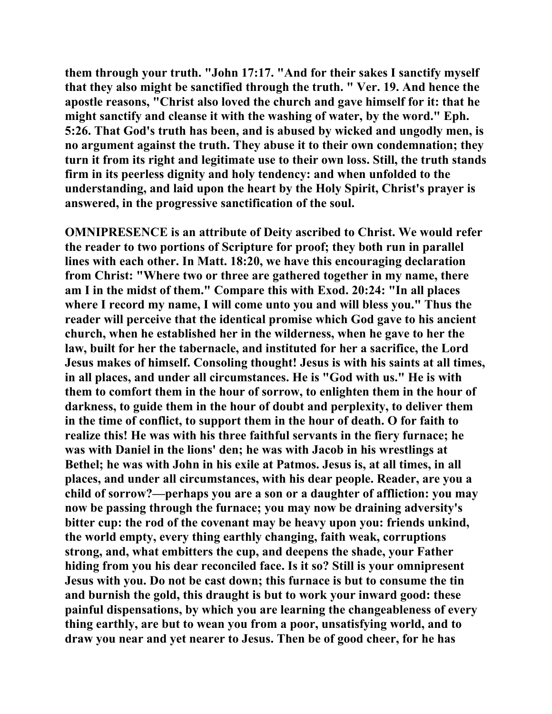**them through your truth. "John 17:17. "And for their sakes I sanctify myself that they also might be sanctified through the truth. " Ver. 19. And hence the apostle reasons, "Christ also loved the church and gave himself for it: that he might sanctify and cleanse it with the washing of water, by the word." Eph. 5:26. That God's truth has been, and is abused by wicked and ungodly men, is no argument against the truth. They abuse it to their own condemnation; they turn it from its right and legitimate use to their own loss. Still, the truth stands firm in its peerless dignity and holy tendency: and when unfolded to the understanding, and laid upon the heart by the Holy Spirit, Christ's prayer is answered, in the progressive sanctification of the soul.** 

**OMNIPRESENCE is an attribute of Deity ascribed to Christ. We would refer the reader to two portions of Scripture for proof; they both run in parallel lines with each other. In Matt. 18:20, we have this encouraging declaration from Christ: "Where two or three are gathered together in my name, there am I in the midst of them." Compare this with Exod. 20:24: "In all places where I record my name, I will come unto you and will bless you." Thus the reader will perceive that the identical promise which God gave to his ancient church, when he established her in the wilderness, when he gave to her the law, built for her the tabernacle, and instituted for her a sacrifice, the Lord Jesus makes of himself. Consoling thought! Jesus is with his saints at all times, in all places, and under all circumstances. He is "God with us." He is with them to comfort them in the hour of sorrow, to enlighten them in the hour of darkness, to guide them in the hour of doubt and perplexity, to deliver them in the time of conflict, to support them in the hour of death. O for faith to realize this! He was with his three faithful servants in the fiery furnace; he was with Daniel in the lions' den; he was with Jacob in his wrestlings at Bethel; he was with John in his exile at Patmos. Jesus is, at all times, in all places, and under all circumstances, with his dear people. Reader, are you a child of sorrow?—perhaps you are a son or a daughter of affliction: you may now be passing through the furnace; you may now be draining adversity's bitter cup: the rod of the covenant may be heavy upon you: friends unkind, the world empty, every thing earthly changing, faith weak, corruptions strong, and, what embitters the cup, and deepens the shade, your Father hiding from you his dear reconciled face. Is it so? Still is your omnipresent Jesus with you. Do not be cast down; this furnace is but to consume the tin and burnish the gold, this draught is but to work your inward good: these painful dispensations, by which you are learning the changeableness of every thing earthly, are but to wean you from a poor, unsatisfying world, and to draw you near and yet nearer to Jesus. Then be of good cheer, for he has**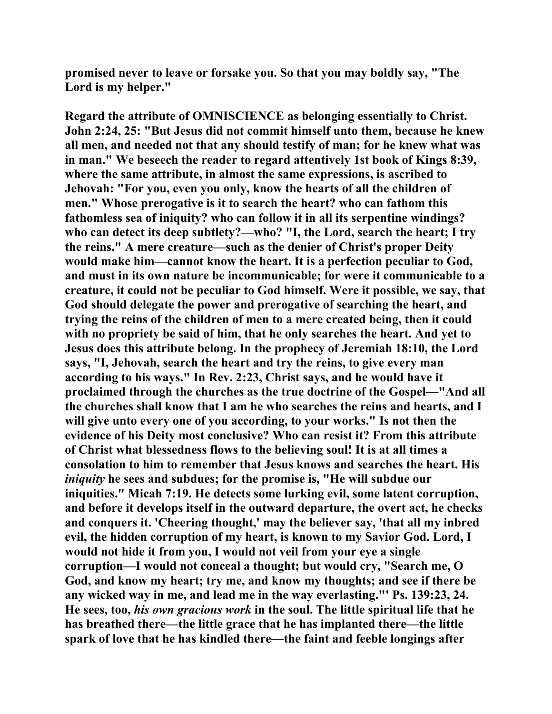**promised never to leave or forsake you. So that you may boldly say, "The Lord is my helper."** 

**Regard the attribute of OMNISCIENCE as belonging essentially to Christ. John 2:24, 25: "But Jesus did not commit himself unto them, because he knew all men, and needed not that any should testify of man; for he knew what was in man." We beseech the reader to regard attentively 1st book of Kings 8:39, where the same attribute, in almost the same expressions, is ascribed to Jehovah: "For you, even you only, know the hearts of all the children of men." Whose prerogative is it to search the heart? who can fathom this fathomless sea of iniquity? who can follow it in all its serpentine windings? who can detect its deep subtlety?—who? "I, the Lord, search the heart; I try the reins." A mere creature—such as the denier of Christ's proper Deity would make him—cannot know the heart. It is a perfection peculiar to God, and must in its own nature be incommunicable; for were it communicable to a creature, it could not be peculiar to God himself. Were it possible, we say, that God should delegate the power and prerogative of searching the heart, and trying the reins of the children of men to a mere created being, then it could with no propriety be said of him, that he only searches the heart. And yet to Jesus does this attribute belong. In the prophecy of Jeremiah 18:10, the Lord says, "I, Jehovah, search the heart and try the reins, to give every man according to his ways." In Rev. 2:23, Christ says, and he would have it proclaimed through the churches as the true doctrine of the Gospel—"And all the churches shall know that I am he who searches the reins and hearts, and I will give unto every one of you according, to your works." Is not then the evidence of his Deity most conclusive? Who can resist it? From this attribute of Christ what blessedness flows to the believing soul! It is at all times a consolation to him to remember that Jesus knows and searches the heart. His**  *iniquity* **he sees and subdues; for the promise is, "He will subdue our iniquities." Micah 7:19. He detects some lurking evil, some latent corruption, and before it develops itself in the outward departure, the overt act, he checks and conquers it. 'Cheering thought,' may the believer say, 'that all my inbred evil, the hidden corruption of my heart, is known to my Savior God. Lord, I would not hide it from you, I would not veil from your eye a single corruption—I would not conceal a thought; but would cry, "Search me, O God, and know my heart; try me, and know my thoughts; and see if there be any wicked way in me, and lead me in the way everlasting."' Ps. 139:23, 24. He sees, too,** *his own gracious work* **in the soul. The little spiritual life that he has breathed there—the little grace that he has implanted there—the little spark of love that he has kindled there—the faint and feeble longings after**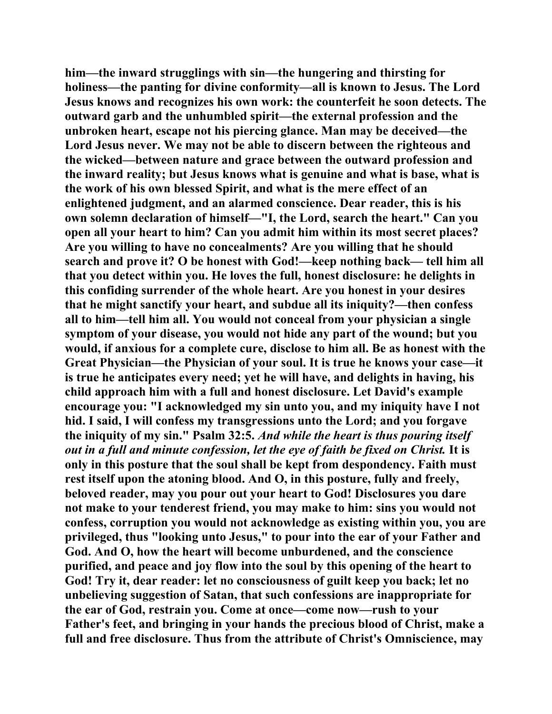**him—the inward strugglings with sin—the hungering and thirsting for holiness—the panting for divine conformity—all is known to Jesus. The Lord Jesus knows and recognizes his own work: the counterfeit he soon detects. The outward garb and the unhumbled spirit—the external profession and the unbroken heart, escape not his piercing glance. Man may be deceived—the Lord Jesus never. We may not be able to discern between the righteous and the wicked—between nature and grace between the outward profession and the inward reality; but Jesus knows what is genuine and what is base, what is the work of his own blessed Spirit, and what is the mere effect of an enlightened judgment, and an alarmed conscience. Dear reader, this is his own solemn declaration of himself—"I, the Lord, search the heart." Can you open all your heart to him? Can you admit him within its most secret places? Are you willing to have no concealments? Are you willing that he should search and prove it? O be honest with God!—keep nothing back— tell him all that you detect within you. He loves the full, honest disclosure: he delights in this confiding surrender of the whole heart. Are you honest in your desires that he might sanctify your heart, and subdue all its iniquity?—then confess all to him—tell him all. You would not conceal from your physician a single symptom of your disease, you would not hide any part of the wound; but you would, if anxious for a complete cure, disclose to him all. Be as honest with the Great Physician—the Physician of your soul. It is true he knows your case—it is true he anticipates every need; yet he will have, and delights in having, his child approach him with a full and honest disclosure. Let David's example encourage you: "I acknowledged my sin unto you, and my iniquity have I not hid. I said, I will confess my transgressions unto the Lord; and you forgave the iniquity of my sin." Psalm 32:5.** *And while the heart is thus pouring itself out in a full and minute confession, let the eye of faith be fixed on Christ.* **It is only in this posture that the soul shall be kept from despondency. Faith must rest itself upon the atoning blood. And O, in this posture, fully and freely, beloved reader, may you pour out your heart to God! Disclosures you dare not make to your tenderest friend, you may make to him: sins you would not confess, corruption you would not acknowledge as existing within you, you are privileged, thus "looking unto Jesus," to pour into the ear of your Father and God. And O, how the heart will become unburdened, and the conscience purified, and peace and joy flow into the soul by this opening of the heart to God! Try it, dear reader: let no consciousness of guilt keep you back; let no unbelieving suggestion of Satan, that such confessions are inappropriate for the ear of God, restrain you. Come at once—come now—rush to your Father's feet, and bringing in your hands the precious blood of Christ, make a full and free disclosure. Thus from the attribute of Christ's Omniscience, may**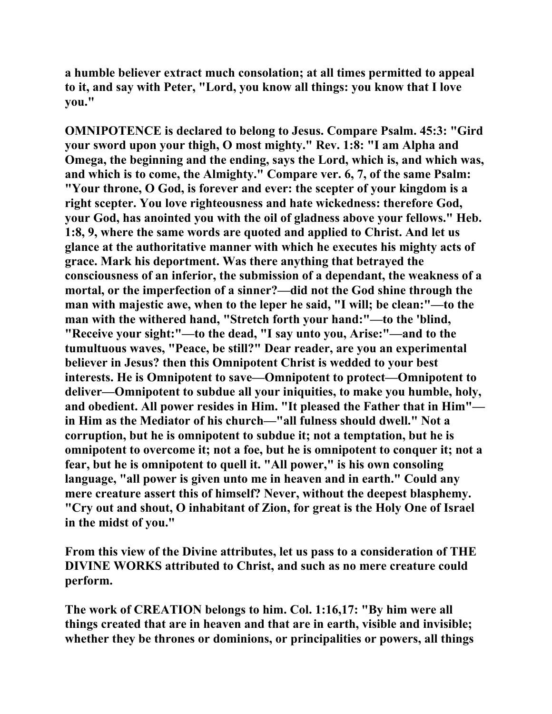**a humble believer extract much consolation; at all times permitted to appeal to it, and say with Peter, "Lord, you know all things: you know that I love you."** 

**OMNIPOTENCE is declared to belong to Jesus. Compare Psalm. 45:3: "Gird your sword upon your thigh, O most mighty." Rev. 1:8: "I am Alpha and Omega, the beginning and the ending, says the Lord, which is, and which was, and which is to come, the Almighty." Compare ver. 6, 7, of the same Psalm: "Your throne, O God, is forever and ever: the scepter of your kingdom is a right scepter. You love righteousness and hate wickedness: therefore God, your God, has anointed you with the oil of gladness above your fellows." Heb. 1:8, 9, where the same words are quoted and applied to Christ. And let us glance at the authoritative manner with which he executes his mighty acts of grace. Mark his deportment. Was there anything that betrayed the consciousness of an inferior, the submission of a dependant, the weakness of a mortal, or the imperfection of a sinner?—did not the God shine through the man with majestic awe, when to the leper he said, "I will; be clean:"—to the man with the withered hand, "Stretch forth your hand:"—to the 'blind, "Receive your sight:"—to the dead, "I say unto you, Arise:"—and to the tumultuous waves, "Peace, be still?" Dear reader, are you an experimental believer in Jesus? then this Omnipotent Christ is wedded to your best interests. He is Omnipotent to save—Omnipotent to protect—Omnipotent to deliver—Omnipotent to subdue all your iniquities, to make you humble, holy, and obedient. All power resides in Him. "It pleased the Father that in Him" in Him as the Mediator of his church—"all fulness should dwell." Not a corruption, but he is omnipotent to subdue it; not a temptation, but he is omnipotent to overcome it; not a foe, but he is omnipotent to conquer it; not a fear, but he is omnipotent to quell it. "All power," is his own consoling language, "all power is given unto me in heaven and in earth." Could any mere creature assert this of himself? Never, without the deepest blasphemy. "Cry out and shout, O inhabitant of Zion, for great is the Holy One of Israel in the midst of you."** 

**From this view of the Divine attributes, let us pass to a consideration of THE DIVINE WORKS attributed to Christ, and such as no mere creature could perform.** 

**The work of CREATION belongs to him. Col. 1:16,17: "By him were all things created that are in heaven and that are in earth, visible and invisible; whether they be thrones or dominions, or principalities or powers, all things**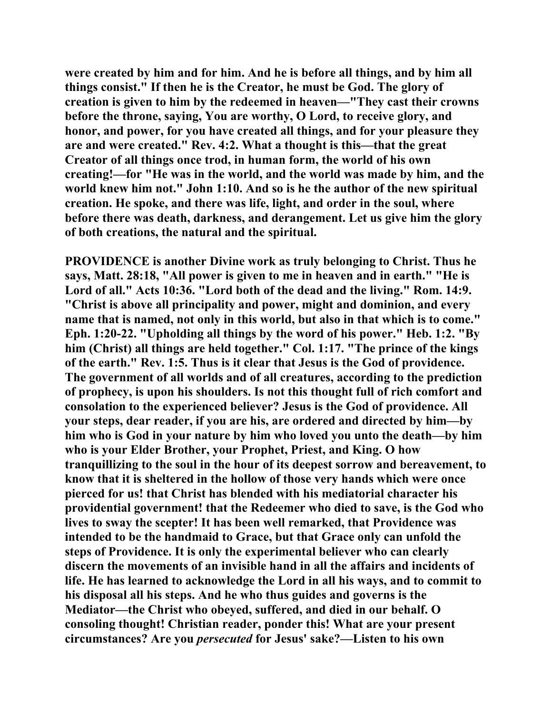**were created by him and for him. And he is before all things, and by him all things consist." If then he is the Creator, he must be God. The glory of creation is given to him by the redeemed in heaven—"They cast their crowns before the throne, saying, You are worthy, O Lord, to receive glory, and honor, and power, for you have created all things, and for your pleasure they are and were created." Rev. 4:2. What a thought is this—that the great Creator of all things once trod, in human form, the world of his own creating!—for "He was in the world, and the world was made by him, and the world knew him not." John 1:10. And so is he the author of the new spiritual creation. He spoke, and there was life, light, and order in the soul, where before there was death, darkness, and derangement. Let us give him the glory of both creations, the natural and the spiritual.** 

**PROVIDENCE is another Divine work as truly belonging to Christ. Thus he says, Matt. 28:18, "All power is given to me in heaven and in earth." "He is Lord of all." Acts 10:36. "Lord both of the dead and the living." Rom. 14:9. "Christ is above all principality and power, might and dominion, and every name that is named, not only in this world, but also in that which is to come." Eph. 1:20-22. "Upholding all things by the word of his power." Heb. 1:2. "By him (Christ) all things are held together." Col. 1:17. "The prince of the kings of the earth." Rev. 1:5. Thus is it clear that Jesus is the God of providence. The government of all worlds and of all creatures, according to the prediction of prophecy, is upon his shoulders. Is not this thought full of rich comfort and consolation to the experienced believer? Jesus is the God of providence. All your steps, dear reader, if you are his, are ordered and directed by him—by him who is God in your nature by him who loved you unto the death—by him who is your Elder Brother, your Prophet, Priest, and King. O how tranquillizing to the soul in the hour of its deepest sorrow and bereavement, to know that it is sheltered in the hollow of those very hands which were once pierced for us! that Christ has blended with his mediatorial character his providential government! that the Redeemer who died to save, is the God who lives to sway the scepter! It has been well remarked, that Providence was intended to be the handmaid to Grace, but that Grace only can unfold the steps of Providence. It is only the experimental believer who can clearly discern the movements of an invisible hand in all the affairs and incidents of life. He has learned to acknowledge the Lord in all his ways, and to commit to his disposal all his steps. And he who thus guides and governs is the Mediator—the Christ who obeyed, suffered, and died in our behalf. O consoling thought! Christian reader, ponder this! What are your present circumstances? Are you** *persecuted* **for Jesus' sake?—Listen to his own**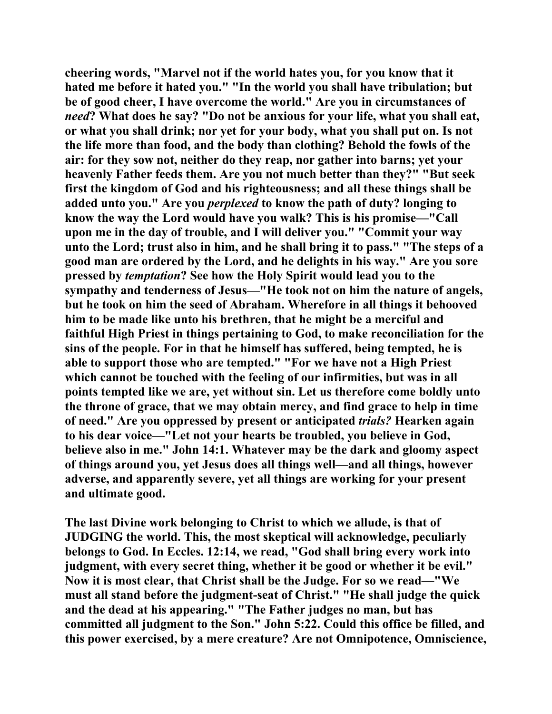**cheering words, "Marvel not if the world hates you, for you know that it hated me before it hated you." "In the world you shall have tribulation; but be of good cheer, I have overcome the world." Are you in circumstances of**  *need***? What does he say? "Do not be anxious for your life, what you shall eat, or what you shall drink; nor yet for your body, what you shall put on. Is not the life more than food, and the body than clothing? Behold the fowls of the air: for they sow not, neither do they reap, nor gather into barns; yet your heavenly Father feeds them. Are you not much better than they?" "But seek first the kingdom of God and his righteousness; and all these things shall be added unto you." Are you** *perplexed* **to know the path of duty? longing to know the way the Lord would have you walk? This is his promise—"Call upon me in the day of trouble, and I will deliver you." "Commit your way unto the Lord; trust also in him, and he shall bring it to pass." "The steps of a good man are ordered by the Lord, and he delights in his way." Are you sore pressed by** *temptation***? See how the Holy Spirit would lead you to the sympathy and tenderness of Jesus—"He took not on him the nature of angels, but he took on him the seed of Abraham. Wherefore in all things it behooved him to be made like unto his brethren, that he might be a merciful and faithful High Priest in things pertaining to God, to make reconciliation for the sins of the people. For in that he himself has suffered, being tempted, he is able to support those who are tempted." "For we have not a High Priest which cannot be touched with the feeling of our infirmities, but was in all points tempted like we are, yet without sin. Let us therefore come boldly unto the throne of grace, that we may obtain mercy, and find grace to help in time of need." Are you oppressed by present or anticipated** *trials?* **Hearken again to his dear voice—"Let not your hearts be troubled, you believe in God, believe also in me." John 14:1. Whatever may be the dark and gloomy aspect of things around you, yet Jesus does all things well—and all things, however adverse, and apparently severe, yet all things are working for your present and ultimate good.** 

**The last Divine work belonging to Christ to which we allude, is that of JUDGING the world. This, the most skeptical will acknowledge, peculiarly belongs to God. In Eccles. 12:14, we read, "God shall bring every work into judgment, with every secret thing, whether it be good or whether it be evil." Now it is most clear, that Christ shall be the Judge. For so we read—"We must all stand before the judgment-seat of Christ." "He shall judge the quick and the dead at his appearing." "The Father judges no man, but has committed all judgment to the Son." John 5:22. Could this office be filled, and this power exercised, by a mere creature? Are not Omnipotence, Omniscience,**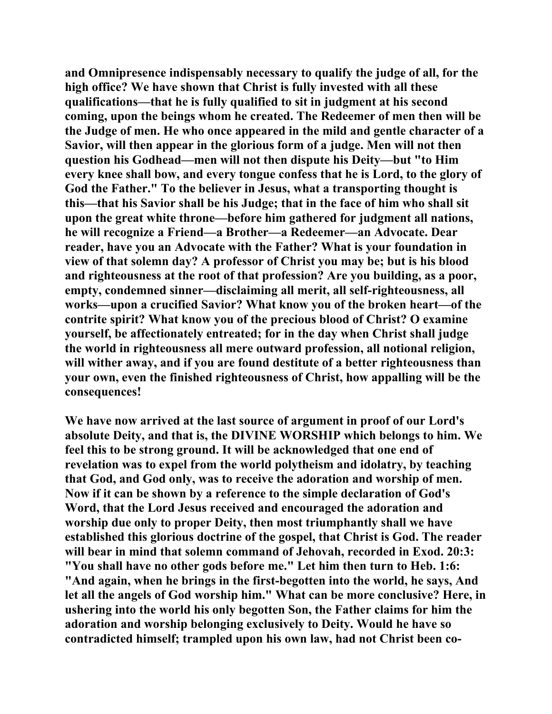**and Omnipresence indispensably necessary to qualify the judge of all, for the high office? We have shown that Christ is fully invested with all these qualifications—that he is fully qualified to sit in judgment at his second coming, upon the beings whom he created. The Redeemer of men then will be the Judge of men. He who once appeared in the mild and gentle character of a Savior, will then appear in the glorious form of a judge. Men will not then question his Godhead—men will not then dispute his Deity—but "to Him every knee shall bow, and every tongue confess that he is Lord, to the glory of God the Father." To the believer in Jesus, what a transporting thought is this—that his Savior shall be his Judge; that in the face of him who shall sit upon the great white throne—before him gathered for judgment all nations, he will recognize a Friend—a Brother—a Redeemer—an Advocate. Dear reader, have you an Advocate with the Father? What is your foundation in view of that solemn day? A professor of Christ you may be; but is his blood and righteousness at the root of that profession? Are you building, as a poor, empty, condemned sinner—disclaiming all merit, all self-righteousness, all works—upon a crucified Savior? What know you of the broken heart—of the contrite spirit? What know you of the precious blood of Christ? O examine yourself, be affectionately entreated; for in the day when Christ shall judge the world in righteousness all mere outward profession, all notional religion, will wither away, and if you are found destitute of a better righteousness than your own, even the finished righteousness of Christ, how appalling will be the consequences!** 

**We have now arrived at the last source of argument in proof of our Lord's absolute Deity, and that is, the DIVINE WORSHIP which belongs to him. We feel this to be strong ground. It will be acknowledged that one end of revelation was to expel from the world polytheism and idolatry, by teaching that God, and God only, was to receive the adoration and worship of men. Now if it can be shown by a reference to the simple declaration of God's Word, that the Lord Jesus received and encouraged the adoration and worship due only to proper Deity, then most triumphantly shall we have established this glorious doctrine of the gospel, that Christ is God. The reader will bear in mind that solemn command of Jehovah, recorded in Exod. 20:3: "You shall have no other gods before me." Let him then turn to Heb. 1:6: "And again, when he brings in the first-begotten into the world, he says, And let all the angels of God worship him." What can be more conclusive? Here, in ushering into the world his only begotten Son, the Father claims for him the adoration and worship belonging exclusively to Deity. Would he have so contradicted himself; trampled upon his own law, had not Christ been co-**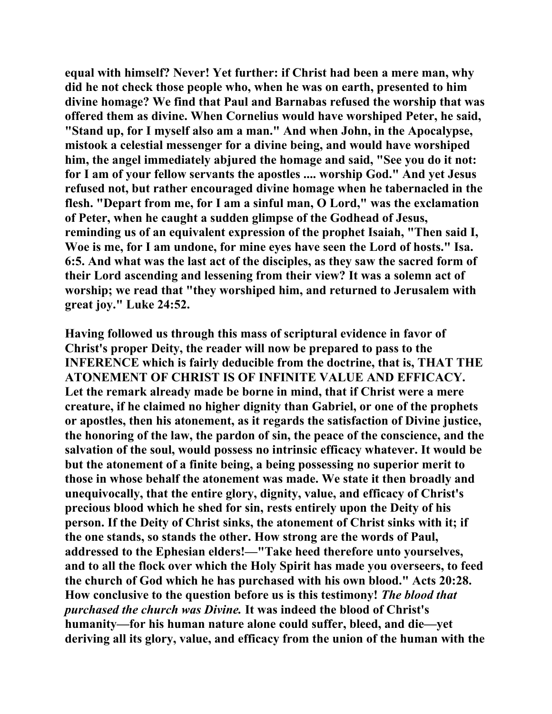**equal with himself? Never! Yet further: if Christ had been a mere man, why did he not check those people who, when he was on earth, presented to him divine homage? We find that Paul and Barnabas refused the worship that was offered them as divine. When Cornelius would have worshiped Peter, he said, "Stand up, for I myself also am a man." And when John, in the Apocalypse, mistook a celestial messenger for a divine being, and would have worshiped him, the angel immediately abjured the homage and said, "See you do it not: for I am of your fellow servants the apostles .... worship God." And yet Jesus refused not, but rather encouraged divine homage when he tabernacled in the flesh. "Depart from me, for I am a sinful man, O Lord," was the exclamation of Peter, when he caught a sudden glimpse of the Godhead of Jesus, reminding us of an equivalent expression of the prophet Isaiah, "Then said I, Woe is me, for I am undone, for mine eyes have seen the Lord of hosts." Isa. 6:5. And what was the last act of the disciples, as they saw the sacred form of their Lord ascending and lessening from their view? It was a solemn act of worship; we read that "they worshiped him, and returned to Jerusalem with great joy." Luke 24:52.** 

**Having followed us through this mass of scriptural evidence in favor of Christ's proper Deity, the reader will now be prepared to pass to the INFERENCE which is fairly deducible from the doctrine, that is, THAT THE ATONEMENT OF CHRIST IS OF INFINITE VALUE AND EFFICACY. Let the remark already made be borne in mind, that if Christ were a mere creature, if he claimed no higher dignity than Gabriel, or one of the prophets or apostles, then his atonement, as it regards the satisfaction of Divine justice, the honoring of the law, the pardon of sin, the peace of the conscience, and the salvation of the soul, would possess no intrinsic efficacy whatever. It would be but the atonement of a finite being, a being possessing no superior merit to those in whose behalf the atonement was made. We state it then broadly and unequivocally, that the entire glory, dignity, value, and efficacy of Christ's precious blood which he shed for sin, rests entirely upon the Deity of his person. If the Deity of Christ sinks, the atonement of Christ sinks with it; if the one stands, so stands the other. How strong are the words of Paul, addressed to the Ephesian elders!—"Take heed therefore unto yourselves, and to all the flock over which the Holy Spirit has made you overseers, to feed the church of God which he has purchased with his own blood." Acts 20:28. How conclusive to the question before us is this testimony!** *The blood that purchased the church was Divine.* **It was indeed the blood of Christ's humanity—for his human nature alone could suffer, bleed, and die—yet deriving all its glory, value, and efficacy from the union of the human with the**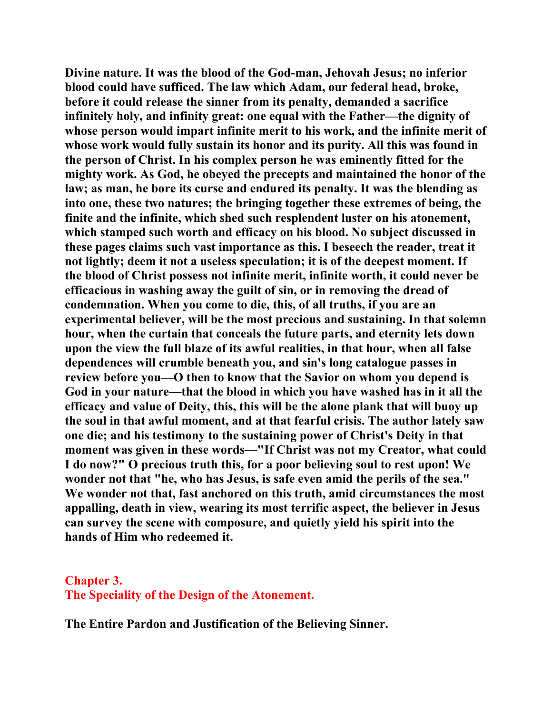**Divine nature. It was the blood of the God-man, Jehovah Jesus; no inferior blood could have sufficed. The law which Adam, our federal head, broke, before it could release the sinner from its penalty, demanded a sacrifice infinitely holy, and infinity great: one equal with the Father—the dignity of whose person would impart infinite merit to his work, and the infinite merit of whose work would fully sustain its honor and its purity. All this was found in the person of Christ. In his complex person he was eminently fitted for the mighty work. As God, he obeyed the precepts and maintained the honor of the law; as man, he bore its curse and endured its penalty. It was the blending as into one, these two natures; the bringing together these extremes of being, the finite and the infinite, which shed such resplendent luster on his atonement, which stamped such worth and efficacy on his blood. No subject discussed in these pages claims such vast importance as this. I beseech the reader, treat it not lightly; deem it not a useless speculation; it is of the deepest moment. If the blood of Christ possess not infinite merit, infinite worth, it could never be efficacious in washing away the guilt of sin, or in removing the dread of condemnation. When you come to die, this, of all truths, if you are an experimental believer, will be the most precious and sustaining. In that solemn hour, when the curtain that conceals the future parts, and eternity lets down upon the view the full blaze of its awful realities, in that hour, when all false dependences will crumble beneath you, and sin's long catalogue passes in review before you—O then to know that the Savior on whom you depend is God in your nature—that the blood in which you have washed has in it all the efficacy and value of Deity, this, this will be the alone plank that will buoy up the soul in that awful moment, and at that fearful crisis. The author lately saw one die; and his testimony to the sustaining power of Christ's Deity in that moment was given in these words—"If Christ was not my Creator, what could I do now?" O precious truth this, for a poor believing soul to rest upon! We wonder not that "he, who has Jesus, is safe even amid the perils of the sea." We wonder not that, fast anchored on this truth, amid circumstances the most appalling, death in view, wearing its most terrific aspect, the believer in Jesus can survey the scene with composure, and quietly yield his spirit into the hands of Him who redeemed it.** 

## **Chapter 3.**

**The Speciality of the Design of the Atonement.**

**The Entire Pardon and Justification of the Believing Sinner.**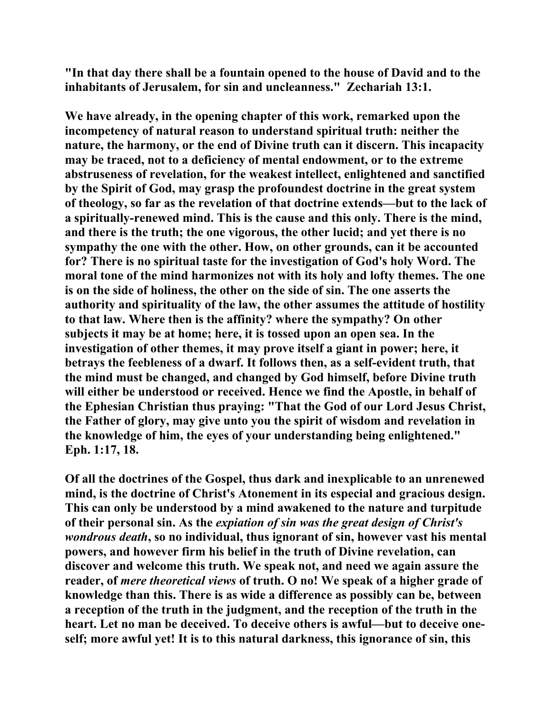**"In that day there shall be a fountain opened to the house of David and to the inhabitants of Jerusalem, for sin and uncleanness." Zechariah 13:1.** 

**We have already, in the opening chapter of this work, remarked upon the incompetency of natural reason to understand spiritual truth: neither the nature, the harmony, or the end of Divine truth can it discern. This incapacity may be traced, not to a deficiency of mental endowment, or to the extreme abstruseness of revelation, for the weakest intellect, enlightened and sanctified by the Spirit of God, may grasp the profoundest doctrine in the great system of theology, so far as the revelation of that doctrine extends—but to the lack of a spiritually-renewed mind. This is the cause and this only. There is the mind, and there is the truth; the one vigorous, the other lucid; and yet there is no sympathy the one with the other. How, on other grounds, can it be accounted for? There is no spiritual taste for the investigation of God's holy Word. The moral tone of the mind harmonizes not with its holy and lofty themes. The one is on the side of holiness, the other on the side of sin. The one asserts the authority and spirituality of the law, the other assumes the attitude of hostility to that law. Where then is the affinity? where the sympathy? On other subjects it may be at home; here, it is tossed upon an open sea. In the investigation of other themes, it may prove itself a giant in power; here, it betrays the feebleness of a dwarf. It follows then, as a self-evident truth, that the mind must be changed, and changed by God himself, before Divine truth will either be understood or received. Hence we find the Apostle, in behalf of the Ephesian Christian thus praying: "That the God of our Lord Jesus Christ, the Father of glory, may give unto you the spirit of wisdom and revelation in the knowledge of him, the eyes of your understanding being enlightened." Eph. 1:17, 18.** 

**Of all the doctrines of the Gospel, thus dark and inexplicable to an unrenewed mind, is the doctrine of Christ's Atonement in its especial and gracious design. This can only be understood by a mind awakened to the nature and turpitude of their personal sin. As the** *expiation of sin was the great design of Christ's wondrous death***, so no individual, thus ignorant of sin, however vast his mental powers, and however firm his belief in the truth of Divine revelation, can discover and welcome this truth. We speak not, and need we again assure the reader, of** *mere theoretical views* **of truth. O no! We speak of a higher grade of knowledge than this. There is as wide a difference as possibly can be, between a reception of the truth in the judgment, and the reception of the truth in the heart. Let no man be deceived. To deceive others is awful—but to deceive oneself; more awful yet! It is to this natural darkness, this ignorance of sin, this**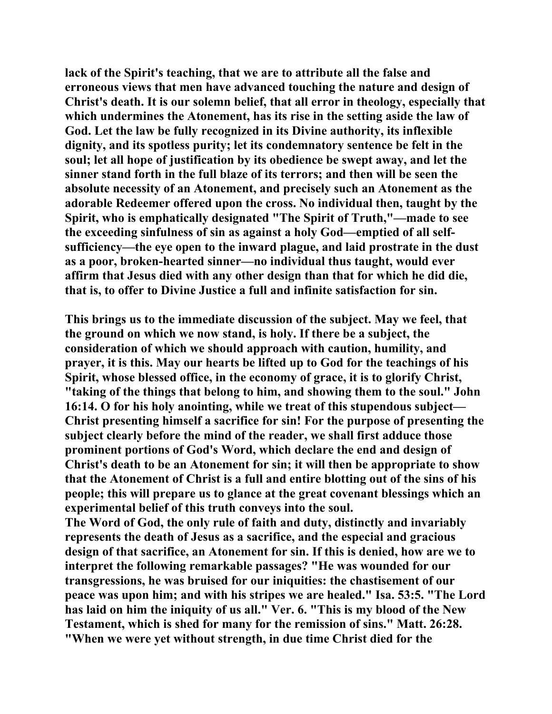**lack of the Spirit's teaching, that we are to attribute all the false and erroneous views that men have advanced touching the nature and design of Christ's death. It is our solemn belief, that all error in theology, especially that which undermines the Atonement, has its rise in the setting aside the law of God. Let the law be fully recognized in its Divine authority, its inflexible dignity, and its spotless purity; let its condemnatory sentence be felt in the soul; let all hope of justification by its obedience be swept away, and let the sinner stand forth in the full blaze of its terrors; and then will be seen the absolute necessity of an Atonement, and precisely such an Atonement as the adorable Redeemer offered upon the cross. No individual then, taught by the Spirit, who is emphatically designated "The Spirit of Truth,"—made to see the exceeding sinfulness of sin as against a holy God—emptied of all selfsufficiency—the eye open to the inward plague, and laid prostrate in the dust as a poor, broken-hearted sinner—no individual thus taught, would ever affirm that Jesus died with any other design than that for which he did die, that is, to offer to Divine Justice a full and infinite satisfaction for sin.** 

**This brings us to the immediate discussion of the subject. May we feel, that the ground on which we now stand, is holy. If there be a subject, the consideration of which we should approach with caution, humility, and prayer, it is this. May our hearts be lifted up to God for the teachings of his Spirit, whose blessed office, in the economy of grace, it is to glorify Christ, "taking of the things that belong to him, and showing them to the soul." John 16:14. O for his holy anointing, while we treat of this stupendous subject— Christ presenting himself a sacrifice for sin! For the purpose of presenting the subject clearly before the mind of the reader, we shall first adduce those prominent portions of God's Word, which declare the end and design of Christ's death to be an Atonement for sin; it will then be appropriate to show that the Atonement of Christ is a full and entire blotting out of the sins of his people; this will prepare us to glance at the great covenant blessings which an experimental belief of this truth conveys into the soul.** 

**The Word of God, the only rule of faith and duty, distinctly and invariably represents the death of Jesus as a sacrifice, and the especial and gracious design of that sacrifice, an Atonement for sin. If this is denied, how are we to interpret the following remarkable passages? "He was wounded for our transgressions, he was bruised for our iniquities: the chastisement of our peace was upon him; and with his stripes we are healed." Isa. 53:5. "The Lord has laid on him the iniquity of us all." Ver. 6. "This is my blood of the New Testament, which is shed for many for the remission of sins." Matt. 26:28. "When we were yet without strength, in due time Christ died for the**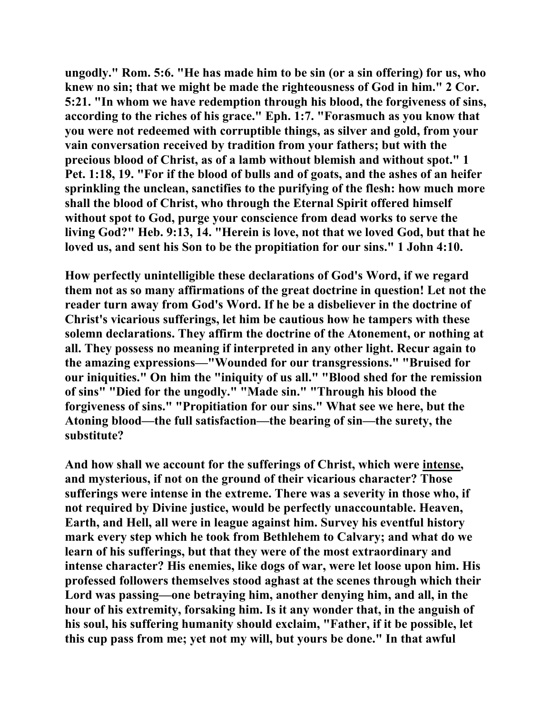**ungodly." Rom. 5:6. "He has made him to be sin (or a sin offering) for us, who knew no sin; that we might be made the righteousness of God in him." 2 Cor. 5:21. "In whom we have redemption through his blood, the forgiveness of sins, according to the riches of his grace." Eph. 1:7. "Forasmuch as you know that you were not redeemed with corruptible things, as silver and gold, from your vain conversation received by tradition from your fathers; but with the precious blood of Christ, as of a lamb without blemish and without spot." 1 Pet. 1:18, 19. "For if the blood of bulls and of goats, and the ashes of an heifer sprinkling the unclean, sanctifies to the purifying of the flesh: how much more shall the blood of Christ, who through the Eternal Spirit offered himself without spot to God, purge your conscience from dead works to serve the living God?" Heb. 9:13, 14. "Herein is love, not that we loved God, but that he loved us, and sent his Son to be the propitiation for our sins." 1 John 4:10.** 

**How perfectly unintelligible these declarations of God's Word, if we regard them not as so many affirmations of the great doctrine in question! Let not the reader turn away from God's Word. If he be a disbeliever in the doctrine of Christ's vicarious sufferings, let him be cautious how he tampers with these solemn declarations. They affirm the doctrine of the Atonement, or nothing at all. They possess no meaning if interpreted in any other light. Recur again to the amazing expressions—"Wounded for our transgressions." "Bruised for our iniquities." On him the "iniquity of us all." "Blood shed for the remission of sins" "Died for the ungodly." "Made sin." "Through his blood the forgiveness of sins." "Propitiation for our sins." What see we here, but the Atoning blood—the full satisfaction—the bearing of sin—the surety, the substitute?** 

**And how shall we account for the sufferings of Christ, which were intense, and mysterious, if not on the ground of their vicarious character? Those sufferings were intense in the extreme. There was a severity in those who, if not required by Divine justice, would be perfectly unaccountable. Heaven, Earth, and Hell, all were in league against him. Survey his eventful history mark every step which he took from Bethlehem to Calvary; and what do we learn of his sufferings, but that they were of the most extraordinary and intense character? His enemies, like dogs of war, were let loose upon him. His professed followers themselves stood aghast at the scenes through which their Lord was passing—one betraying him, another denying him, and all, in the hour of his extremity, forsaking him. Is it any wonder that, in the anguish of his soul, his suffering humanity should exclaim, "Father, if it be possible, let this cup pass from me; yet not my will, but yours be done." In that awful**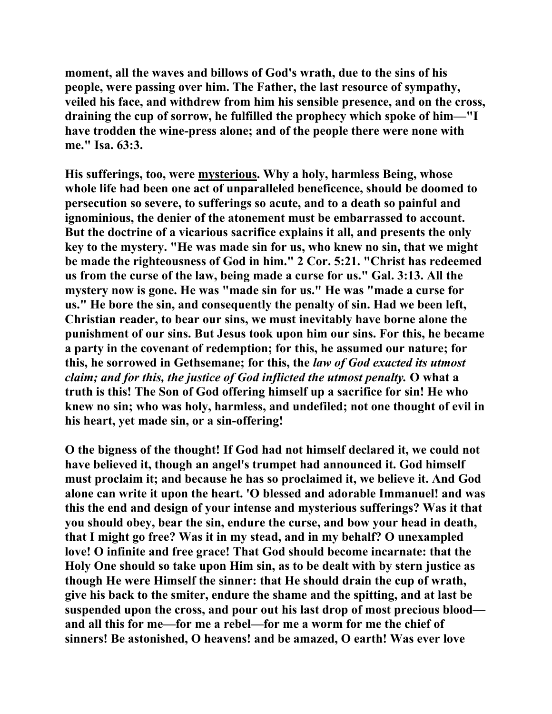**moment, all the waves and billows of God's wrath, due to the sins of his people, were passing over him. The Father, the last resource of sympathy, veiled his face, and withdrew from him his sensible presence, and on the cross, draining the cup of sorrow, he fulfilled the prophecy which spoke of him—"I have trodden the wine-press alone; and of the people there were none with me." Isa. 63:3.** 

**His sufferings, too, were mysterious. Why a holy, harmless Being, whose whole life had been one act of unparalleled beneficence, should be doomed to persecution so severe, to sufferings so acute, and to a death so painful and ignominious, the denier of the atonement must be embarrassed to account. But the doctrine of a vicarious sacrifice explains it all, and presents the only key to the mystery. "He was made sin for us, who knew no sin, that we might be made the righteousness of God in him." 2 Cor. 5:21. "Christ has redeemed us from the curse of the law, being made a curse for us." Gal. 3:13. All the mystery now is gone. He was "made sin for us." He was "made a curse for us." He bore the sin, and consequently the penalty of sin. Had we been left, Christian reader, to bear our sins, we must inevitably have borne alone the punishment of our sins. But Jesus took upon him our sins. For this, he became a party in the covenant of redemption; for this, he assumed our nature; for this, he sorrowed in Gethsemane; for this, the** *law of God exacted its utmost claim; and for this, the justice of God inflicted the utmost penalty.* **O what a truth is this! The Son of God offering himself up a sacrifice for sin! He who knew no sin; who was holy, harmless, and undefiled; not one thought of evil in his heart, yet made sin, or a sin-offering!** 

**O the bigness of the thought! If God had not himself declared it, we could not have believed it, though an angel's trumpet had announced it. God himself must proclaim it; and because he has so proclaimed it, we believe it. And God alone can write it upon the heart. 'O blessed and adorable Immanuel! and was this the end and design of your intense and mysterious sufferings? Was it that you should obey, bear the sin, endure the curse, and bow your head in death, that I might go free? Was it in my stead, and in my behalf? O unexampled love! O infinite and free grace! That God should become incarnate: that the Holy One should so take upon Him sin, as to be dealt with by stern justice as though He were Himself the sinner: that He should drain the cup of wrath, give his back to the smiter, endure the shame and the spitting, and at last be suspended upon the cross, and pour out his last drop of most precious blood and all this for me—for me a rebel—for me a worm for me the chief of sinners! Be astonished, O heavens! and be amazed, O earth! Was ever love**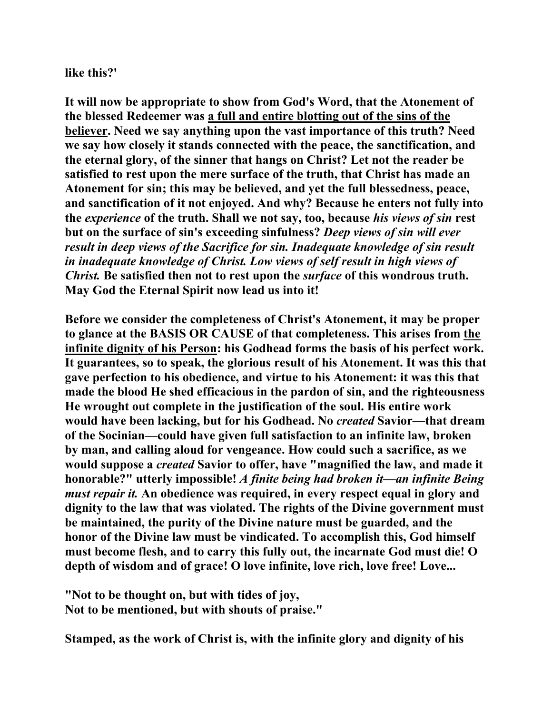**like this?'** 

**It will now be appropriate to show from God's Word, that the Atonement of the blessed Redeemer was a full and entire blotting out of the sins of the believer. Need we say anything upon the vast importance of this truth? Need we say how closely it stands connected with the peace, the sanctification, and the eternal glory, of the sinner that hangs on Christ? Let not the reader be satisfied to rest upon the mere surface of the truth, that Christ has made an Atonement for sin; this may be believed, and yet the full blessedness, peace, and sanctification of it not enjoyed. And why? Because he enters not fully into the** *experience* **of the truth. Shall we not say, too, because** *his views of sin* **rest but on the surface of sin's exceeding sinfulness?** *Deep views of sin will ever result in deep views of the Sacrifice for sin. Inadequate knowledge of sin result in inadequate knowledge of Christ. Low views of self result in high views of Christ.* **Be satisfied then not to rest upon the** *surface* **of this wondrous truth. May God the Eternal Spirit now lead us into it!** 

**Before we consider the completeness of Christ's Atonement, it may be proper to glance at the BASIS OR CAUSE of that completeness. This arises from the infinite dignity of his Person: his Godhead forms the basis of his perfect work. It guarantees, so to speak, the glorious result of his Atonement. It was this that gave perfection to his obedience, and virtue to his Atonement: it was this that made the blood He shed efficacious in the pardon of sin, and the righteousness He wrought out complete in the justification of the soul. His entire work would have been lacking, but for his Godhead. No** *created* **Savior—that dream of the Socinian—could have given full satisfaction to an infinite law, broken by man, and calling aloud for vengeance. How could such a sacrifice, as we would suppose a** *created* **Savior to offer, have "magnified the law, and made it honorable?" utterly impossible!** *A finite being had broken it—an infinite Being must repair it.* **An obedience was required, in every respect equal in glory and dignity to the law that was violated. The rights of the Divine government must be maintained, the purity of the Divine nature must be guarded, and the honor of the Divine law must be vindicated. To accomplish this, God himself must become flesh, and to carry this fully out, the incarnate God must die! O depth of wisdom and of grace! O love infinite, love rich, love free! Love...** 

**"Not to be thought on, but with tides of joy, Not to be mentioned, but with shouts of praise."** 

**Stamped, as the work of Christ is, with the infinite glory and dignity of his**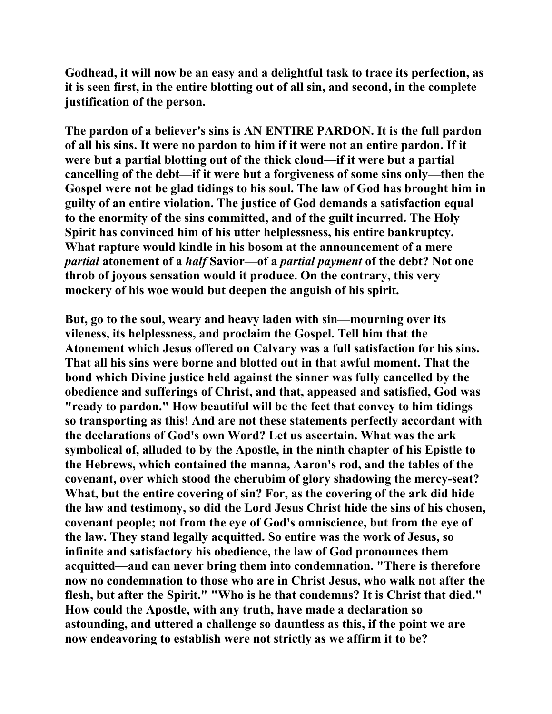**Godhead, it will now be an easy and a delightful task to trace its perfection, as it is seen first, in the entire blotting out of all sin, and second, in the complete justification of the person.** 

**The pardon of a believer's sins is AN ENTIRE PARDON. It is the full pardon of all his sins. It were no pardon to him if it were not an entire pardon. If it were but a partial blotting out of the thick cloud—if it were but a partial cancelling of the debt—if it were but a forgiveness of some sins only—then the Gospel were not be glad tidings to his soul. The law of God has brought him in guilty of an entire violation. The justice of God demands a satisfaction equal to the enormity of the sins committed, and of the guilt incurred. The Holy Spirit has convinced him of his utter helplessness, his entire bankruptcy. What rapture would kindle in his bosom at the announcement of a mere**  *partial* **atonement of a** *half* **Savior—of a** *partial payment* **of the debt? Not one throb of joyous sensation would it produce. On the contrary, this very mockery of his woe would but deepen the anguish of his spirit.** 

**But, go to the soul, weary and heavy laden with sin—mourning over its vileness, its helplessness, and proclaim the Gospel. Tell him that the Atonement which Jesus offered on Calvary was a full satisfaction for his sins. That all his sins were borne and blotted out in that awful moment. That the bond which Divine justice held against the sinner was fully cancelled by the obedience and sufferings of Christ, and that, appeased and satisfied, God was "ready to pardon." How beautiful will be the feet that convey to him tidings so transporting as this! And are not these statements perfectly accordant with the declarations of God's own Word? Let us ascertain. What was the ark symbolical of, alluded to by the Apostle, in the ninth chapter of his Epistle to the Hebrews, which contained the manna, Aaron's rod, and the tables of the covenant, over which stood the cherubim of glory shadowing the mercy-seat? What, but the entire covering of sin? For, as the covering of the ark did hide the law and testimony, so did the Lord Jesus Christ hide the sins of his chosen, covenant people; not from the eye of God's omniscience, but from the eye of the law. They stand legally acquitted. So entire was the work of Jesus, so infinite and satisfactory his obedience, the law of God pronounces them acquitted—and can never bring them into condemnation. "There is therefore now no condemnation to those who are in Christ Jesus, who walk not after the flesh, but after the Spirit." "Who is he that condemns? It is Christ that died." How could the Apostle, with any truth, have made a declaration so astounding, and uttered a challenge so dauntless as this, if the point we are now endeavoring to establish were not strictly as we affirm it to be?**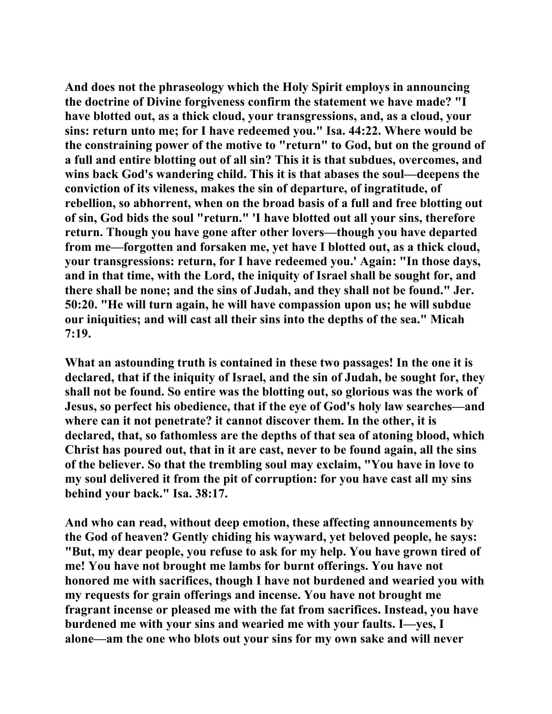**And does not the phraseology which the Holy Spirit employs in announcing the doctrine of Divine forgiveness confirm the statement we have made? "I have blotted out, as a thick cloud, your transgressions, and, as a cloud, your sins: return unto me; for I have redeemed you." Isa. 44:22. Where would be the constraining power of the motive to "return" to God, but on the ground of a full and entire blotting out of all sin? This it is that subdues, overcomes, and wins back God's wandering child. This it is that abases the soul—deepens the conviction of its vileness, makes the sin of departure, of ingratitude, of rebellion, so abhorrent, when on the broad basis of a full and free blotting out of sin, God bids the soul "return." 'I have blotted out all your sins, therefore return. Though you have gone after other lovers—though you have departed from me—forgotten and forsaken me, yet have I blotted out, as a thick cloud, your transgressions: return, for I have redeemed you.' Again: "In those days, and in that time, with the Lord, the iniquity of Israel shall be sought for, and there shall be none; and the sins of Judah, and they shall not be found." Jer. 50:20. "He will turn again, he will have compassion upon us; he will subdue our iniquities; and will cast all their sins into the depths of the sea." Micah 7:19.** 

**What an astounding truth is contained in these two passages! In the one it is declared, that if the iniquity of Israel, and the sin of Judah, be sought for, they shall not be found. So entire was the blotting out, so glorious was the work of Jesus, so perfect his obedience, that if the eye of God's holy law searches—and where can it not penetrate? it cannot discover them. In the other, it is declared, that, so fathomless are the depths of that sea of atoning blood, which Christ has poured out, that in it are cast, never to be found again, all the sins of the believer. So that the trembling soul may exclaim, "You have in love to my soul delivered it from the pit of corruption: for you have cast all my sins behind your back." Isa. 38:17.** 

**And who can read, without deep emotion, these affecting announcements by the God of heaven? Gently chiding his wayward, yet beloved people, he says: "But, my dear people, you refuse to ask for my help. You have grown tired of me! You have not brought me lambs for burnt offerings. You have not honored me with sacrifices, though I have not burdened and wearied you with my requests for grain offerings and incense. You have not brought me fragrant incense or pleased me with the fat from sacrifices. Instead, you have burdened me with your sins and wearied me with your faults. I—yes, I alone—am the one who blots out your sins for my own sake and will never**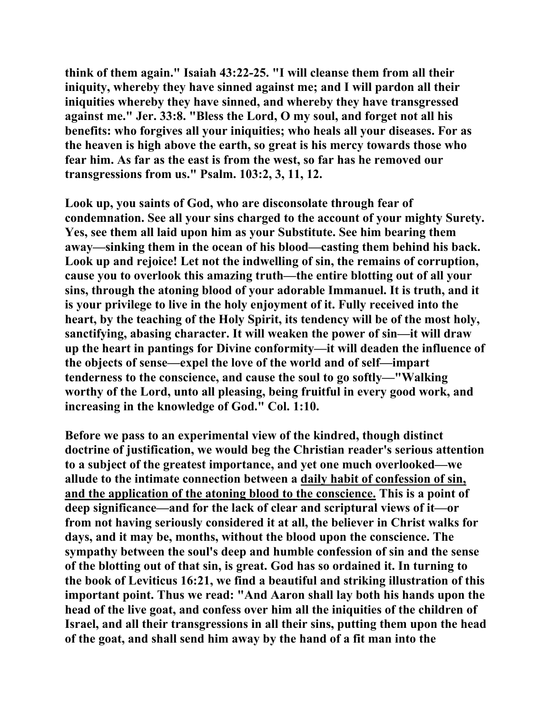**think of them again." Isaiah 43:22-25. "I will cleanse them from all their iniquity, whereby they have sinned against me; and I will pardon all their iniquities whereby they have sinned, and whereby they have transgressed against me." Jer. 33:8. "Bless the Lord, O my soul, and forget not all his benefits: who forgives all your iniquities; who heals all your diseases. For as the heaven is high above the earth, so great is his mercy towards those who fear him. As far as the east is from the west, so far has he removed our transgressions from us." Psalm. 103:2, 3, 11, 12.** 

**Look up, you saints of God, who are disconsolate through fear of condemnation. See all your sins charged to the account of your mighty Surety. Yes, see them all laid upon him as your Substitute. See him bearing them away—sinking them in the ocean of his blood—casting them behind his back. Look up and rejoice! Let not the indwelling of sin, the remains of corruption, cause you to overlook this amazing truth—the entire blotting out of all your sins, through the atoning blood of your adorable Immanuel. It is truth, and it is your privilege to live in the holy enjoyment of it. Fully received into the heart, by the teaching of the Holy Spirit, its tendency will be of the most holy, sanctifying, abasing character. It will weaken the power of sin—it will draw up the heart in pantings for Divine conformity—it will deaden the influence of the objects of sense—expel the love of the world and of self—impart tenderness to the conscience, and cause the soul to go softly—"Walking worthy of the Lord, unto all pleasing, being fruitful in every good work, and increasing in the knowledge of God." Col. 1:10.** 

**Before we pass to an experimental view of the kindred, though distinct doctrine of justification, we would beg the Christian reader's serious attention to a subject of the greatest importance, and yet one much overlooked—we allude to the intimate connection between a daily habit of confession of sin, and the application of the atoning blood to the conscience. This is a point of deep significance—and for the lack of clear and scriptural views of it—or from not having seriously considered it at all, the believer in Christ walks for days, and it may be, months, without the blood upon the conscience. The sympathy between the soul's deep and humble confession of sin and the sense of the blotting out of that sin, is great. God has so ordained it. In turning to the book of Leviticus 16:21, we find a beautiful and striking illustration of this important point. Thus we read: "And Aaron shall lay both his hands upon the head of the live goat, and confess over him all the iniquities of the children of Israel, and all their transgressions in all their sins, putting them upon the head of the goat, and shall send him away by the hand of a fit man into the**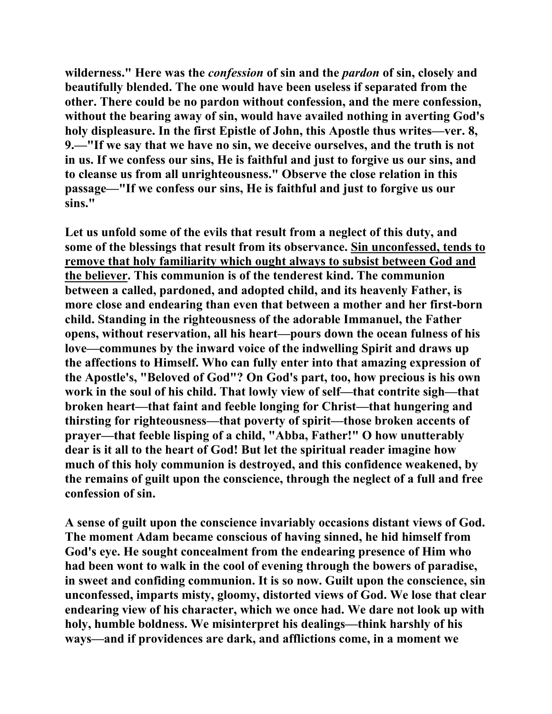**wilderness." Here was the** *confession* **of sin and the** *pardon* **of sin, closely and beautifully blended. The one would have been useless if separated from the other. There could be no pardon without confession, and the mere confession, without the bearing away of sin, would have availed nothing in averting God's holy displeasure. In the first Epistle of John, this Apostle thus writes—ver. 8, 9.—"If we say that we have no sin, we deceive ourselves, and the truth is not in us. If we confess our sins, He is faithful and just to forgive us our sins, and to cleanse us from all unrighteousness." Observe the close relation in this passage—"If we confess our sins, He is faithful and just to forgive us our sins."** 

**Let us unfold some of the evils that result from a neglect of this duty, and some of the blessings that result from its observance. Sin unconfessed, tends to remove that holy familiarity which ought always to subsist between God and the believer. This communion is of the tenderest kind. The communion between a called, pardoned, and adopted child, and its heavenly Father, is more close and endearing than even that between a mother and her first-born child. Standing in the righteousness of the adorable Immanuel, the Father opens, without reservation, all his heart—pours down the ocean fulness of his love—communes by the inward voice of the indwelling Spirit and draws up the affections to Himself. Who can fully enter into that amazing expression of the Apostle's, "Beloved of God"? On God's part, too, how precious is his own work in the soul of his child. That lowly view of self—that contrite sigh—that broken heart—that faint and feeble longing for Christ—that hungering and thirsting for righteousness—that poverty of spirit—those broken accents of prayer—that feeble lisping of a child, "Abba, Father!" O how unutterably dear is it all to the heart of God! But let the spiritual reader imagine how much of this holy communion is destroyed, and this confidence weakened, by the remains of guilt upon the conscience, through the neglect of a full and free confession of sin.** 

**A sense of guilt upon the conscience invariably occasions distant views of God. The moment Adam became conscious of having sinned, he hid himself from God's eye. He sought concealment from the endearing presence of Him who had been wont to walk in the cool of evening through the bowers of paradise, in sweet and confiding communion. It is so now. Guilt upon the conscience, sin unconfessed, imparts misty, gloomy, distorted views of God. We lose that clear endearing view of his character, which we once had. We dare not look up with holy, humble boldness. We misinterpret his dealings—think harshly of his ways—and if providences are dark, and afflictions come, in a moment we**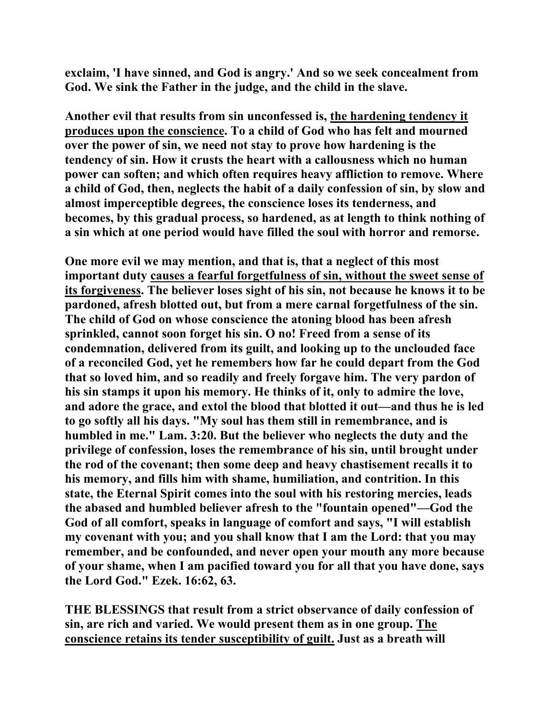**exclaim, 'I have sinned, and God is angry.' And so we seek concealment from God. We sink the Father in the judge, and the child in the slave.** 

**Another evil that results from sin unconfessed is, the hardening tendency it produces upon the conscience. To a child of God who has felt and mourned over the power of sin, we need not stay to prove how hardening is the tendency of sin. How it crusts the heart with a callousness which no human power can soften; and which often requires heavy affliction to remove. Where a child of God, then, neglects the habit of a daily confession of sin, by slow and almost imperceptible degrees, the conscience loses its tenderness, and becomes, by this gradual process, so hardened, as at length to think nothing of a sin which at one period would have filled the soul with horror and remorse.** 

**One more evil we may mention, and that is, that a neglect of this most important duty causes a fearful forgetfulness of sin, without the sweet sense of its forgiveness. The believer loses sight of his sin, not because he knows it to be pardoned, afresh blotted out, but from a mere carnal forgetfulness of the sin. The child of God on whose conscience the atoning blood has been afresh sprinkled, cannot soon forget his sin. O no! Freed from a sense of its condemnation, delivered from its guilt, and looking up to the unclouded face of a reconciled God, yet he remembers how far he could depart from the God that so loved him, and so readily and freely forgave him. The very pardon of his sin stamps it upon his memory. He thinks of it, only to admire the love, and adore the grace, and extol the blood that blotted it out—and thus he is led to go softly all his days. "My soul has them still in remembrance, and is humbled in me." Lam. 3:20. But the believer who neglects the duty and the privilege of confession, loses the remembrance of his sin, until brought under the rod of the covenant; then some deep and heavy chastisement recalls it to his memory, and fills him with shame, humiliation, and contrition. In this state, the Eternal Spirit comes into the soul with his restoring mercies, leads the abased and humbled believer afresh to the "fountain opened"—God the God of all comfort, speaks in language of comfort and says, "I will establish my covenant with you; and you shall know that I am the Lord: that you may remember, and be confounded, and never open your mouth any more because of your shame, when I am pacified toward you for all that you have done, says the Lord God." Ezek. 16:62, 63.** 

**THE BLESSINGS that result from a strict observance of daily confession of sin, are rich and varied. We would present them as in one group. The conscience retains its tender susceptibility of guilt. Just as a breath will**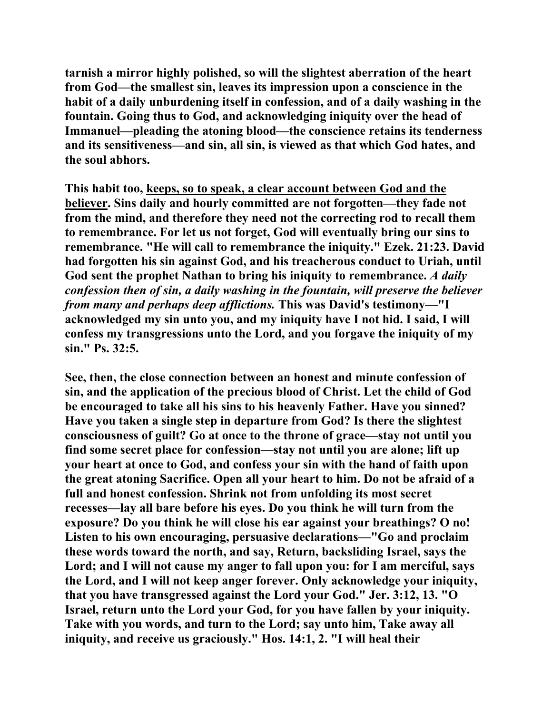**tarnish a mirror highly polished, so will the slightest aberration of the heart from God—the smallest sin, leaves its impression upon a conscience in the habit of a daily unburdening itself in confession, and of a daily washing in the fountain. Going thus to God, and acknowledging iniquity over the head of Immanuel—pleading the atoning blood—the conscience retains its tenderness and its sensitiveness—and sin, all sin, is viewed as that which God hates, and the soul abhors.** 

**This habit too, keeps, so to speak, a clear account between God and the believer. Sins daily and hourly committed are not forgotten—they fade not from the mind, and therefore they need not the correcting rod to recall them to remembrance. For let us not forget, God will eventually bring our sins to remembrance. "He will call to remembrance the iniquity." Ezek. 21:23. David had forgotten his sin against God, and his treacherous conduct to Uriah, until God sent the prophet Nathan to bring his iniquity to remembrance.** *A daily confession then of sin, a daily washing in the fountain, will preserve the believer from many and perhaps deep afflictions.* **This was David's testimony—"I acknowledged my sin unto you, and my iniquity have I not hid. I said, I will confess my transgressions unto the Lord, and you forgave the iniquity of my sin." Ps. 32:5.** 

**See, then, the close connection between an honest and minute confession of sin, and the application of the precious blood of Christ. Let the child of God be encouraged to take all his sins to his heavenly Father. Have you sinned? Have you taken a single step in departure from God? Is there the slightest consciousness of guilt? Go at once to the throne of grace—stay not until you find some secret place for confession—stay not until you are alone; lift up your heart at once to God, and confess your sin with the hand of faith upon the great atoning Sacrifice. Open all your heart to him. Do not be afraid of a full and honest confession. Shrink not from unfolding its most secret recesses—lay all bare before his eyes. Do you think he will turn from the exposure? Do you think he will close his ear against your breathings? O no! Listen to his own encouraging, persuasive declarations—"Go and proclaim these words toward the north, and say, Return, backsliding Israel, says the Lord; and I will not cause my anger to fall upon you: for I am merciful, says the Lord, and I will not keep anger forever. Only acknowledge your iniquity, that you have transgressed against the Lord your God." Jer. 3:12, 13. "O Israel, return unto the Lord your God, for you have fallen by your iniquity. Take with you words, and turn to the Lord; say unto him, Take away all iniquity, and receive us graciously." Hos. 14:1, 2. "I will heal their**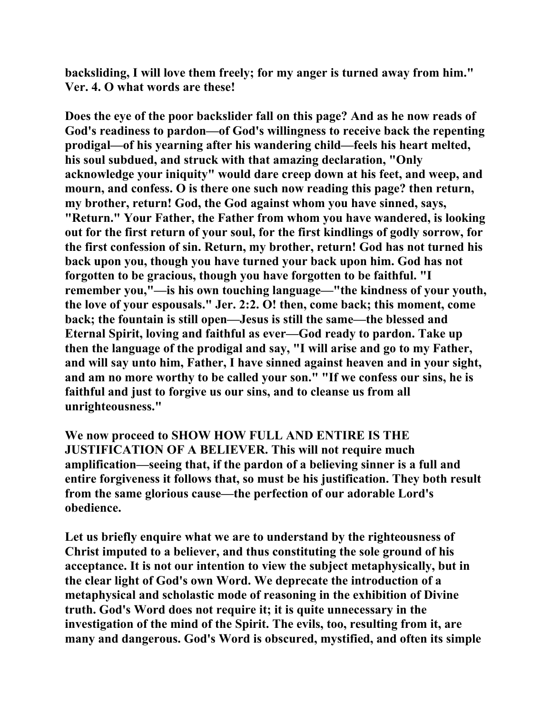**backsliding, I will love them freely; for my anger is turned away from him." Ver. 4. O what words are these!** 

**Does the eye of the poor backslider fall on this page? And as he now reads of God's readiness to pardon—of God's willingness to receive back the repenting prodigal—of his yearning after his wandering child—feels his heart melted, his soul subdued, and struck with that amazing declaration, "Only acknowledge your iniquity" would dare creep down at his feet, and weep, and mourn, and confess. O is there one such now reading this page? then return, my brother, return! God, the God against whom you have sinned, says, "Return." Your Father, the Father from whom you have wandered, is looking out for the first return of your soul, for the first kindlings of godly sorrow, for the first confession of sin. Return, my brother, return! God has not turned his back upon you, though you have turned your back upon him. God has not forgotten to be gracious, though you have forgotten to be faithful. "I remember you,"—is his own touching language—"the kindness of your youth, the love of your espousals." Jer. 2:2. O! then, come back; this moment, come back; the fountain is still open—Jesus is still the same—the blessed and Eternal Spirit, loving and faithful as ever—God ready to pardon. Take up then the language of the prodigal and say, "I will arise and go to my Father, and will say unto him, Father, I have sinned against heaven and in your sight, and am no more worthy to be called your son." "If we confess our sins, he is faithful and just to forgive us our sins, and to cleanse us from all unrighteousness."** 

**We now proceed to SHOW HOW FULL AND ENTIRE IS THE JUSTIFICATION OF A BELIEVER. This will not require much amplification—seeing that, if the pardon of a believing sinner is a full and entire forgiveness it follows that, so must be his justification. They both result from the same glorious cause—the perfection of our adorable Lord's obedience.** 

**Let us briefly enquire what we are to understand by the righteousness of Christ imputed to a believer, and thus constituting the sole ground of his acceptance. It is not our intention to view the subject metaphysically, but in the clear light of God's own Word. We deprecate the introduction of a metaphysical and scholastic mode of reasoning in the exhibition of Divine truth. God's Word does not require it; it is quite unnecessary in the investigation of the mind of the Spirit. The evils, too, resulting from it, are many and dangerous. God's Word is obscured, mystified, and often its simple**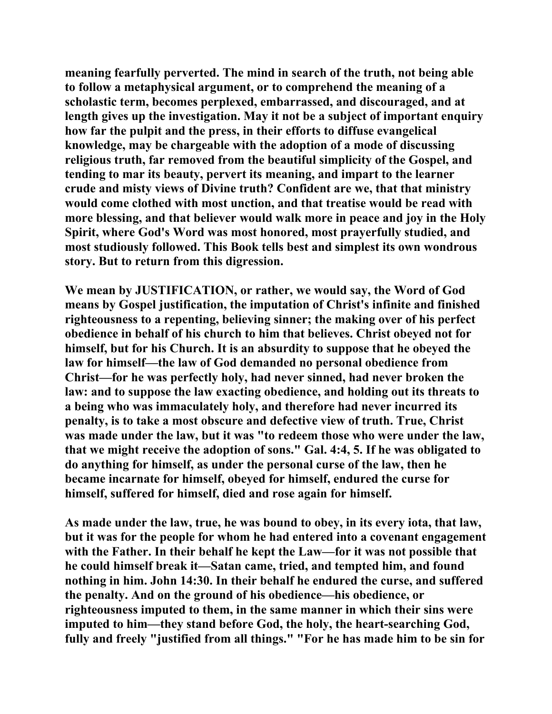**meaning fearfully perverted. The mind in search of the truth, not being able to follow a metaphysical argument, or to comprehend the meaning of a scholastic term, becomes perplexed, embarrassed, and discouraged, and at length gives up the investigation. May it not be a subject of important enquiry how far the pulpit and the press, in their efforts to diffuse evangelical knowledge, may be chargeable with the adoption of a mode of discussing religious truth, far removed from the beautiful simplicity of the Gospel, and tending to mar its beauty, pervert its meaning, and impart to the learner crude and misty views of Divine truth? Confident are we, that that ministry would come clothed with most unction, and that treatise would be read with more blessing, and that believer would walk more in peace and joy in the Holy Spirit, where God's Word was most honored, most prayerfully studied, and most studiously followed. This Book tells best and simplest its own wondrous story. But to return from this digression.** 

**We mean by JUSTIFICATION, or rather, we would say, the Word of God means by Gospel justification, the imputation of Christ's infinite and finished righteousness to a repenting, believing sinner; the making over of his perfect obedience in behalf of his church to him that believes. Christ obeyed not for himself, but for his Church. It is an absurdity to suppose that he obeyed the law for himself—the law of God demanded no personal obedience from Christ—for he was perfectly holy, had never sinned, had never broken the law: and to suppose the law exacting obedience, and holding out its threats to a being who was immaculately holy, and therefore had never incurred its penalty, is to take a most obscure and defective view of truth. True, Christ was made under the law, but it was "to redeem those who were under the law, that we might receive the adoption of sons." Gal. 4:4, 5. If he was obligated to do anything for himself, as under the personal curse of the law, then he became incarnate for himself, obeyed for himself, endured the curse for himself, suffered for himself, died and rose again for himself.** 

**As made under the law, true, he was bound to obey, in its every iota, that law, but it was for the people for whom he had entered into a covenant engagement with the Father. In their behalf he kept the Law—for it was not possible that he could himself break it—Satan came, tried, and tempted him, and found nothing in him. John 14:30. In their behalf he endured the curse, and suffered the penalty. And on the ground of his obedience—his obedience, or righteousness imputed to them, in the same manner in which their sins were imputed to him—they stand before God, the holy, the heart-searching God, fully and freely "justified from all things." "For he has made him to be sin for**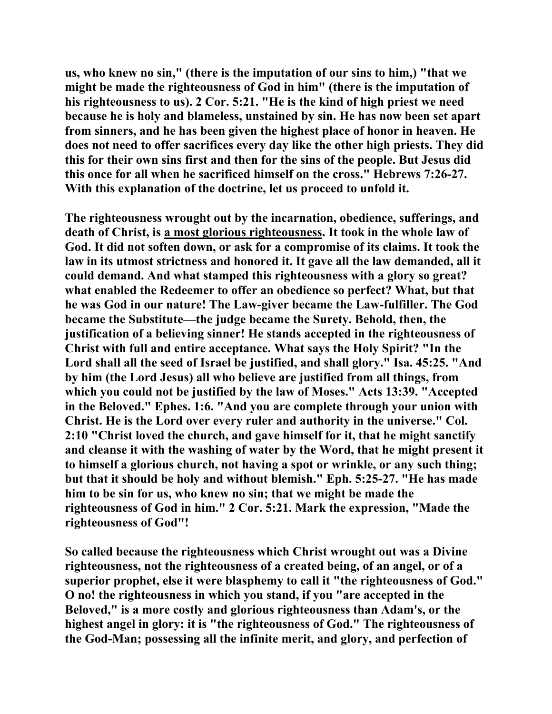**us, who knew no sin," (there is the imputation of our sins to him,) "that we might be made the righteousness of God in him" (there is the imputation of his righteousness to us). 2 Cor. 5:21. "He is the kind of high priest we need because he is holy and blameless, unstained by sin. He has now been set apart from sinners, and he has been given the highest place of honor in heaven. He does not need to offer sacrifices every day like the other high priests. They did this for their own sins first and then for the sins of the people. But Jesus did this once for all when he sacrificed himself on the cross." Hebrews 7:26-27. With this explanation of the doctrine, let us proceed to unfold it.** 

**The righteousness wrought out by the incarnation, obedience, sufferings, and death of Christ, is a most glorious righteousness. It took in the whole law of God. It did not soften down, or ask for a compromise of its claims. It took the law in its utmost strictness and honored it. It gave all the law demanded, all it could demand. And what stamped this righteousness with a glory so great? what enabled the Redeemer to offer an obedience so perfect? What, but that he was God in our nature! The Law-giver became the Law-fulfiller. The God became the Substitute—the judge became the Surety. Behold, then, the justification of a believing sinner! He stands accepted in the righteousness of Christ with full and entire acceptance. What says the Holy Spirit? "In the Lord shall all the seed of Israel be justified, and shall glory." Isa. 45:25. "And by him (the Lord Jesus) all who believe are justified from all things, from which you could not be justified by the law of Moses." Acts 13:39. "Accepted in the Beloved." Ephes. 1:6. "And you are complete through your union with Christ. He is the Lord over every ruler and authority in the universe." Col. 2:10 "Christ loved the church, and gave himself for it, that he might sanctify and cleanse it with the washing of water by the Word, that he might present it to himself a glorious church, not having a spot or wrinkle, or any such thing; but that it should be holy and without blemish." Eph. 5:25-27. "He has made him to be sin for us, who knew no sin; that we might be made the righteousness of God in him." 2 Cor. 5:21. Mark the expression, "Made the righteousness of God"!** 

**So called because the righteousness which Christ wrought out was a Divine righteousness, not the righteousness of a created being, of an angel, or of a superior prophet, else it were blasphemy to call it "the righteousness of God." O no! the righteousness in which you stand, if you "are accepted in the Beloved," is a more costly and glorious righteousness than Adam's, or the highest angel in glory: it is "the righteousness of God." The righteousness of the God-Man; possessing all the infinite merit, and glory, and perfection of**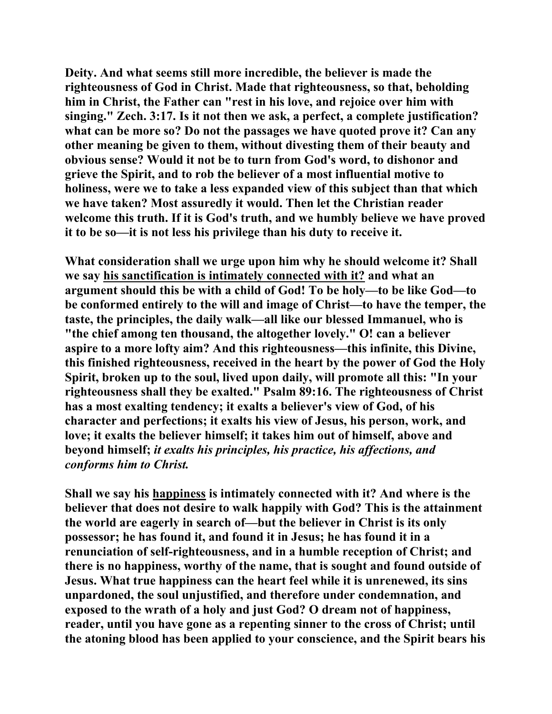**Deity. And what seems still more incredible, the believer is made the righteousness of God in Christ. Made that righteousness, so that, beholding him in Christ, the Father can "rest in his love, and rejoice over him with singing." Zech. 3:17. Is it not then we ask, a perfect, a complete justification? what can be more so? Do not the passages we have quoted prove it? Can any other meaning be given to them, without divesting them of their beauty and obvious sense? Would it not be to turn from God's word, to dishonor and grieve the Spirit, and to rob the believer of a most influential motive to holiness, were we to take a less expanded view of this subject than that which we have taken? Most assuredly it would. Then let the Christian reader welcome this truth. If it is God's truth, and we humbly believe we have proved it to be so—it is not less his privilege than his duty to receive it.** 

**What consideration shall we urge upon him why he should welcome it? Shall we say his sanctification is intimately connected with it? and what an argument should this be with a child of God! To be holy—to be like God—to be conformed entirely to the will and image of Christ—to have the temper, the taste, the principles, the daily walk—all like our blessed Immanuel, who is "the chief among ten thousand, the altogether lovely." O! can a believer aspire to a more lofty aim? And this righteousness—this infinite, this Divine, this finished righteousness, received in the heart by the power of God the Holy Spirit, broken up to the soul, lived upon daily, will promote all this: "In your righteousness shall they be exalted." Psalm 89:16. The righteousness of Christ has a most exalting tendency; it exalts a believer's view of God, of his character and perfections; it exalts his view of Jesus, his person, work, and love; it exalts the believer himself; it takes him out of himself, above and beyond himself;** *it exalts his principles, his practice, his affections, and conforms him to Christ.*

**Shall we say his happiness is intimately connected with it? And where is the believer that does not desire to walk happily with God? This is the attainment the world are eagerly in search of—but the believer in Christ is its only possessor; he has found it, and found it in Jesus; he has found it in a renunciation of self-righteousness, and in a humble reception of Christ; and there is no happiness, worthy of the name, that is sought and found outside of Jesus. What true happiness can the heart feel while it is unrenewed, its sins unpardoned, the soul unjustified, and therefore under condemnation, and exposed to the wrath of a holy and just God? O dream not of happiness, reader, until you have gone as a repenting sinner to the cross of Christ; until the atoning blood has been applied to your conscience, and the Spirit bears his**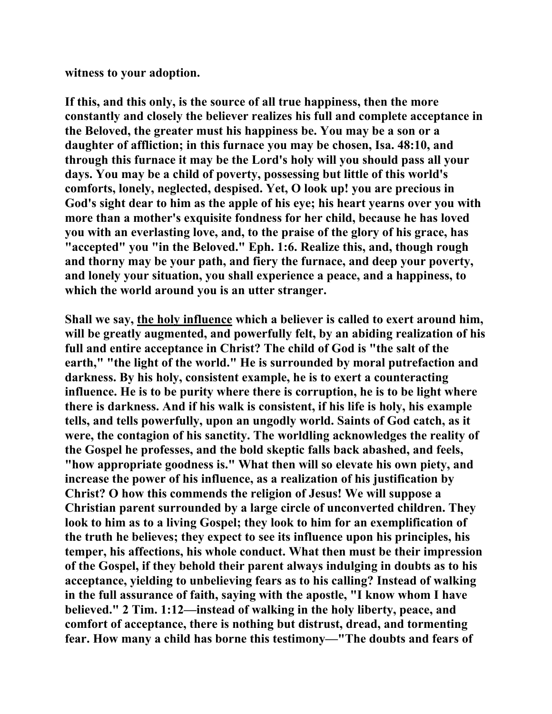**witness to your adoption.** 

**If this, and this only, is the source of all true happiness, then the more constantly and closely the believer realizes his full and complete acceptance in the Beloved, the greater must his happiness be. You may be a son or a daughter of affliction; in this furnace you may be chosen, Isa. 48:10, and through this furnace it may be the Lord's holy will you should pass all your days. You may be a child of poverty, possessing but little of this world's comforts, lonely, neglected, despised. Yet, O look up! you are precious in God's sight dear to him as the apple of his eye; his heart yearns over you with more than a mother's exquisite fondness for her child, because he has loved you with an everlasting love, and, to the praise of the glory of his grace, has "accepted" you "in the Beloved." Eph. 1:6. Realize this, and, though rough and thorny may be your path, and fiery the furnace, and deep your poverty, and lonely your situation, you shall experience a peace, and a happiness, to which the world around you is an utter stranger.** 

**Shall we say, the holy influence which a believer is called to exert around him, will be greatly augmented, and powerfully felt, by an abiding realization of his full and entire acceptance in Christ? The child of God is "the salt of the earth," "the light of the world." He is surrounded by moral putrefaction and darkness. By his holy, consistent example, he is to exert a counteracting influence. He is to be purity where there is corruption, he is to be light where there is darkness. And if his walk is consistent, if his life is holy, his example tells, and tells powerfully, upon an ungodly world. Saints of God catch, as it were, the contagion of his sanctity. The worldling acknowledges the reality of the Gospel he professes, and the bold skeptic falls back abashed, and feels, "how appropriate goodness is." What then will so elevate his own piety, and increase the power of his influence, as a realization of his justification by Christ? O how this commends the religion of Jesus! We will suppose a Christian parent surrounded by a large circle of unconverted children. They look to him as to a living Gospel; they look to him for an exemplification of the truth he believes; they expect to see its influence upon his principles, his temper, his affections, his whole conduct. What then must be their impression of the Gospel, if they behold their parent always indulging in doubts as to his acceptance, yielding to unbelieving fears as to his calling? Instead of walking in the full assurance of faith, saying with the apostle, "I know whom I have believed." 2 Tim. 1:12—instead of walking in the holy liberty, peace, and comfort of acceptance, there is nothing but distrust, dread, and tormenting fear. How many a child has borne this testimony—"The doubts and fears of**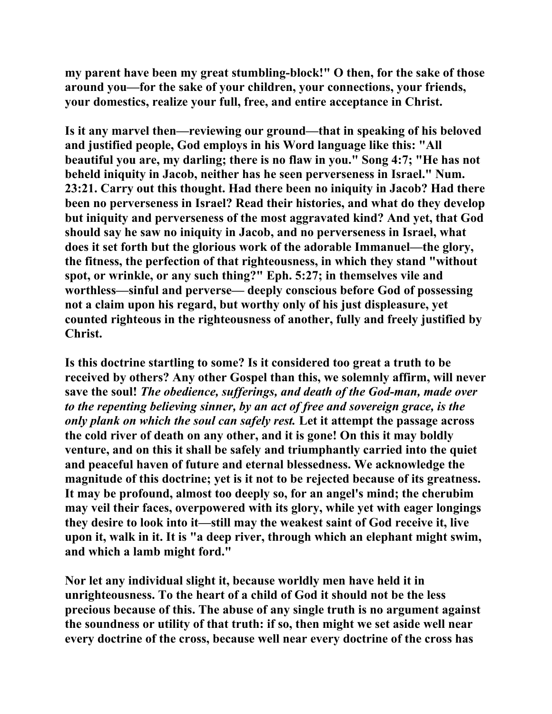**my parent have been my great stumbling-block!" O then, for the sake of those around you—for the sake of your children, your connections, your friends, your domestics, realize your full, free, and entire acceptance in Christ.** 

**Is it any marvel then—reviewing our ground—that in speaking of his beloved and justified people, God employs in his Word language like this: "All beautiful you are, my darling; there is no flaw in you." Song 4:7; "He has not beheld iniquity in Jacob, neither has he seen perverseness in Israel." Num. 23:21. Carry out this thought. Had there been no iniquity in Jacob? Had there been no perverseness in Israel? Read their histories, and what do they develop but iniquity and perverseness of the most aggravated kind? And yet, that God should say he saw no iniquity in Jacob, and no perverseness in Israel, what does it set forth but the glorious work of the adorable Immanuel—the glory, the fitness, the perfection of that righteousness, in which they stand "without spot, or wrinkle, or any such thing?" Eph. 5:27; in themselves vile and worthless—sinful and perverse— deeply conscious before God of possessing not a claim upon his regard, but worthy only of his just displeasure, yet counted righteous in the righteousness of another, fully and freely justified by Christ.** 

**Is this doctrine startling to some? Is it considered too great a truth to be received by others? Any other Gospel than this, we solemnly affirm, will never save the soul!** *The obedience, sufferings, and death of the God-man, made over to the repenting believing sinner, by an act of free and sovereign grace, is the only plank on which the soul can safely rest.* **Let it attempt the passage across the cold river of death on any other, and it is gone! On this it may boldly venture, and on this it shall be safely and triumphantly carried into the quiet and peaceful haven of future and eternal blessedness. We acknowledge the magnitude of this doctrine; yet is it not to be rejected because of its greatness. It may be profound, almost too deeply so, for an angel's mind; the cherubim may veil their faces, overpowered with its glory, while yet with eager longings they desire to look into it—still may the weakest saint of God receive it, live upon it, walk in it. It is "a deep river, through which an elephant might swim, and which a lamb might ford."** 

**Nor let any individual slight it, because worldly men have held it in unrighteousness. To the heart of a child of God it should not be the less precious because of this. The abuse of any single truth is no argument against the soundness or utility of that truth: if so, then might we set aside well near every doctrine of the cross, because well near every doctrine of the cross has**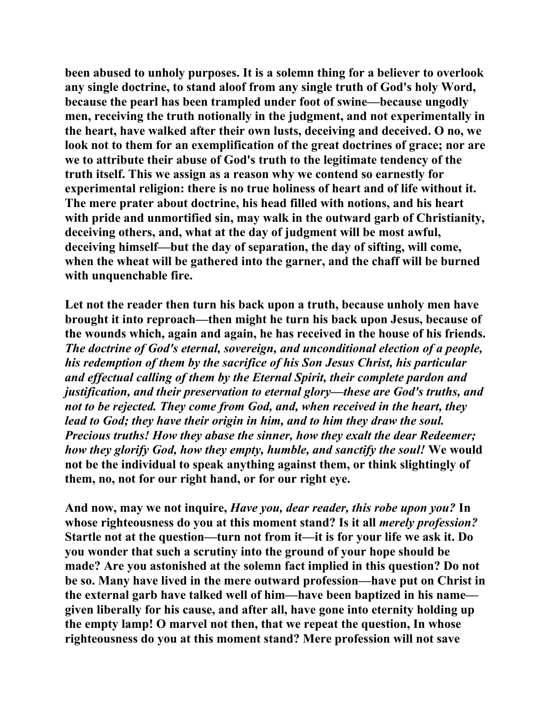**been abused to unholy purposes. It is a solemn thing for a believer to overlook any single doctrine, to stand aloof from any single truth of God's holy Word, because the pearl has been trampled under foot of swine—because ungodly men, receiving the truth notionally in the judgment, and not experimentally in the heart, have walked after their own lusts, deceiving and deceived. O no, we look not to them for an exemplification of the great doctrines of grace; nor are we to attribute their abuse of God's truth to the legitimate tendency of the truth itself. This we assign as a reason why we contend so earnestly for experimental religion: there is no true holiness of heart and of life without it. The mere prater about doctrine, his head filled with notions, and his heart with pride and unmortified sin, may walk in the outward garb of Christianity, deceiving others, and, what at the day of judgment will be most awful, deceiving himself—but the day of separation, the day of sifting, will come, when the wheat will be gathered into the garner, and the chaff will be burned with unquenchable fire.** 

**Let not the reader then turn his back upon a truth, because unholy men have brought it into reproach—then might he turn his back upon Jesus, because of the wounds which, again and again, he has received in the house of his friends.**  *The doctrine of God's eternal, sovereign, and unconditional election of a people, his redemption of them by the sacrifice of his Son Jesus Christ, his particular and effectual calling of them by the Eternal Spirit, their complete pardon and justification, and their preservation to eternal glory—these are God's truths, and not to be rejected. They come from God, and, when received in the heart, they lead to God; they have their origin in him, and to him they draw the soul. Precious truths! How they abase the sinner, how they exalt the dear Redeemer; how they glorify God, how they empty, humble, and sanctify the soul!* **We would not be the individual to speak anything against them, or think slightingly of them, no, not for our right hand, or for our right eye.** 

**And now, may we not inquire,** *Have you, dear reader, this robe upon you?* **In whose righteousness do you at this moment stand? Is it all** *merely profession?* **Startle not at the question—turn not from it—it is for your life we ask it. Do you wonder that such a scrutiny into the ground of your hope should be made? Are you astonished at the solemn fact implied in this question? Do not be so. Many have lived in the mere outward profession—have put on Christ in the external garb have talked well of him—have been baptized in his name given liberally for his cause, and after all, have gone into eternity holding up the empty lamp! O marvel not then, that we repeat the question, In whose righteousness do you at this moment stand? Mere profession will not save**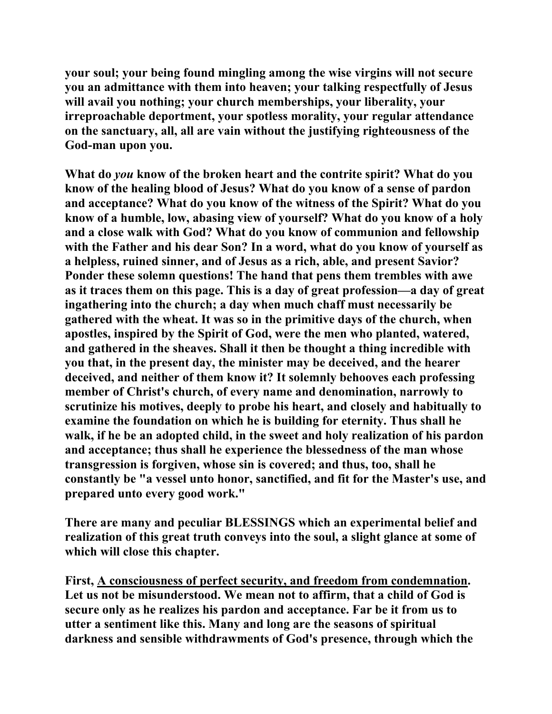**your soul; your being found mingling among the wise virgins will not secure you an admittance with them into heaven; your talking respectfully of Jesus will avail you nothing; your church memberships, your liberality, your irreproachable deportment, your spotless morality, your regular attendance on the sanctuary, all, all are vain without the justifying righteousness of the God-man upon you.** 

**What do** *you* **know of the broken heart and the contrite spirit? What do you know of the healing blood of Jesus? What do you know of a sense of pardon and acceptance? What do you know of the witness of the Spirit? What do you know of a humble, low, abasing view of yourself? What do you know of a holy and a close walk with God? What do you know of communion and fellowship with the Father and his dear Son? In a word, what do you know of yourself as a helpless, ruined sinner, and of Jesus as a rich, able, and present Savior? Ponder these solemn questions! The hand that pens them trembles with awe as it traces them on this page. This is a day of great profession—a day of great ingathering into the church; a day when much chaff must necessarily be gathered with the wheat. It was so in the primitive days of the church, when apostles, inspired by the Spirit of God, were the men who planted, watered, and gathered in the sheaves. Shall it then be thought a thing incredible with you that, in the present day, the minister may be deceived, and the hearer deceived, and neither of them know it? It solemnly behooves each professing member of Christ's church, of every name and denomination, narrowly to scrutinize his motives, deeply to probe his heart, and closely and habitually to examine the foundation on which he is building for eternity. Thus shall he walk, if he be an adopted child, in the sweet and holy realization of his pardon and acceptance; thus shall he experience the blessedness of the man whose transgression is forgiven, whose sin is covered; and thus, too, shall he constantly be "a vessel unto honor, sanctified, and fit for the Master's use, and prepared unto every good work."** 

**There are many and peculiar BLESSINGS which an experimental belief and realization of this great truth conveys into the soul, a slight glance at some of which will close this chapter.** 

**First, A consciousness of perfect security, and freedom from condemnation. Let us not be misunderstood. We mean not to affirm, that a child of God is secure only as he realizes his pardon and acceptance. Far be it from us to utter a sentiment like this. Many and long are the seasons of spiritual darkness and sensible withdrawments of God's presence, through which the**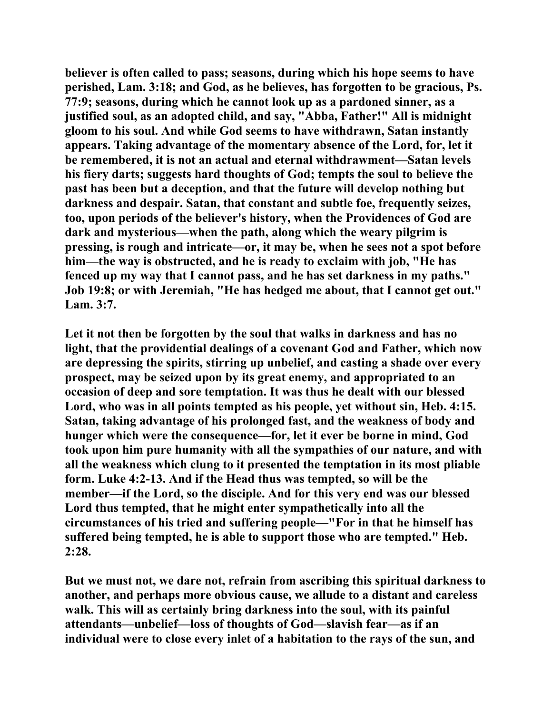**believer is often called to pass; seasons, during which his hope seems to have perished, Lam. 3:18; and God, as he believes, has forgotten to be gracious, Ps. 77:9; seasons, during which he cannot look up as a pardoned sinner, as a justified soul, as an adopted child, and say, "Abba, Father!" All is midnight gloom to his soul. And while God seems to have withdrawn, Satan instantly appears. Taking advantage of the momentary absence of the Lord, for, let it be remembered, it is not an actual and eternal withdrawment—Satan levels his fiery darts; suggests hard thoughts of God; tempts the soul to believe the past has been but a deception, and that the future will develop nothing but darkness and despair. Satan, that constant and subtle foe, frequently seizes, too, upon periods of the believer's history, when the Providences of God are dark and mysterious—when the path, along which the weary pilgrim is pressing, is rough and intricate—or, it may be, when he sees not a spot before him—the way is obstructed, and he is ready to exclaim with job, "He has fenced up my way that I cannot pass, and he has set darkness in my paths." Job 19:8; or with Jeremiah, "He has hedged me about, that I cannot get out." Lam. 3:7.** 

**Let it not then be forgotten by the soul that walks in darkness and has no light, that the providential dealings of a covenant God and Father, which now are depressing the spirits, stirring up unbelief, and casting a shade over every prospect, may be seized upon by its great enemy, and appropriated to an occasion of deep and sore temptation. It was thus he dealt with our blessed Lord, who was in all points tempted as his people, yet without sin, Heb. 4:15. Satan, taking advantage of his prolonged fast, and the weakness of body and hunger which were the consequence—for, let it ever be borne in mind, God took upon him pure humanity with all the sympathies of our nature, and with all the weakness which clung to it presented the temptation in its most pliable form. Luke 4:2-13. And if the Head thus was tempted, so will be the member—if the Lord, so the disciple. And for this very end was our blessed Lord thus tempted, that he might enter sympathetically into all the circumstances of his tried and suffering people—"For in that he himself has suffered being tempted, he is able to support those who are tempted." Heb. 2:28.** 

**But we must not, we dare not, refrain from ascribing this spiritual darkness to another, and perhaps more obvious cause, we allude to a distant and careless walk. This will as certainly bring darkness into the soul, with its painful attendants—unbelief—loss of thoughts of God—slavish fear—as if an individual were to close every inlet of a habitation to the rays of the sun, and**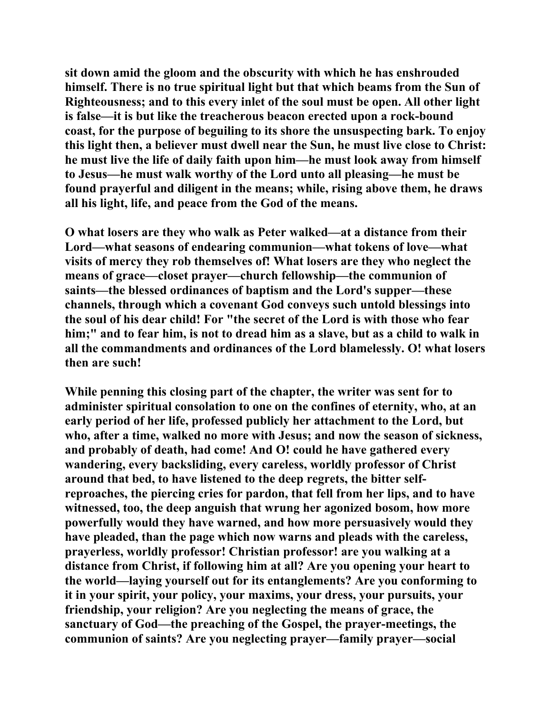**sit down amid the gloom and the obscurity with which he has enshrouded himself. There is no true spiritual light but that which beams from the Sun of Righteousness; and to this every inlet of the soul must be open. All other light is false—it is but like the treacherous beacon erected upon a rock-bound coast, for the purpose of beguiling to its shore the unsuspecting bark. To enjoy this light then, a believer must dwell near the Sun, he must live close to Christ: he must live the life of daily faith upon him—he must look away from himself to Jesus—he must walk worthy of the Lord unto all pleasing—he must be found prayerful and diligent in the means; while, rising above them, he draws all his light, life, and peace from the God of the means.** 

**O what losers are they who walk as Peter walked—at a distance from their Lord—what seasons of endearing communion—what tokens of love—what visits of mercy they rob themselves of! What losers are they who neglect the means of grace—closet prayer—church fellowship—the communion of saints—the blessed ordinances of baptism and the Lord's supper—these channels, through which a covenant God conveys such untold blessings into the soul of his dear child! For "the secret of the Lord is with those who fear him;" and to fear him, is not to dread him as a slave, but as a child to walk in all the commandments and ordinances of the Lord blamelessly. O! what losers then are such!** 

**While penning this closing part of the chapter, the writer was sent for to administer spiritual consolation to one on the confines of eternity, who, at an early period of her life, professed publicly her attachment to the Lord, but who, after a time, walked no more with Jesus; and now the season of sickness, and probably of death, had come! And O! could he have gathered every wandering, every backsliding, every careless, worldly professor of Christ around that bed, to have listened to the deep regrets, the bitter selfreproaches, the piercing cries for pardon, that fell from her lips, and to have witnessed, too, the deep anguish that wrung her agonized bosom, how more powerfully would they have warned, and how more persuasively would they have pleaded, than the page which now warns and pleads with the careless, prayerless, worldly professor! Christian professor! are you walking at a distance from Christ, if following him at all? Are you opening your heart to the world—laying yourself out for its entanglements? Are you conforming to it in your spirit, your policy, your maxims, your dress, your pursuits, your friendship, your religion? Are you neglecting the means of grace, the sanctuary of God—the preaching of the Gospel, the prayer-meetings, the communion of saints? Are you neglecting prayer—family prayer—social**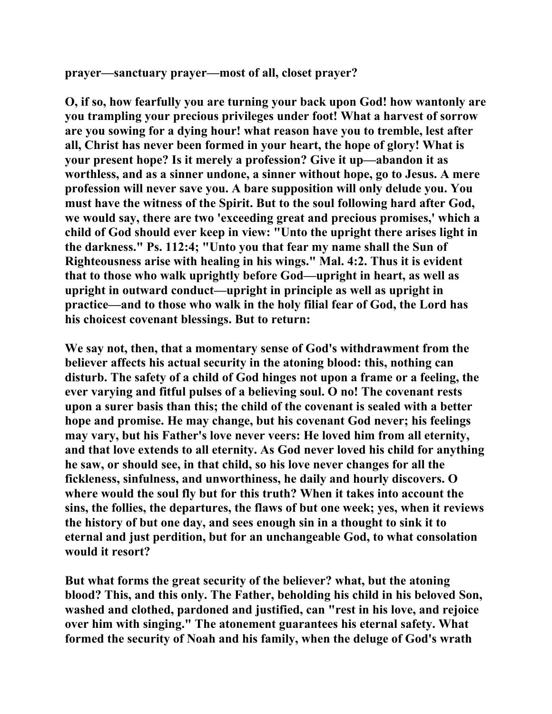**prayer—sanctuary prayer—most of all, closet prayer?** 

**O, if so, how fearfully you are turning your back upon God! how wantonly are you trampling your precious privileges under foot! What a harvest of sorrow are you sowing for a dying hour! what reason have you to tremble, lest after all, Christ has never been formed in your heart, the hope of glory! What is your present hope? Is it merely a profession? Give it up—abandon it as worthless, and as a sinner undone, a sinner without hope, go to Jesus. A mere profession will never save you. A bare supposition will only delude you. You must have the witness of the Spirit. But to the soul following hard after God, we would say, there are two 'exceeding great and precious promises,' which a child of God should ever keep in view: "Unto the upright there arises light in the darkness." Ps. 112:4; "Unto you that fear my name shall the Sun of Righteousness arise with healing in his wings." Mal. 4:2. Thus it is evident that to those who walk uprightly before God—upright in heart, as well as upright in outward conduct—upright in principle as well as upright in practice—and to those who walk in the holy filial fear of God, the Lord has his choicest covenant blessings. But to return:** 

**We say not, then, that a momentary sense of God's withdrawment from the believer affects his actual security in the atoning blood: this, nothing can disturb. The safety of a child of God hinges not upon a frame or a feeling, the ever varying and fitful pulses of a believing soul. O no! The covenant rests upon a surer basis than this; the child of the covenant is sealed with a better hope and promise. He may change, but his covenant God never; his feelings may vary, but his Father's love never veers: He loved him from all eternity, and that love extends to all eternity. As God never loved his child for anything he saw, or should see, in that child, so his love never changes for all the fickleness, sinfulness, and unworthiness, he daily and hourly discovers. O where would the soul fly but for this truth? When it takes into account the sins, the follies, the departures, the flaws of but one week; yes, when it reviews the history of but one day, and sees enough sin in a thought to sink it to eternal and just perdition, but for an unchangeable God, to what consolation would it resort?** 

**But what forms the great security of the believer? what, but the atoning blood? This, and this only. The Father, beholding his child in his beloved Son, washed and clothed, pardoned and justified, can "rest in his love, and rejoice over him with singing." The atonement guarantees his eternal safety. What formed the security of Noah and his family, when the deluge of God's wrath**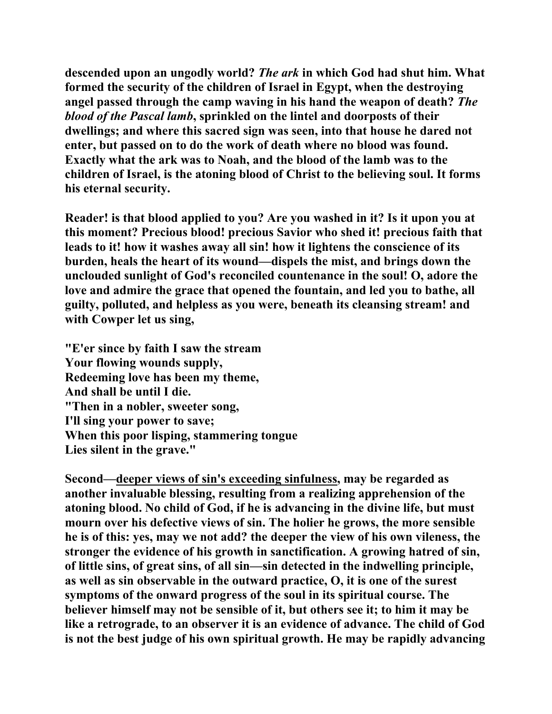**descended upon an ungodly world?** *The ark* **in which God had shut him. What formed the security of the children of Israel in Egypt, when the destroying angel passed through the camp waving in his hand the weapon of death?** *The blood of the Pascal lamb***, sprinkled on the lintel and doorposts of their dwellings; and where this sacred sign was seen, into that house he dared not enter, but passed on to do the work of death where no blood was found. Exactly what the ark was to Noah, and the blood of the lamb was to the children of Israel, is the atoning blood of Christ to the believing soul. It forms his eternal security.** 

**Reader! is that blood applied to you? Are you washed in it? Is it upon you at this moment? Precious blood! precious Savior who shed it! precious faith that leads to it! how it washes away all sin! how it lightens the conscience of its burden, heals the heart of its wound—dispels the mist, and brings down the unclouded sunlight of God's reconciled countenance in the soul! O, adore the love and admire the grace that opened the fountain, and led you to bathe, all guilty, polluted, and helpless as you were, beneath its cleansing stream! and with Cowper let us sing,** 

**"E'er since by faith I saw the stream Your flowing wounds supply, Redeeming love has been my theme, And shall be until I die. "Then in a nobler, sweeter song, I'll sing your power to save; When this poor lisping, stammering tongue Lies silent in the grave."** 

**Second—deeper views of sin's exceeding sinfulness, may be regarded as another invaluable blessing, resulting from a realizing apprehension of the atoning blood. No child of God, if he is advancing in the divine life, but must mourn over his defective views of sin. The holier he grows, the more sensible he is of this: yes, may we not add? the deeper the view of his own vileness, the stronger the evidence of his growth in sanctification. A growing hatred of sin, of little sins, of great sins, of all sin—sin detected in the indwelling principle, as well as sin observable in the outward practice, O, it is one of the surest symptoms of the onward progress of the soul in its spiritual course. The believer himself may not be sensible of it, but others see it; to him it may be like a retrograde, to an observer it is an evidence of advance. The child of God is not the best judge of his own spiritual growth. He may be rapidly advancing**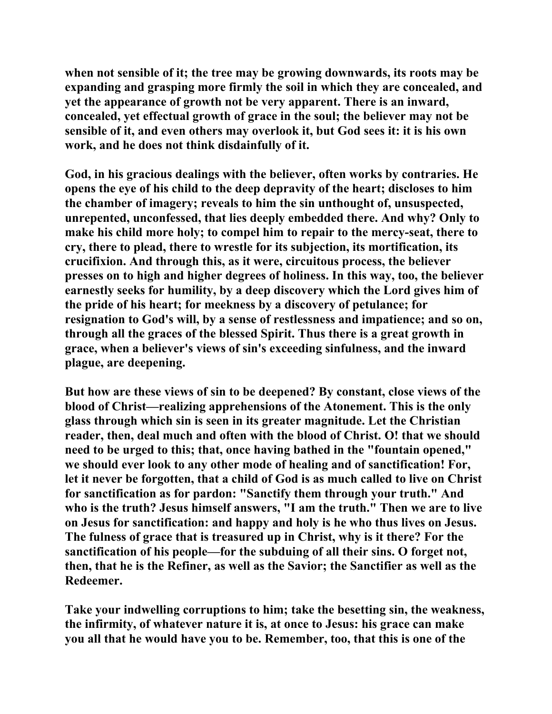**when not sensible of it; the tree may be growing downwards, its roots may be expanding and grasping more firmly the soil in which they are concealed, and yet the appearance of growth not be very apparent. There is an inward, concealed, yet effectual growth of grace in the soul; the believer may not be sensible of it, and even others may overlook it, but God sees it: it is his own work, and he does not think disdainfully of it.** 

**God, in his gracious dealings with the believer, often works by contraries. He opens the eye of his child to the deep depravity of the heart; discloses to him the chamber of imagery; reveals to him the sin unthought of, unsuspected, unrepented, unconfessed, that lies deeply embedded there. And why? Only to make his child more holy; to compel him to repair to the mercy-seat, there to cry, there to plead, there to wrestle for its subjection, its mortification, its crucifixion. And through this, as it were, circuitous process, the believer presses on to high and higher degrees of holiness. In this way, too, the believer earnestly seeks for humility, by a deep discovery which the Lord gives him of the pride of his heart; for meekness by a discovery of petulance; for resignation to God's will, by a sense of restlessness and impatience; and so on, through all the graces of the blessed Spirit. Thus there is a great growth in grace, when a believer's views of sin's exceeding sinfulness, and the inward plague, are deepening.** 

**But how are these views of sin to be deepened? By constant, close views of the blood of Christ—realizing apprehensions of the Atonement. This is the only glass through which sin is seen in its greater magnitude. Let the Christian reader, then, deal much and often with the blood of Christ. O! that we should need to be urged to this; that, once having bathed in the "fountain opened," we should ever look to any other mode of healing and of sanctification! For, let it never be forgotten, that a child of God is as much called to live on Christ for sanctification as for pardon: "Sanctify them through your truth." And who is the truth? Jesus himself answers, "I am the truth." Then we are to live on Jesus for sanctification: and happy and holy is he who thus lives on Jesus. The fulness of grace that is treasured up in Christ, why is it there? For the sanctification of his people—for the subduing of all their sins. O forget not, then, that he is the Refiner, as well as the Savior; the Sanctifier as well as the Redeemer.** 

**Take your indwelling corruptions to him; take the besetting sin, the weakness, the infirmity, of whatever nature it is, at once to Jesus: his grace can make you all that he would have you to be. Remember, too, that this is one of the**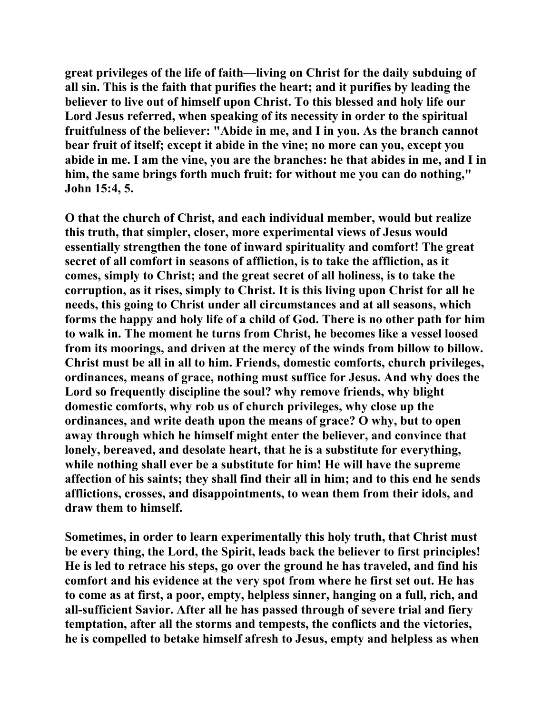**great privileges of the life of faith—living on Christ for the daily subduing of all sin. This is the faith that purifies the heart; and it purifies by leading the believer to live out of himself upon Christ. To this blessed and holy life our Lord Jesus referred, when speaking of its necessity in order to the spiritual fruitfulness of the believer: "Abide in me, and I in you. As the branch cannot bear fruit of itself; except it abide in the vine; no more can you, except you abide in me. I am the vine, you are the branches: he that abides in me, and I in him, the same brings forth much fruit: for without me you can do nothing," John 15:4, 5.** 

**O that the church of Christ, and each individual member, would but realize this truth, that simpler, closer, more experimental views of Jesus would essentially strengthen the tone of inward spirituality and comfort! The great secret of all comfort in seasons of affliction, is to take the affliction, as it comes, simply to Christ; and the great secret of all holiness, is to take the corruption, as it rises, simply to Christ. It is this living upon Christ for all he needs, this going to Christ under all circumstances and at all seasons, which forms the happy and holy life of a child of God. There is no other path for him to walk in. The moment he turns from Christ, he becomes like a vessel loosed from its moorings, and driven at the mercy of the winds from billow to billow. Christ must be all in all to him. Friends, domestic comforts, church privileges, ordinances, means of grace, nothing must suffice for Jesus. And why does the Lord so frequently discipline the soul? why remove friends, why blight domestic comforts, why rob us of church privileges, why close up the ordinances, and write death upon the means of grace? O why, but to open away through which he himself might enter the believer, and convince that lonely, bereaved, and desolate heart, that he is a substitute for everything, while nothing shall ever be a substitute for him! He will have the supreme affection of his saints; they shall find their all in him; and to this end he sends afflictions, crosses, and disappointments, to wean them from their idols, and draw them to himself.** 

**Sometimes, in order to learn experimentally this holy truth, that Christ must be every thing, the Lord, the Spirit, leads back the believer to first principles! He is led to retrace his steps, go over the ground he has traveled, and find his comfort and his evidence at the very spot from where he first set out. He has to come as at first, a poor, empty, helpless sinner, hanging on a full, rich, and all-sufficient Savior. After all he has passed through of severe trial and fiery temptation, after all the storms and tempests, the conflicts and the victories, he is compelled to betake himself afresh to Jesus, empty and helpless as when**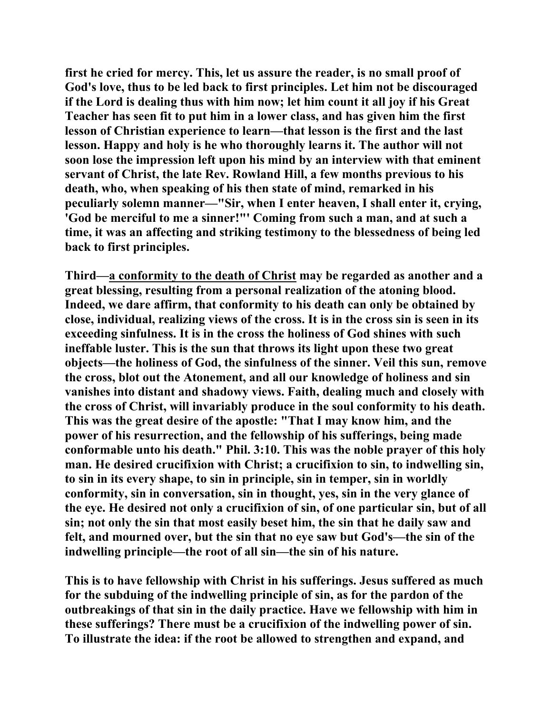**first he cried for mercy. This, let us assure the reader, is no small proof of God's love, thus to be led back to first principles. Let him not be discouraged if the Lord is dealing thus with him now; let him count it all joy if his Great Teacher has seen fit to put him in a lower class, and has given him the first lesson of Christian experience to learn—that lesson is the first and the last lesson. Happy and holy is he who thoroughly learns it. The author will not soon lose the impression left upon his mind by an interview with that eminent servant of Christ, the late Rev. Rowland Hill, a few months previous to his death, who, when speaking of his then state of mind, remarked in his peculiarly solemn manner—"Sir, when I enter heaven, I shall enter it, crying, 'God be merciful to me a sinner!"' Coming from such a man, and at such a time, it was an affecting and striking testimony to the blessedness of being led back to first principles.** 

**Third—a conformity to the death of Christ may be regarded as another and a great blessing, resulting from a personal realization of the atoning blood. Indeed, we dare affirm, that conformity to his death can only be obtained by close, individual, realizing views of the cross. It is in the cross sin is seen in its exceeding sinfulness. It is in the cross the holiness of God shines with such ineffable luster. This is the sun that throws its light upon these two great objects—the holiness of God, the sinfulness of the sinner. Veil this sun, remove the cross, blot out the Atonement, and all our knowledge of holiness and sin vanishes into distant and shadowy views. Faith, dealing much and closely with the cross of Christ, will invariably produce in the soul conformity to his death. This was the great desire of the apostle: "That I may know him, and the power of his resurrection, and the fellowship of his sufferings, being made conformable unto his death." Phil. 3:10. This was the noble prayer of this holy man. He desired crucifixion with Christ; a crucifixion to sin, to indwelling sin, to sin in its every shape, to sin in principle, sin in temper, sin in worldly conformity, sin in conversation, sin in thought, yes, sin in the very glance of the eye. He desired not only a crucifixion of sin, of one particular sin, but of all sin; not only the sin that most easily beset him, the sin that he daily saw and felt, and mourned over, but the sin that no eye saw but God's—the sin of the indwelling principle—the root of all sin—the sin of his nature.** 

**This is to have fellowship with Christ in his sufferings. Jesus suffered as much for the subduing of the indwelling principle of sin, as for the pardon of the outbreakings of that sin in the daily practice. Have we fellowship with him in these sufferings? There must be a crucifixion of the indwelling power of sin. To illustrate the idea: if the root be allowed to strengthen and expand, and**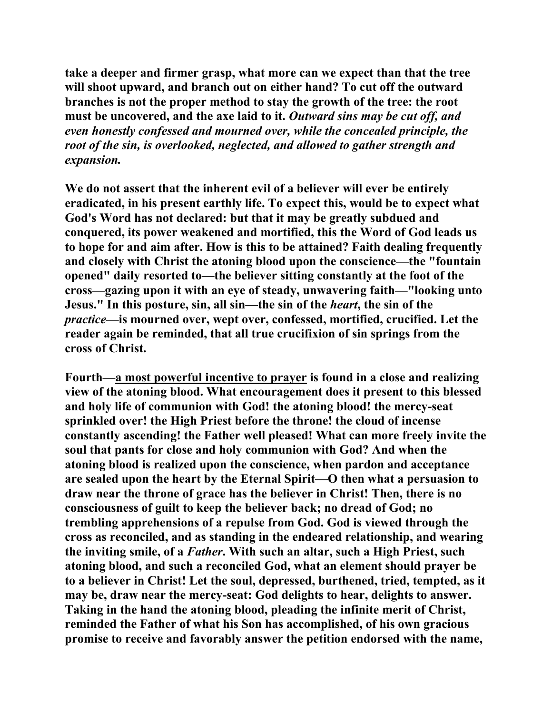**take a deeper and firmer grasp, what more can we expect than that the tree will shoot upward, and branch out on either hand? To cut off the outward branches is not the proper method to stay the growth of the tree: the root must be uncovered, and the axe laid to it.** *Outward sins may be cut off, and even honestly confessed and mourned over, while the concealed principle, the root of the sin, is overlooked, neglected, and allowed to gather strength and expansion.*

**We do not assert that the inherent evil of a believer will ever be entirely eradicated, in his present earthly life. To expect this, would be to expect what God's Word has not declared: but that it may be greatly subdued and conquered, its power weakened and mortified, this the Word of God leads us to hope for and aim after. How is this to be attained? Faith dealing frequently and closely with Christ the atoning blood upon the conscience—the "fountain opened" daily resorted to—the believer sitting constantly at the foot of the cross—gazing upon it with an eye of steady, unwavering faith—"looking unto Jesus." In this posture, sin, all sin—the sin of the** *heart***, the sin of the**  *practice***—is mourned over, wept over, confessed, mortified, crucified. Let the reader again be reminded, that all true crucifixion of sin springs from the cross of Christ.** 

**Fourth—a most powerful incentive to prayer is found in a close and realizing view of the atoning blood. What encouragement does it present to this blessed and holy life of communion with God! the atoning blood! the mercy-seat sprinkled over! the High Priest before the throne! the cloud of incense constantly ascending! the Father well pleased! What can more freely invite the soul that pants for close and holy communion with God? And when the atoning blood is realized upon the conscience, when pardon and acceptance are sealed upon the heart by the Eternal Spirit—O then what a persuasion to draw near the throne of grace has the believer in Christ! Then, there is no consciousness of guilt to keep the believer back; no dread of God; no trembling apprehensions of a repulse from God. God is viewed through the cross as reconciled, and as standing in the endeared relationship, and wearing the inviting smile, of a** *Father***. With such an altar, such a High Priest, such atoning blood, and such a reconciled God, what an element should prayer be to a believer in Christ! Let the soul, depressed, burthened, tried, tempted, as it may be, draw near the mercy-seat: God delights to hear, delights to answer. Taking in the hand the atoning blood, pleading the infinite merit of Christ, reminded the Father of what his Son has accomplished, of his own gracious promise to receive and favorably answer the petition endorsed with the name,**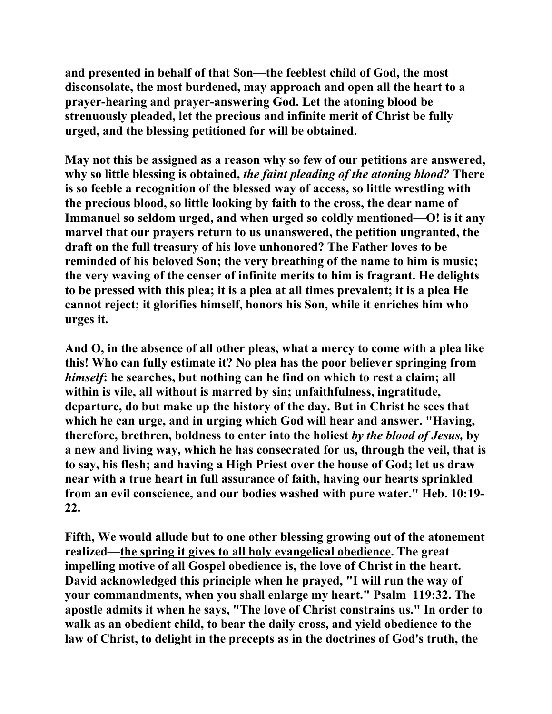**and presented in behalf of that Son—the feeblest child of God, the most disconsolate, the most burdened, may approach and open all the heart to a prayer-hearing and prayer-answering God. Let the atoning blood be strenuously pleaded, let the precious and infinite merit of Christ be fully urged, and the blessing petitioned for will be obtained.** 

**May not this be assigned as a reason why so few of our petitions are answered, why so little blessing is obtained,** *the faint pleading of the atoning blood?* **There is so feeble a recognition of the blessed way of access, so little wrestling with the precious blood, so little looking by faith to the cross, the dear name of Immanuel so seldom urged, and when urged so coldly mentioned—O! is it any marvel that our prayers return to us unanswered, the petition ungranted, the draft on the full treasury of his love unhonored? The Father loves to be reminded of his beloved Son; the very breathing of the name to him is music; the very waving of the censer of infinite merits to him is fragrant. He delights to be pressed with this plea; it is a plea at all times prevalent; it is a plea He cannot reject; it glorifies himself, honors his Son, while it enriches him who urges it.** 

**And O, in the absence of all other pleas, what a mercy to come with a plea like this! Who can fully estimate it? No plea has the poor believer springing from**  *himself***: he searches, but nothing can he find on which to rest a claim; all within is vile, all without is marred by sin; unfaithfulness, ingratitude, departure, do but make up the history of the day. But in Christ he sees that which he can urge, and in urging which God will hear and answer. "Having, therefore, brethren, boldness to enter into the holiest** *by the blood of Jesus,* **by a new and living way, which he has consecrated for us, through the veil, that is to say, his flesh; and having a High Priest over the house of God; let us draw near with a true heart in full assurance of faith, having our hearts sprinkled from an evil conscience, and our bodies washed with pure water." Heb. 10:19- 22.** 

**Fifth, We would allude but to one other blessing growing out of the atonement realized—the spring it gives to all holy evangelical obedience. The great impelling motive of all Gospel obedience is, the love of Christ in the heart. David acknowledged this principle when he prayed, "I will run the way of your commandments, when you shall enlarge my heart." Psalm 119:32. The apostle admits it when he says, "The love of Christ constrains us." In order to walk as an obedient child, to bear the daily cross, and yield obedience to the law of Christ, to delight in the precepts as in the doctrines of God's truth, the**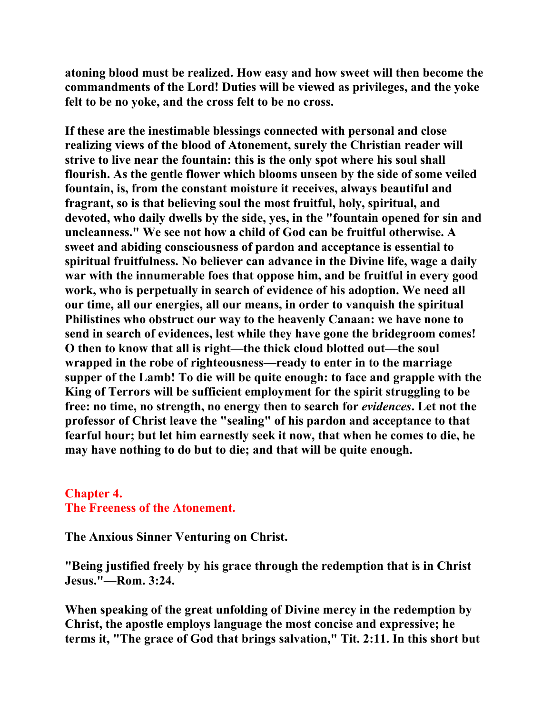**atoning blood must be realized. How easy and how sweet will then become the commandments of the Lord! Duties will be viewed as privileges, and the yoke felt to be no yoke, and the cross felt to be no cross.** 

**If these are the inestimable blessings connected with personal and close realizing views of the blood of Atonement, surely the Christian reader will strive to live near the fountain: this is the only spot where his soul shall flourish. As the gentle flower which blooms unseen by the side of some veiled fountain, is, from the constant moisture it receives, always beautiful and fragrant, so is that believing soul the most fruitful, holy, spiritual, and devoted, who daily dwells by the side, yes, in the "fountain opened for sin and uncleanness." We see not how a child of God can be fruitful otherwise. A sweet and abiding consciousness of pardon and acceptance is essential to spiritual fruitfulness. No believer can advance in the Divine life, wage a daily war with the innumerable foes that oppose him, and be fruitful in every good work, who is perpetually in search of evidence of his adoption. We need all our time, all our energies, all our means, in order to vanquish the spiritual Philistines who obstruct our way to the heavenly Canaan: we have none to send in search of evidences, lest while they have gone the bridegroom comes! O then to know that all is right—the thick cloud blotted out—the soul wrapped in the robe of righteousness—ready to enter in to the marriage supper of the Lamb! To die will be quite enough: to face and grapple with the King of Terrors will be sufficient employment for the spirit struggling to be free: no time, no strength, no energy then to search for** *evidences***. Let not the professor of Christ leave the "sealing" of his pardon and acceptance to that fearful hour; but let him earnestly seek it now, that when he comes to die, he may have nothing to do but to die; and that will be quite enough.** 

## **Chapter 4. The Freeness of the Atonement.**

**The Anxious Sinner Venturing on Christ.** 

**"Being justified freely by his grace through the redemption that is in Christ Jesus."—Rom. 3:24.** 

**When speaking of the great unfolding of Divine mercy in the redemption by Christ, the apostle employs language the most concise and expressive; he terms it, "The grace of God that brings salvation," Tit. 2:11. In this short but**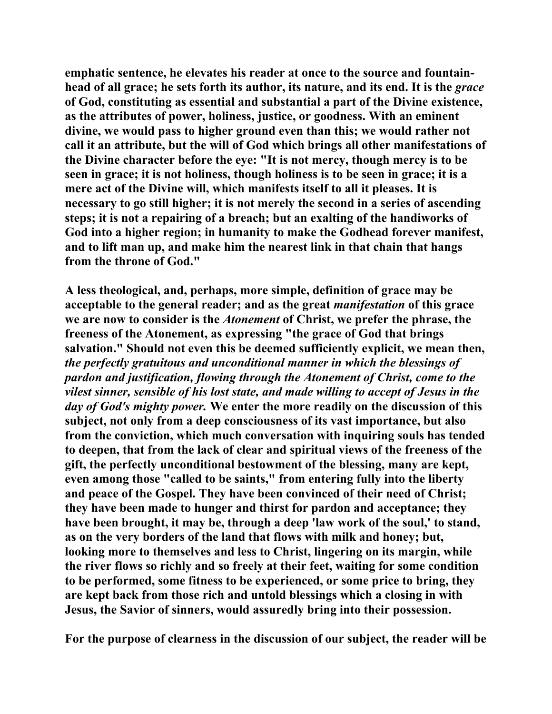**emphatic sentence, he elevates his reader at once to the source and fountainhead of all grace; he sets forth its author, its nature, and its end. It is the** *grace* **of God, constituting as essential and substantial a part of the Divine existence, as the attributes of power, holiness, justice, or goodness. With an eminent divine, we would pass to higher ground even than this; we would rather not call it an attribute, but the will of God which brings all other manifestations of the Divine character before the eye: "It is not mercy, though mercy is to be seen in grace; it is not holiness, though holiness is to be seen in grace; it is a mere act of the Divine will, which manifests itself to all it pleases. It is necessary to go still higher; it is not merely the second in a series of ascending steps; it is not a repairing of a breach; but an exalting of the handiworks of God into a higher region; in humanity to make the Godhead forever manifest, and to lift man up, and make him the nearest link in that chain that hangs from the throne of God."** 

**A less theological, and, perhaps, more simple, definition of grace may be acceptable to the general reader; and as the great** *manifestation* **of this grace we are now to consider is the** *Atonement* **of Christ, we prefer the phrase, the freeness of the Atonement, as expressing "the grace of God that brings salvation." Should not even this be deemed sufficiently explicit, we mean then,**  *the perfectly gratuitous and unconditional manner in which the blessings of pardon and justification, flowing through the Atonement of Christ, come to the vilest sinner, sensible of his lost state, and made willing to accept of Jesus in the day of God's mighty power.* **We enter the more readily on the discussion of this subject, not only from a deep consciousness of its vast importance, but also from the conviction, which much conversation with inquiring souls has tended to deepen, that from the lack of clear and spiritual views of the freeness of the gift, the perfectly unconditional bestowment of the blessing, many are kept, even among those "called to be saints," from entering fully into the liberty and peace of the Gospel. They have been convinced of their need of Christ; they have been made to hunger and thirst for pardon and acceptance; they have been brought, it may be, through a deep 'law work of the soul,' to stand, as on the very borders of the land that flows with milk and honey; but, looking more to themselves and less to Christ, lingering on its margin, while the river flows so richly and so freely at their feet, waiting for some condition to be performed, some fitness to be experienced, or some price to bring, they are kept back from those rich and untold blessings which a closing in with Jesus, the Savior of sinners, would assuredly bring into their possession.** 

**For the purpose of clearness in the discussion of our subject, the reader will be**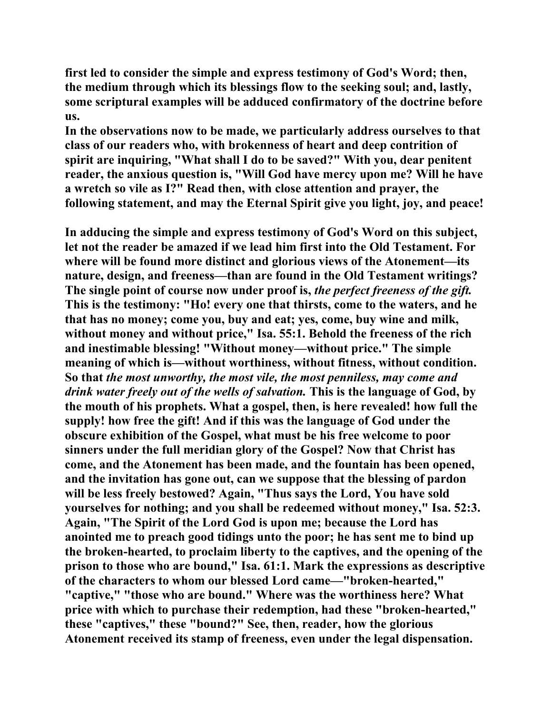**first led to consider the simple and express testimony of God's Word; then, the medium through which its blessings flow to the seeking soul; and, lastly, some scriptural examples will be adduced confirmatory of the doctrine before us.** 

**In the observations now to be made, we particularly address ourselves to that class of our readers who, with brokenness of heart and deep contrition of spirit are inquiring, "What shall I do to be saved?" With you, dear penitent reader, the anxious question is, "Will God have mercy upon me? Will he have a wretch so vile as I?" Read then, with close attention and prayer, the following statement, and may the Eternal Spirit give you light, joy, and peace!** 

**In adducing the simple and express testimony of God's Word on this subject, let not the reader be amazed if we lead him first into the Old Testament. For where will be found more distinct and glorious views of the Atonement—its nature, design, and freeness—than are found in the Old Testament writings? The single point of course now under proof is,** *the perfect freeness of the gift.*  **This is the testimony: "Ho! every one that thirsts, come to the waters, and he that has no money; come you, buy and eat; yes, come, buy wine and milk, without money and without price," Isa. 55:1. Behold the freeness of the rich and inestimable blessing! "Without money—without price." The simple meaning of which is—without worthiness, without fitness, without condition. So that** *the most unworthy, the most vile, the most penniless, may come and drink water freely out of the wells of salvation.* **This is the language of God, by the mouth of his prophets. What a gospel, then, is here revealed! how full the supply! how free the gift! And if this was the language of God under the obscure exhibition of the Gospel, what must be his free welcome to poor sinners under the full meridian glory of the Gospel? Now that Christ has come, and the Atonement has been made, and the fountain has been opened, and the invitation has gone out, can we suppose that the blessing of pardon will be less freely bestowed? Again, "Thus says the Lord, You have sold yourselves for nothing; and you shall be redeemed without money," Isa. 52:3. Again, "The Spirit of the Lord God is upon me; because the Lord has anointed me to preach good tidings unto the poor; he has sent me to bind up the broken-hearted, to proclaim liberty to the captives, and the opening of the prison to those who are bound," Isa. 61:1. Mark the expressions as descriptive of the characters to whom our blessed Lord came—"broken-hearted," "captive," "those who are bound." Where was the worthiness here? What price with which to purchase their redemption, had these "broken-hearted," these "captives," these "bound?" See, then, reader, how the glorious Atonement received its stamp of freeness, even under the legal dispensation.**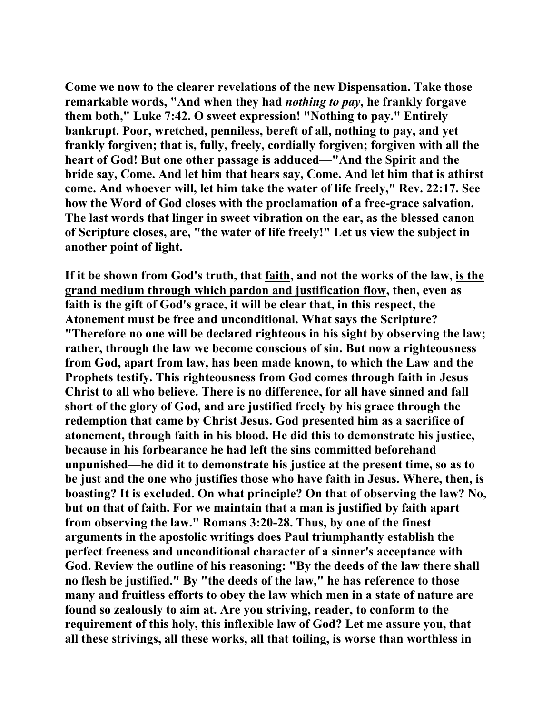**Come we now to the clearer revelations of the new Dispensation. Take those remarkable words, "And when they had** *nothing to pay***, he frankly forgave them both," Luke 7:42. O sweet expression! "Nothing to pay." Entirely bankrupt. Poor, wretched, penniless, bereft of all, nothing to pay, and yet frankly forgiven; that is, fully, freely, cordially forgiven; forgiven with all the heart of God! But one other passage is adduced—"And the Spirit and the bride say, Come. And let him that hears say, Come. And let him that is athirst come. And whoever will, let him take the water of life freely," Rev. 22:17. See how the Word of God closes with the proclamation of a free-grace salvation. The last words that linger in sweet vibration on the ear, as the blessed canon of Scripture closes, are, "the water of life freely!" Let us view the subject in another point of light.** 

**If it be shown from God's truth, that faith, and not the works of the law, is the grand medium through which pardon and justification flow, then, even as faith is the gift of God's grace, it will be clear that, in this respect, the Atonement must be free and unconditional. What says the Scripture? "Therefore no one will be declared righteous in his sight by observing the law; rather, through the law we become conscious of sin. But now a righteousness from God, apart from law, has been made known, to which the Law and the Prophets testify. This righteousness from God comes through faith in Jesus Christ to all who believe. There is no difference, for all have sinned and fall short of the glory of God, and are justified freely by his grace through the redemption that came by Christ Jesus. God presented him as a sacrifice of atonement, through faith in his blood. He did this to demonstrate his justice, because in his forbearance he had left the sins committed beforehand unpunished—he did it to demonstrate his justice at the present time, so as to be just and the one who justifies those who have faith in Jesus. Where, then, is boasting? It is excluded. On what principle? On that of observing the law? No, but on that of faith. For we maintain that a man is justified by faith apart from observing the law." Romans 3:20-28. Thus, by one of the finest arguments in the apostolic writings does Paul triumphantly establish the perfect freeness and unconditional character of a sinner's acceptance with God. Review the outline of his reasoning: "By the deeds of the law there shall no flesh be justified." By "the deeds of the law," he has reference to those many and fruitless efforts to obey the law which men in a state of nature are found so zealously to aim at. Are you striving, reader, to conform to the requirement of this holy, this inflexible law of God? Let me assure you, that all these strivings, all these works, all that toiling, is worse than worthless in**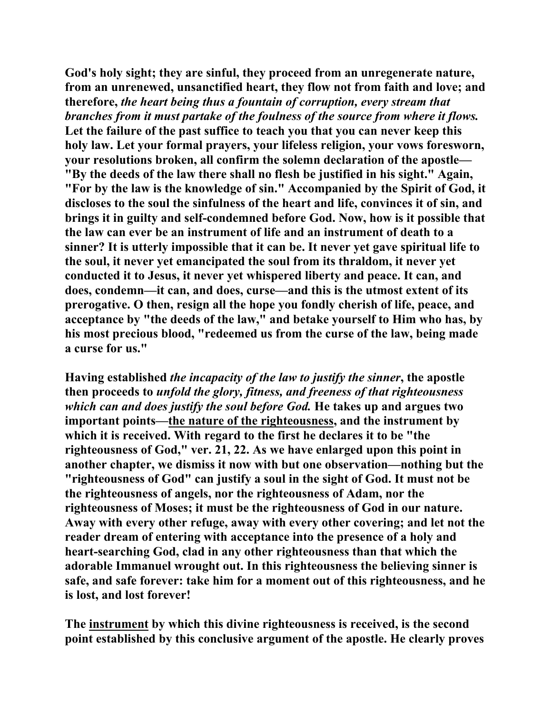**God's holy sight; they are sinful, they proceed from an unregenerate nature, from an unrenewed, unsanctified heart, they flow not from faith and love; and therefore,** *the heart being thus a fountain of corruption, every stream that branches from it must partake of the foulness of the source from where it flows.*  **Let the failure of the past suffice to teach you that you can never keep this holy law. Let your formal prayers, your lifeless religion, your vows foresworn, your resolutions broken, all confirm the solemn declaration of the apostle— "By the deeds of the law there shall no flesh be justified in his sight." Again, "For by the law is the knowledge of sin." Accompanied by the Spirit of God, it discloses to the soul the sinfulness of the heart and life, convinces it of sin, and brings it in guilty and self-condemned before God. Now, how is it possible that the law can ever be an instrument of life and an instrument of death to a sinner? It is utterly impossible that it can be. It never yet gave spiritual life to the soul, it never yet emancipated the soul from its thraldom, it never yet conducted it to Jesus, it never yet whispered liberty and peace. It can, and does, condemn—it can, and does, curse—and this is the utmost extent of its prerogative. O then, resign all the hope you fondly cherish of life, peace, and acceptance by "the deeds of the law," and betake yourself to Him who has, by his most precious blood, "redeemed us from the curse of the law, being made a curse for us."** 

**Having established** *the incapacity of the law to justify the sinner***, the apostle then proceeds to** *unfold the glory, fitness, and freeness of that righteousness which can and does justify the soul before God.* **He takes up and argues two important points—the nature of the righteousness, and the instrument by which it is received. With regard to the first he declares it to be "the righteousness of God," ver. 21, 22. As we have enlarged upon this point in another chapter, we dismiss it now with but one observation—nothing but the "righteousness of God" can justify a soul in the sight of God. It must not be the righteousness of angels, nor the righteousness of Adam, nor the righteousness of Moses; it must be the righteousness of God in our nature. Away with every other refuge, away with every other covering; and let not the reader dream of entering with acceptance into the presence of a holy and heart-searching God, clad in any other righteousness than that which the adorable Immanuel wrought out. In this righteousness the believing sinner is safe, and safe forever: take him for a moment out of this righteousness, and he is lost, and lost forever!** 

**The instrument by which this divine righteousness is received, is the second point established by this conclusive argument of the apostle. He clearly proves**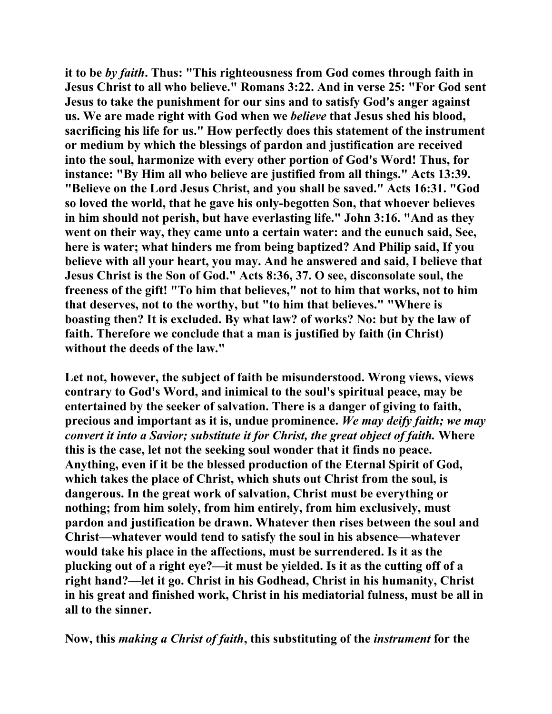**it to be** *by faith***. Thus: "This righteousness from God comes through faith in Jesus Christ to all who believe." Romans 3:22. And in verse 25: "For God sent Jesus to take the punishment for our sins and to satisfy God's anger against us. We are made right with God when we** *believe* **that Jesus shed his blood, sacrificing his life for us." How perfectly does this statement of the instrument or medium by which the blessings of pardon and justification are received into the soul, harmonize with every other portion of God's Word! Thus, for instance: "By Him all who believe are justified from all things." Acts 13:39. "Believe on the Lord Jesus Christ, and you shall be saved." Acts 16:31. "God so loved the world, that he gave his only-begotten Son, that whoever believes in him should not perish, but have everlasting life." John 3:16. "And as they went on their way, they came unto a certain water: and the eunuch said, See, here is water; what hinders me from being baptized? And Philip said, If you believe with all your heart, you may. And he answered and said, I believe that Jesus Christ is the Son of God." Acts 8:36, 37. O see, disconsolate soul, the freeness of the gift! "To him that believes," not to him that works, not to him that deserves, not to the worthy, but "to him that believes." "Where is boasting then? It is excluded. By what law? of works? No: but by the law of faith. Therefore we conclude that a man is justified by faith (in Christ) without the deeds of the law."** 

**Let not, however, the subject of faith be misunderstood. Wrong views, views contrary to God's Word, and inimical to the soul's spiritual peace, may be entertained by the seeker of salvation. There is a danger of giving to faith, precious and important as it is, undue prominence.** *We may deify faith; we may convert it into a Savior; substitute it for Christ, the great object of faith.* **Where this is the case, let not the seeking soul wonder that it finds no peace. Anything, even if it be the blessed production of the Eternal Spirit of God, which takes the place of Christ, which shuts out Christ from the soul, is dangerous. In the great work of salvation, Christ must be everything or nothing; from him solely, from him entirely, from him exclusively, must pardon and justification be drawn. Whatever then rises between the soul and Christ—whatever would tend to satisfy the soul in his absence—whatever would take his place in the affections, must be surrendered. Is it as the plucking out of a right eye?—it must be yielded. Is it as the cutting off of a right hand?—let it go. Christ in his Godhead, Christ in his humanity, Christ in his great and finished work, Christ in his mediatorial fulness, must be all in all to the sinner.** 

**Now, this** *making a Christ of faith***, this substituting of the** *instrument* **for the**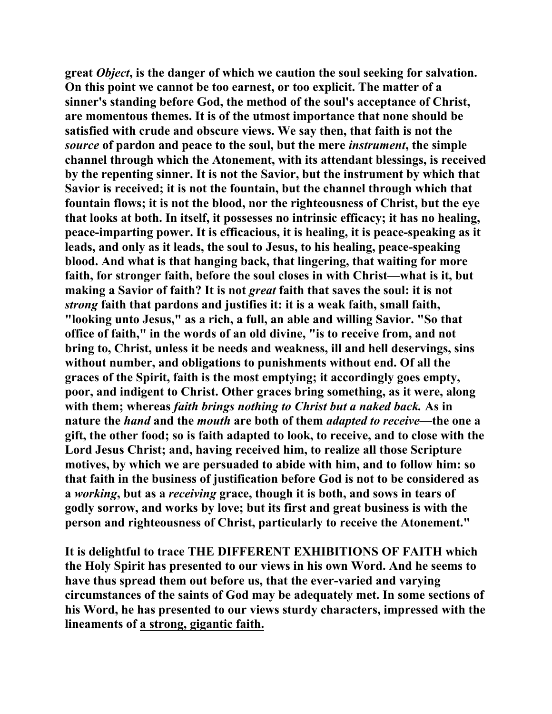**great** *Object***, is the danger of which we caution the soul seeking for salvation. On this point we cannot be too earnest, or too explicit. The matter of a sinner's standing before God, the method of the soul's acceptance of Christ, are momentous themes. It is of the utmost importance that none should be satisfied with crude and obscure views. We say then, that faith is not the**  *source* **of pardon and peace to the soul, but the mere** *instrument***, the simple channel through which the Atonement, with its attendant blessings, is received by the repenting sinner. It is not the Savior, but the instrument by which that Savior is received; it is not the fountain, but the channel through which that fountain flows; it is not the blood, nor the righteousness of Christ, but the eye that looks at both. In itself, it possesses no intrinsic efficacy; it has no healing, peace-imparting power. It is efficacious, it is healing, it is peace-speaking as it leads, and only as it leads, the soul to Jesus, to his healing, peace-speaking blood. And what is that hanging back, that lingering, that waiting for more faith, for stronger faith, before the soul closes in with Christ—what is it, but making a Savior of faith? It is not** *great* **faith that saves the soul: it is not**  *strong* **faith that pardons and justifies it: it is a weak faith, small faith, "looking unto Jesus," as a rich, a full, an able and willing Savior. "So that office of faith," in the words of an old divine, "is to receive from, and not bring to, Christ, unless it be needs and weakness, ill and hell deservings, sins without number, and obligations to punishments without end. Of all the graces of the Spirit, faith is the most emptying; it accordingly goes empty, poor, and indigent to Christ. Other graces bring something, as it were, along with them; whereas** *faith brings nothing to Christ but a naked back.* **As in nature the** *hand* **and the** *mouth* **are both of them** *adapted to receive***—the one a gift, the other food; so is faith adapted to look, to receive, and to close with the Lord Jesus Christ; and, having received him, to realize all those Scripture motives, by which we are persuaded to abide with him, and to follow him: so that faith in the business of justification before God is not to be considered as a** *working***, but as a** *receiving* **grace, though it is both, and sows in tears of godly sorrow, and works by love; but its first and great business is with the person and righteousness of Christ, particularly to receive the Atonement."** 

**It is delightful to trace THE DIFFERENT EXHIBITIONS OF FAITH which the Holy Spirit has presented to our views in his own Word. And he seems to have thus spread them out before us, that the ever-varied and varying circumstances of the saints of God may be adequately met. In some sections of his Word, he has presented to our views sturdy characters, impressed with the lineaments of a strong, gigantic faith.**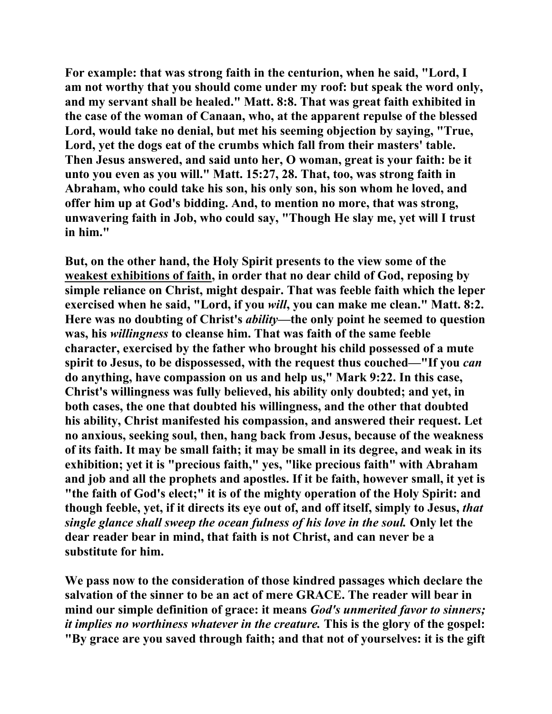**For example: that was strong faith in the centurion, when he said, "Lord, I am not worthy that you should come under my roof: but speak the word only, and my servant shall be healed." Matt. 8:8. That was great faith exhibited in the case of the woman of Canaan, who, at the apparent repulse of the blessed Lord, would take no denial, but met his seeming objection by saying, "True, Lord, yet the dogs eat of the crumbs which fall from their masters' table. Then Jesus answered, and said unto her, O woman, great is your faith: be it unto you even as you will." Matt. 15:27, 28. That, too, was strong faith in Abraham, who could take his son, his only son, his son whom he loved, and offer him up at God's bidding. And, to mention no more, that was strong, unwavering faith in Job, who could say, "Though He slay me, yet will I trust in him."** 

**But, on the other hand, the Holy Spirit presents to the view some of the weakest exhibitions of faith, in order that no dear child of God, reposing by simple reliance on Christ, might despair. That was feeble faith which the leper exercised when he said, "Lord, if you** *will***, you can make me clean." Matt. 8:2. Here was no doubting of Christ's** *ability***—the only point he seemed to question was, his** *willingness* **to cleanse him. That was faith of the same feeble character, exercised by the father who brought his child possessed of a mute spirit to Jesus, to be dispossessed, with the request thus couched—"If you** *can* **do anything, have compassion on us and help us," Mark 9:22. In this case, Christ's willingness was fully believed, his ability only doubted; and yet, in both cases, the one that doubted his willingness, and the other that doubted his ability, Christ manifested his compassion, and answered their request. Let no anxious, seeking soul, then, hang back from Jesus, because of the weakness of its faith. It may be small faith; it may be small in its degree, and weak in its exhibition; yet it is "precious faith," yes, "like precious faith" with Abraham and job and all the prophets and apostles. If it be faith, however small, it yet is "the faith of God's elect;" it is of the mighty operation of the Holy Spirit: and though feeble, yet, if it directs its eye out of, and off itself, simply to Jesus,** *that single glance shall sweep the ocean fulness of his love in the soul.* **Only let the dear reader bear in mind, that faith is not Christ, and can never be a substitute for him.** 

**We pass now to the consideration of those kindred passages which declare the salvation of the sinner to be an act of mere GRACE. The reader will bear in mind our simple definition of grace: it means** *God's unmerited favor to sinners; it implies no worthiness whatever in the creature.* **This is the glory of the gospel: "By grace are you saved through faith; and that not of yourselves: it is the gift**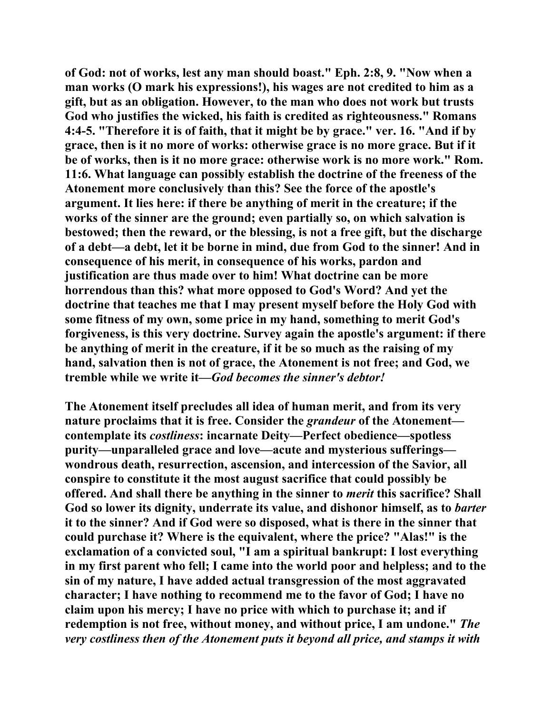**of God: not of works, lest any man should boast." Eph. 2:8, 9. "Now when a man works (O mark his expressions!), his wages are not credited to him as a gift, but as an obligation. However, to the man who does not work but trusts God who justifies the wicked, his faith is credited as righteousness." Romans 4:4-5. "Therefore it is of faith, that it might be by grace." ver. 16. "And if by grace, then is it no more of works: otherwise grace is no more grace. But if it be of works, then is it no more grace: otherwise work is no more work." Rom. 11:6. What language can possibly establish the doctrine of the freeness of the Atonement more conclusively than this? See the force of the apostle's argument. It lies here: if there be anything of merit in the creature; if the works of the sinner are the ground; even partially so, on which salvation is bestowed; then the reward, or the blessing, is not a free gift, but the discharge of a debt—a debt, let it be borne in mind, due from God to the sinner! And in consequence of his merit, in consequence of his works, pardon and justification are thus made over to him! What doctrine can be more horrendous than this? what more opposed to God's Word? And yet the doctrine that teaches me that I may present myself before the Holy God with some fitness of my own, some price in my hand, something to merit God's forgiveness, is this very doctrine. Survey again the apostle's argument: if there be anything of merit in the creature, if it be so much as the raising of my hand, salvation then is not of grace, the Atonement is not free; and God, we tremble while we write it—***God becomes the sinner's debtor!*

**The Atonement itself precludes all idea of human merit, and from its very nature proclaims that it is free. Consider the** *grandeur* **of the Atonement contemplate its** *costliness***: incarnate Deity—Perfect obedience—spotless purity—unparalleled grace and love—acute and mysterious sufferings wondrous death, resurrection, ascension, and intercession of the Savior, all conspire to constitute it the most august sacrifice that could possibly be offered. And shall there be anything in the sinner to** *merit* **this sacrifice? Shall God so lower its dignity, underrate its value, and dishonor himself, as to** *barter* **it to the sinner? And if God were so disposed, what is there in the sinner that could purchase it? Where is the equivalent, where the price? "Alas!" is the exclamation of a convicted soul, "I am a spiritual bankrupt: I lost everything in my first parent who fell; I came into the world poor and helpless; and to the sin of my nature, I have added actual transgression of the most aggravated character; I have nothing to recommend me to the favor of God; I have no claim upon his mercy; I have no price with which to purchase it; and if redemption is not free, without money, and without price, I am undone."** *The very costliness then of the Atonement puts it beyond all price, and stamps it with*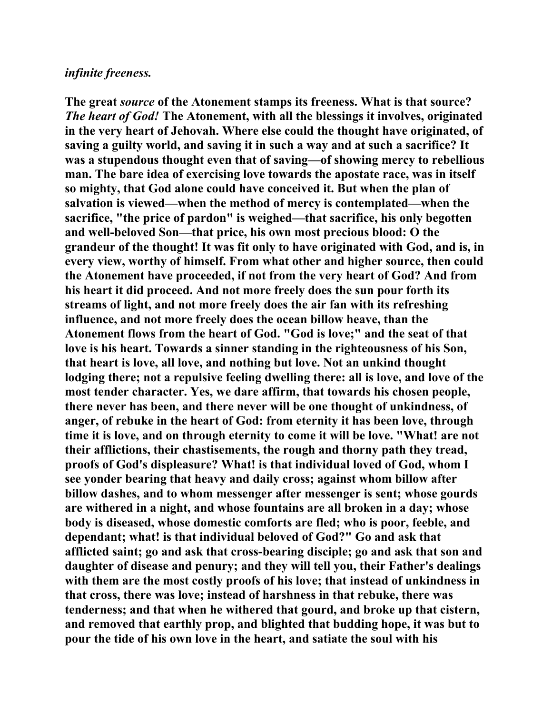## *infinite freeness.*

**The great** *source* **of the Atonement stamps its freeness. What is that source?**  *The heart of God!* **The Atonement, with all the blessings it involves, originated in the very heart of Jehovah. Where else could the thought have originated, of saving a guilty world, and saving it in such a way and at such a sacrifice? It was a stupendous thought even that of saving—of showing mercy to rebellious man. The bare idea of exercising love towards the apostate race, was in itself so mighty, that God alone could have conceived it. But when the plan of salvation is viewed—when the method of mercy is contemplated—when the sacrifice, "the price of pardon" is weighed—that sacrifice, his only begotten and well-beloved Son—that price, his own most precious blood: O the grandeur of the thought! It was fit only to have originated with God, and is, in every view, worthy of himself. From what other and higher source, then could the Atonement have proceeded, if not from the very heart of God? And from his heart it did proceed. And not more freely does the sun pour forth its streams of light, and not more freely does the air fan with its refreshing influence, and not more freely does the ocean billow heave, than the Atonement flows from the heart of God. "God is love;" and the seat of that love is his heart. Towards a sinner standing in the righteousness of his Son, that heart is love, all love, and nothing but love. Not an unkind thought lodging there; not a repulsive feeling dwelling there: all is love, and love of the most tender character. Yes, we dare affirm, that towards his chosen people, there never has been, and there never will be one thought of unkindness, of anger, of rebuke in the heart of God: from eternity it has been love, through time it is love, and on through eternity to come it will be love. "What! are not their afflictions, their chastisements, the rough and thorny path they tread, proofs of God's displeasure? What! is that individual loved of God, whom I see yonder bearing that heavy and daily cross; against whom billow after billow dashes, and to whom messenger after messenger is sent; whose gourds are withered in a night, and whose fountains are all broken in a day; whose body is diseased, whose domestic comforts are fled; who is poor, feeble, and dependant; what! is that individual beloved of God?" Go and ask that afflicted saint; go and ask that cross-bearing disciple; go and ask that son and daughter of disease and penury; and they will tell you, their Father's dealings with them are the most costly proofs of his love; that instead of unkindness in that cross, there was love; instead of harshness in that rebuke, there was tenderness; and that when he withered that gourd, and broke up that cistern, and removed that earthly prop, and blighted that budding hope, it was but to pour the tide of his own love in the heart, and satiate the soul with his**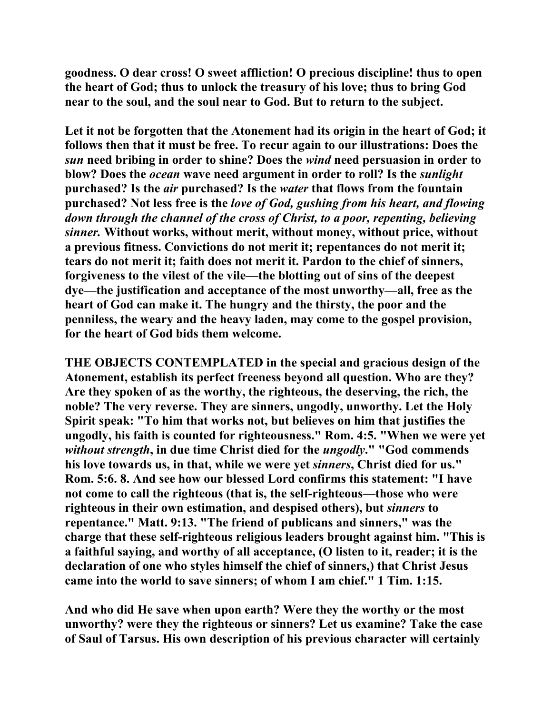**goodness. O dear cross! O sweet affliction! O precious discipline! thus to open the heart of God; thus to unlock the treasury of his love; thus to bring God near to the soul, and the soul near to God. But to return to the subject.** 

**Let it not be forgotten that the Atonement had its origin in the heart of God; it follows then that it must be free. To recur again to our illustrations: Does the**  *sun* **need bribing in order to shine? Does the** *wind* **need persuasion in order to blow? Does the** *ocean* **wave need argument in order to roll? Is the** *sunlight* **purchased? Is the** *air* **purchased? Is the** *water* **that flows from the fountain purchased? Not less free is the** *love of God, gushing from his heart, and flowing down through the channel of the cross of Christ, to a poor, repenting, believing sinner.* **Without works, without merit, without money, without price, without a previous fitness. Convictions do not merit it; repentances do not merit it; tears do not merit it; faith does not merit it. Pardon to the chief of sinners, forgiveness to the vilest of the vile—the blotting out of sins of the deepest dye—the justification and acceptance of the most unworthy—all, free as the heart of God can make it. The hungry and the thirsty, the poor and the penniless, the weary and the heavy laden, may come to the gospel provision, for the heart of God bids them welcome.** 

**THE OBJECTS CONTEMPLATED in the special and gracious design of the Atonement, establish its perfect freeness beyond all question. Who are they? Are they spoken of as the worthy, the righteous, the deserving, the rich, the noble? The very reverse. They are sinners, ungodly, unworthy. Let the Holy Spirit speak: "To him that works not, but believes on him that justifies the ungodly, his faith is counted for righteousness." Rom. 4:5. "When we were yet**  *without strength***, in due time Christ died for the** *ungodly***." "God commends his love towards us, in that, while we were yet** *sinners***, Christ died for us." Rom. 5:6. 8. And see how our blessed Lord confirms this statement: "I have not come to call the righteous (that is, the self-righteous—those who were righteous in their own estimation, and despised others), but** *sinners* **to repentance." Matt. 9:13. "The friend of publicans and sinners," was the charge that these self-righteous religious leaders brought against him. "This is a faithful saying, and worthy of all acceptance, (O listen to it, reader; it is the declaration of one who styles himself the chief of sinners,) that Christ Jesus came into the world to save sinners; of whom I am chief." 1 Tim. 1:15.** 

**And who did He save when upon earth? Were they the worthy or the most unworthy? were they the righteous or sinners? Let us examine? Take the case of Saul of Tarsus. His own description of his previous character will certainly**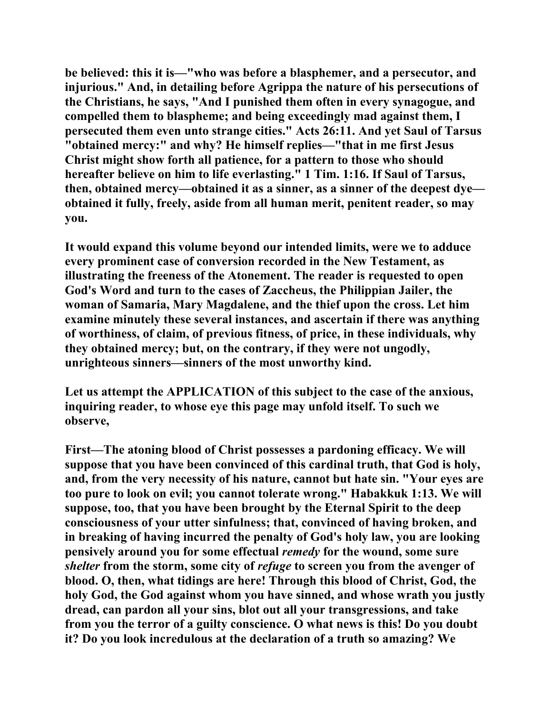**be believed: this it is—"who was before a blasphemer, and a persecutor, and injurious." And, in detailing before Agrippa the nature of his persecutions of the Christians, he says, "And I punished them often in every synagogue, and compelled them to blaspheme; and being exceedingly mad against them, I persecuted them even unto strange cities." Acts 26:11. And yet Saul of Tarsus "obtained mercy:" and why? He himself replies—"that in me first Jesus Christ might show forth all patience, for a pattern to those who should hereafter believe on him to life everlasting." 1 Tim. 1:16. If Saul of Tarsus, then, obtained mercy—obtained it as a sinner, as a sinner of the deepest dye obtained it fully, freely, aside from all human merit, penitent reader, so may you.** 

**It would expand this volume beyond our intended limits, were we to adduce every prominent case of conversion recorded in the New Testament, as illustrating the freeness of the Atonement. The reader is requested to open God's Word and turn to the cases of Zaccheus, the Philippian Jailer, the woman of Samaria, Mary Magdalene, and the thief upon the cross. Let him examine minutely these several instances, and ascertain if there was anything of worthiness, of claim, of previous fitness, of price, in these individuals, why they obtained mercy; but, on the contrary, if they were not ungodly, unrighteous sinners—sinners of the most unworthy kind.** 

**Let us attempt the APPLICATION of this subject to the case of the anxious, inquiring reader, to whose eye this page may unfold itself. To such we observe,** 

**First—The atoning blood of Christ possesses a pardoning efficacy. We will suppose that you have been convinced of this cardinal truth, that God is holy, and, from the very necessity of his nature, cannot but hate sin. "Your eyes are too pure to look on evil; you cannot tolerate wrong." Habakkuk 1:13. We will suppose, too, that you have been brought by the Eternal Spirit to the deep consciousness of your utter sinfulness; that, convinced of having broken, and in breaking of having incurred the penalty of God's holy law, you are looking pensively around you for some effectual** *remedy* **for the wound, some sure**  *shelter* **from the storm, some city of** *refuge* **to screen you from the avenger of blood. O, then, what tidings are here! Through this blood of Christ, God, the holy God, the God against whom you have sinned, and whose wrath you justly dread, can pardon all your sins, blot out all your transgressions, and take from you the terror of a guilty conscience. O what news is this! Do you doubt it? Do you look incredulous at the declaration of a truth so amazing? We**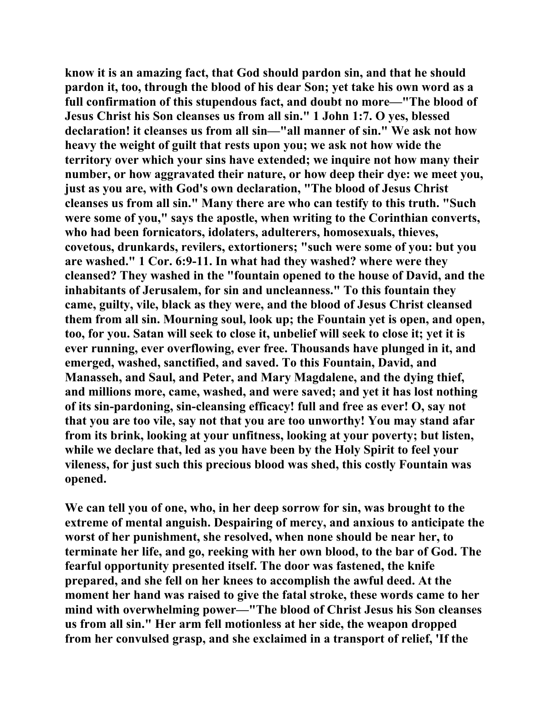**know it is an amazing fact, that God should pardon sin, and that he should pardon it, too, through the blood of his dear Son; yet take his own word as a full confirmation of this stupendous fact, and doubt no more—"The blood of Jesus Christ his Son cleanses us from all sin." 1 John 1:7. O yes, blessed declaration! it cleanses us from all sin—"all manner of sin." We ask not how heavy the weight of guilt that rests upon you; we ask not how wide the territory over which your sins have extended; we inquire not how many their number, or how aggravated their nature, or how deep their dye: we meet you, just as you are, with God's own declaration, "The blood of Jesus Christ cleanses us from all sin." Many there are who can testify to this truth. "Such were some of you," says the apostle, when writing to the Corinthian converts, who had been fornicators, idolaters, adulterers, homosexuals, thieves, covetous, drunkards, revilers, extortioners; "such were some of you: but you are washed." 1 Cor. 6:9-11. In what had they washed? where were they cleansed? They washed in the "fountain opened to the house of David, and the inhabitants of Jerusalem, for sin and uncleanness." To this fountain they came, guilty, vile, black as they were, and the blood of Jesus Christ cleansed them from all sin. Mourning soul, look up; the Fountain yet is open, and open, too, for you. Satan will seek to close it, unbelief will seek to close it; yet it is ever running, ever overflowing, ever free. Thousands have plunged in it, and emerged, washed, sanctified, and saved. To this Fountain, David, and Manasseh, and Saul, and Peter, and Mary Magdalene, and the dying thief, and millions more, came, washed, and were saved; and yet it has lost nothing of its sin-pardoning, sin-cleansing efficacy! full and free as ever! O, say not that you are too vile, say not that you are too unworthy! You may stand afar from its brink, looking at your unfitness, looking at your poverty; but listen, while we declare that, led as you have been by the Holy Spirit to feel your vileness, for just such this precious blood was shed, this costly Fountain was opened.** 

**We can tell you of one, who, in her deep sorrow for sin, was brought to the extreme of mental anguish. Despairing of mercy, and anxious to anticipate the worst of her punishment, she resolved, when none should be near her, to terminate her life, and go, reeking with her own blood, to the bar of God. The fearful opportunity presented itself. The door was fastened, the knife prepared, and she fell on her knees to accomplish the awful deed. At the moment her hand was raised to give the fatal stroke, these words came to her mind with overwhelming power—"The blood of Christ Jesus his Son cleanses us from all sin." Her arm fell motionless at her side, the weapon dropped from her convulsed grasp, and she exclaimed in a transport of relief, 'If the**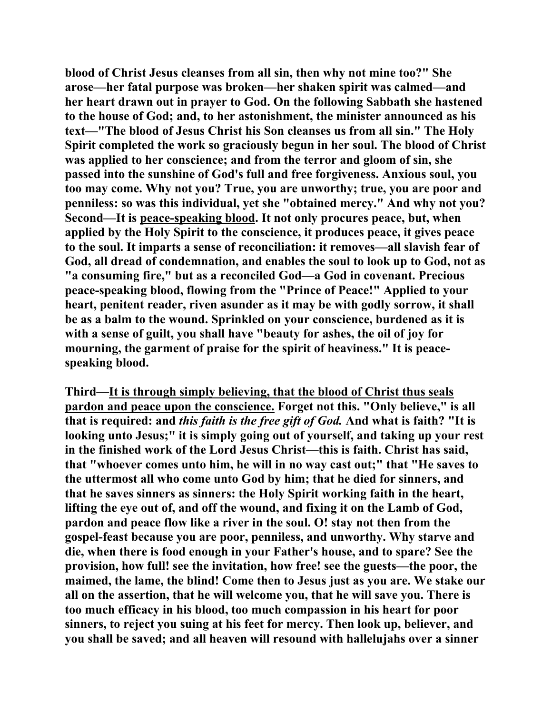**blood of Christ Jesus cleanses from all sin, then why not mine too?" She arose—her fatal purpose was broken—her shaken spirit was calmed—and her heart drawn out in prayer to God. On the following Sabbath she hastened to the house of God; and, to her astonishment, the minister announced as his text—"The blood of Jesus Christ his Son cleanses us from all sin." The Holy Spirit completed the work so graciously begun in her soul. The blood of Christ was applied to her conscience; and from the terror and gloom of sin, she passed into the sunshine of God's full and free forgiveness. Anxious soul, you too may come. Why not you? True, you are unworthy; true, you are poor and penniless: so was this individual, yet she "obtained mercy." And why not you? Second—It is peace-speaking blood. It not only procures peace, but, when applied by the Holy Spirit to the conscience, it produces peace, it gives peace to the soul. It imparts a sense of reconciliation: it removes—all slavish fear of God, all dread of condemnation, and enables the soul to look up to God, not as "a consuming fire," but as a reconciled God—a God in covenant. Precious peace-speaking blood, flowing from the "Prince of Peace!" Applied to your heart, penitent reader, riven asunder as it may be with godly sorrow, it shall be as a balm to the wound. Sprinkled on your conscience, burdened as it is with a sense of guilt, you shall have "beauty for ashes, the oil of joy for mourning, the garment of praise for the spirit of heaviness." It is peacespeaking blood.** 

**Third—It is through simply believing, that the blood of Christ thus seals pardon and peace upon the conscience. Forget not this. "Only believe," is all that is required: and** *this faith is the free gift of God.* **And what is faith? "It is looking unto Jesus;" it is simply going out of yourself, and taking up your rest in the finished work of the Lord Jesus Christ—this is faith. Christ has said, that "whoever comes unto him, he will in no way cast out;" that "He saves to the uttermost all who come unto God by him; that he died for sinners, and that he saves sinners as sinners: the Holy Spirit working faith in the heart, lifting the eye out of, and off the wound, and fixing it on the Lamb of God, pardon and peace flow like a river in the soul. O! stay not then from the gospel-feast because you are poor, penniless, and unworthy. Why starve and die, when there is food enough in your Father's house, and to spare? See the provision, how full! see the invitation, how free! see the guests—the poor, the maimed, the lame, the blind! Come then to Jesus just as you are. We stake our all on the assertion, that he will welcome you, that he will save you. There is too much efficacy in his blood, too much compassion in his heart for poor sinners, to reject you suing at his feet for mercy. Then look up, believer, and you shall be saved; and all heaven will resound with hallelujahs over a sinner**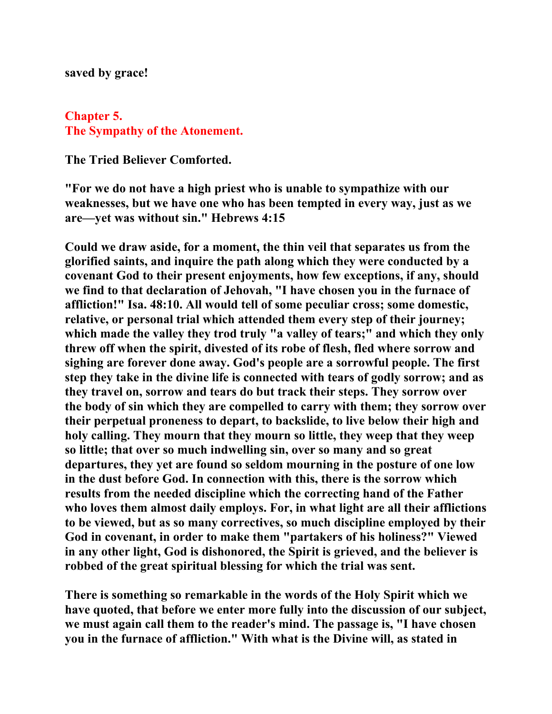## **saved by grace!**

## **Chapter 5. The Sympathy of the Atonement.**

**The Tried Believer Comforted.** 

**"For we do not have a high priest who is unable to sympathize with our weaknesses, but we have one who has been tempted in every way, just as we are—yet was without sin." Hebrews 4:15** 

**Could we draw aside, for a moment, the thin veil that separates us from the glorified saints, and inquire the path along which they were conducted by a covenant God to their present enjoyments, how few exceptions, if any, should we find to that declaration of Jehovah, "I have chosen you in the furnace of affliction!" Isa. 48:10. All would tell of some peculiar cross; some domestic, relative, or personal trial which attended them every step of their journey; which made the valley they trod truly "a valley of tears;" and which they only threw off when the spirit, divested of its robe of flesh, fled where sorrow and sighing are forever done away. God's people are a sorrowful people. The first step they take in the divine life is connected with tears of godly sorrow; and as they travel on, sorrow and tears do but track their steps. They sorrow over the body of sin which they are compelled to carry with them; they sorrow over their perpetual proneness to depart, to backslide, to live below their high and holy calling. They mourn that they mourn so little, they weep that they weep so little; that over so much indwelling sin, over so many and so great departures, they yet are found so seldom mourning in the posture of one low in the dust before God. In connection with this, there is the sorrow which results from the needed discipline which the correcting hand of the Father who loves them almost daily employs. For, in what light are all their afflictions to be viewed, but as so many correctives, so much discipline employed by their God in covenant, in order to make them "partakers of his holiness?" Viewed in any other light, God is dishonored, the Spirit is grieved, and the believer is robbed of the great spiritual blessing for which the trial was sent.** 

**There is something so remarkable in the words of the Holy Spirit which we have quoted, that before we enter more fully into the discussion of our subject, we must again call them to the reader's mind. The passage is, "I have chosen you in the furnace of affliction." With what is the Divine will, as stated in**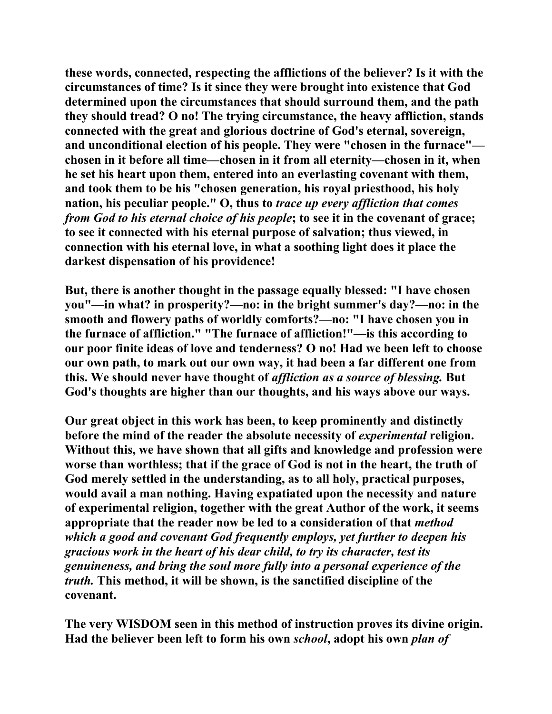**these words, connected, respecting the afflictions of the believer? Is it with the circumstances of time? Is it since they were brought into existence that God determined upon the circumstances that should surround them, and the path they should tread? O no! The trying circumstance, the heavy affliction, stands connected with the great and glorious doctrine of God's eternal, sovereign, and unconditional election of his people. They were "chosen in the furnace" chosen in it before all time—chosen in it from all eternity—chosen in it, when he set his heart upon them, entered into an everlasting covenant with them, and took them to be his "chosen generation, his royal priesthood, his holy nation, his peculiar people." O, thus to** *trace up every affliction that comes from God to his eternal choice of his people***; to see it in the covenant of grace; to see it connected with his eternal purpose of salvation; thus viewed, in connection with his eternal love, in what a soothing light does it place the darkest dispensation of his providence!** 

**But, there is another thought in the passage equally blessed: "I have chosen you"—in what? in prosperity?—no: in the bright summer's day?—no: in the smooth and flowery paths of worldly comforts?—no: "I have chosen you in the furnace of affliction." "The furnace of affliction!"—is this according to our poor finite ideas of love and tenderness? O no! Had we been left to choose our own path, to mark out our own way, it had been a far different one from this. We should never have thought of** *affliction as a source of blessing.* **But God's thoughts are higher than our thoughts, and his ways above our ways.** 

**Our great object in this work has been, to keep prominently and distinctly before the mind of the reader the absolute necessity of** *experimental* **religion. Without this, we have shown that all gifts and knowledge and profession were worse than worthless; that if the grace of God is not in the heart, the truth of God merely settled in the understanding, as to all holy, practical purposes, would avail a man nothing. Having expatiated upon the necessity and nature of experimental religion, together with the great Author of the work, it seems appropriate that the reader now be led to a consideration of that** *method which a good and covenant God frequently employs, yet further to deepen his gracious work in the heart of his dear child, to try its character, test its genuineness, and bring the soul more fully into a personal experience of the truth.* **This method, it will be shown, is the sanctified discipline of the covenant.** 

**The very WISDOM seen in this method of instruction proves its divine origin. Had the believer been left to form his own** *school***, adopt his own** *plan of*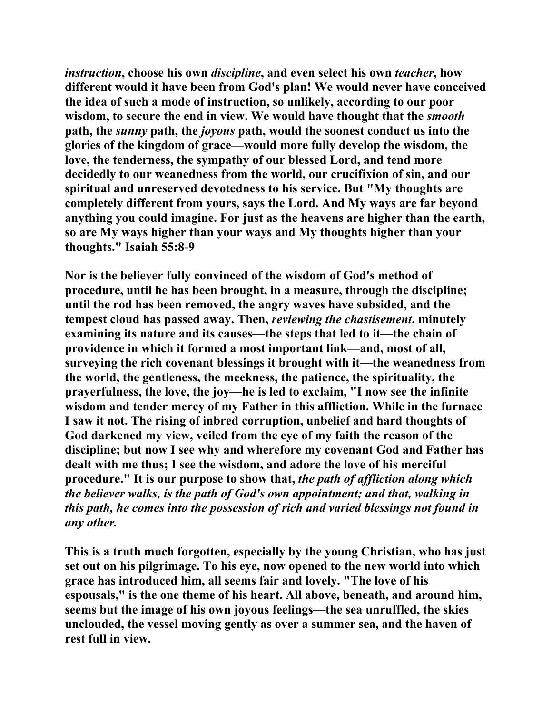*instruction***, choose his own** *discipline***, and even select his own** *teacher***, how different would it have been from God's plan! We would never have conceived the idea of such a mode of instruction, so unlikely, according to our poor wisdom, to secure the end in view. We would have thought that the** *smooth* **path, the** *sunny* **path, the** *joyous* **path, would the soonest conduct us into the glories of the kingdom of grace—would more fully develop the wisdom, the love, the tenderness, the sympathy of our blessed Lord, and tend more decidedly to our weanedness from the world, our crucifixion of sin, and our spiritual and unreserved devotedness to his service. But "My thoughts are completely different from yours, says the Lord. And My ways are far beyond anything you could imagine. For just as the heavens are higher than the earth, so are My ways higher than your ways and My thoughts higher than your thoughts." Isaiah 55:8-9** 

**Nor is the believer fully convinced of the wisdom of God's method of procedure, until he has been brought, in a measure, through the discipline; until the rod has been removed, the angry waves have subsided, and the tempest cloud has passed away. Then,** *reviewing the chastisement***, minutely examining its nature and its causes—the steps that led to it—the chain of providence in which it formed a most important link—and, most of all, surveying the rich covenant blessings it brought with it—the weanedness from the world, the gentleness, the meekness, the patience, the spirituality, the prayerfulness, the love, the joy—he is led to exclaim, "I now see the infinite wisdom and tender mercy of my Father in this affliction. While in the furnace I saw it not. The rising of inbred corruption, unbelief and hard thoughts of God darkened my view, veiled from the eye of my faith the reason of the discipline; but now I see why and wherefore my covenant God and Father has dealt with me thus; I see the wisdom, and adore the love of his merciful procedure." It is our purpose to show that,** *the path of affliction along which the believer walks, is the path of God's own appointment; and that, walking in this path, he comes into the possession of rich and varied blessings not found in any other.*

**This is a truth much forgotten, especially by the young Christian, who has just set out on his pilgrimage. To his eye, now opened to the new world into which grace has introduced him, all seems fair and lovely. "The love of his espousals," is the one theme of his heart. All above, beneath, and around him, seems but the image of his own joyous feelings—the sea unruffled, the skies unclouded, the vessel moving gently as over a summer sea, and the haven of rest full in view.**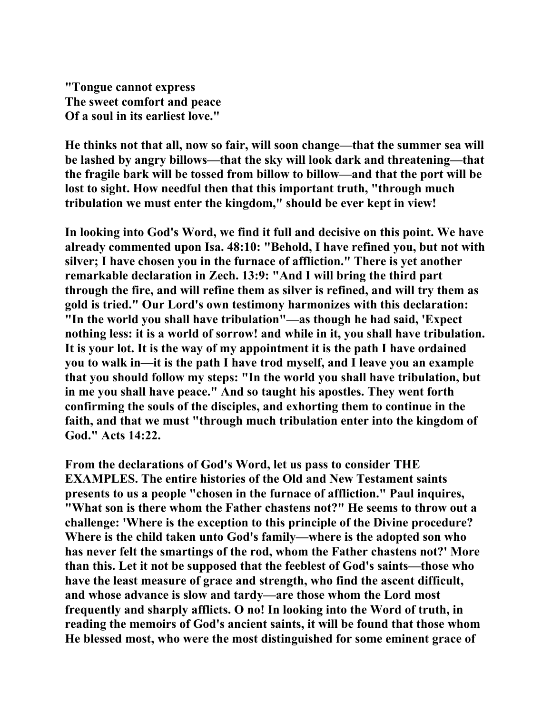**"Tongue cannot express The sweet comfort and peace Of a soul in its earliest love."** 

**He thinks not that all, now so fair, will soon change—that the summer sea will be lashed by angry billows—that the sky will look dark and threatening—that the fragile bark will be tossed from billow to billow—and that the port will be lost to sight. How needful then that this important truth, "through much tribulation we must enter the kingdom," should be ever kept in view!** 

**In looking into God's Word, we find it full and decisive on this point. We have already commented upon Isa. 48:10: "Behold, I have refined you, but not with silver; I have chosen you in the furnace of affliction." There is yet another remarkable declaration in Zech. 13:9: "And I will bring the third part through the fire, and will refine them as silver is refined, and will try them as gold is tried." Our Lord's own testimony harmonizes with this declaration: "In the world you shall have tribulation"—as though he had said, 'Expect nothing less: it is a world of sorrow! and while in it, you shall have tribulation. It is your lot. It is the way of my appointment it is the path I have ordained you to walk in—it is the path I have trod myself, and I leave you an example that you should follow my steps: "In the world you shall have tribulation, but in me you shall have peace." And so taught his apostles. They went forth confirming the souls of the disciples, and exhorting them to continue in the faith, and that we must "through much tribulation enter into the kingdom of God." Acts 14:22.** 

**From the declarations of God's Word, let us pass to consider THE EXAMPLES. The entire histories of the Old and New Testament saints presents to us a people "chosen in the furnace of affliction." Paul inquires, "What son is there whom the Father chastens not?" He seems to throw out a challenge: 'Where is the exception to this principle of the Divine procedure? Where is the child taken unto God's family—where is the adopted son who has never felt the smartings of the rod, whom the Father chastens not?' More than this. Let it not be supposed that the feeblest of God's saints—those who have the least measure of grace and strength, who find the ascent difficult, and whose advance is slow and tardy—are those whom the Lord most frequently and sharply afflicts. O no! In looking into the Word of truth, in reading the memoirs of God's ancient saints, it will be found that those whom He blessed most, who were the most distinguished for some eminent grace of**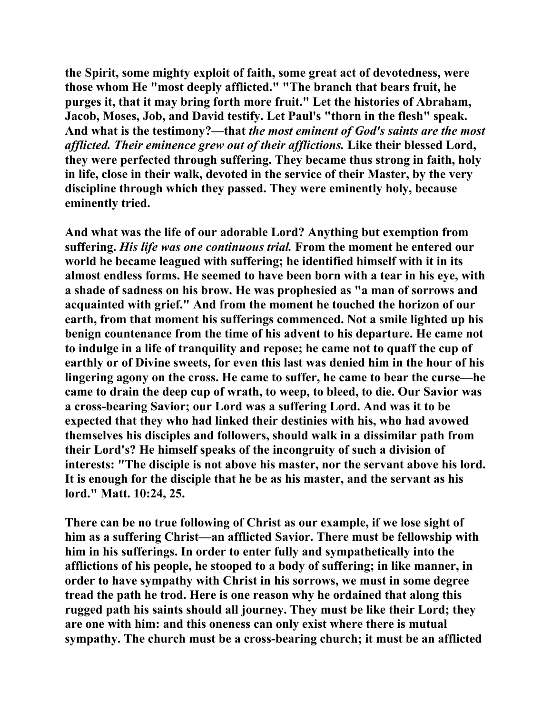**the Spirit, some mighty exploit of faith, some great act of devotedness, were those whom He "most deeply afflicted." "The branch that bears fruit, he purges it, that it may bring forth more fruit." Let the histories of Abraham, Jacob, Moses, Job, and David testify. Let Paul's "thorn in the flesh" speak. And what is the testimony?—that** *the most eminent of God's saints are the most afflicted. Their eminence grew out of their afflictions.* **Like their blessed Lord, they were perfected through suffering. They became thus strong in faith, holy in life, close in their walk, devoted in the service of their Master, by the very discipline through which they passed. They were eminently holy, because eminently tried.** 

**And what was the life of our adorable Lord? Anything but exemption from suffering.** *His life was one continuous trial.* **From the moment he entered our world he became leagued with suffering; he identified himself with it in its almost endless forms. He seemed to have been born with a tear in his eye, with a shade of sadness on his brow. He was prophesied as "a man of sorrows and acquainted with grief." And from the moment he touched the horizon of our earth, from that moment his sufferings commenced. Not a smile lighted up his benign countenance from the time of his advent to his departure. He came not to indulge in a life of tranquility and repose; he came not to quaff the cup of earthly or of Divine sweets, for even this last was denied him in the hour of his lingering agony on the cross. He came to suffer, he came to bear the curse—he came to drain the deep cup of wrath, to weep, to bleed, to die. Our Savior was a cross-bearing Savior; our Lord was a suffering Lord. And was it to be expected that they who had linked their destinies with his, who had avowed themselves his disciples and followers, should walk in a dissimilar path from their Lord's? He himself speaks of the incongruity of such a division of interests: "The disciple is not above his master, nor the servant above his lord. It is enough for the disciple that he be as his master, and the servant as his lord." Matt. 10:24, 25.** 

**There can be no true following of Christ as our example, if we lose sight of him as a suffering Christ—an afflicted Savior. There must be fellowship with him in his sufferings. In order to enter fully and sympathetically into the afflictions of his people, he stooped to a body of suffering; in like manner, in order to have sympathy with Christ in his sorrows, we must in some degree tread the path he trod. Here is one reason why he ordained that along this rugged path his saints should all journey. They must be like their Lord; they are one with him: and this oneness can only exist where there is mutual sympathy. The church must be a cross-bearing church; it must be an afflicted**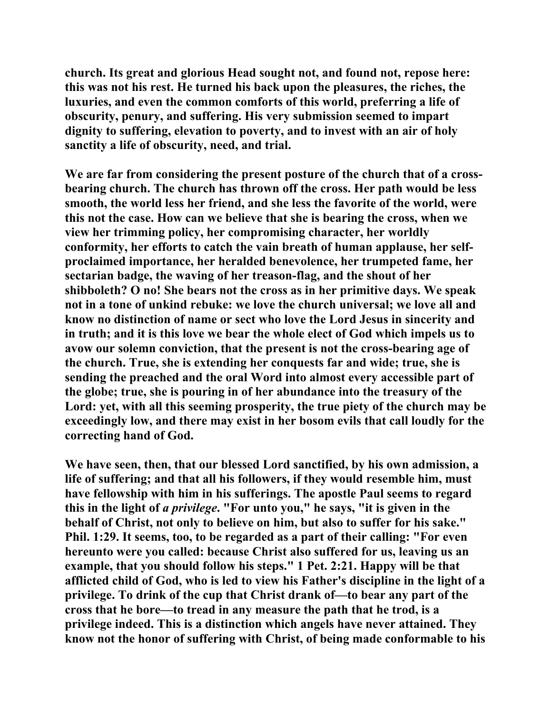**church. Its great and glorious Head sought not, and found not, repose here: this was not his rest. He turned his back upon the pleasures, the riches, the luxuries, and even the common comforts of this world, preferring a life of obscurity, penury, and suffering. His very submission seemed to impart dignity to suffering, elevation to poverty, and to invest with an air of holy sanctity a life of obscurity, need, and trial.** 

**We are far from considering the present posture of the church that of a crossbearing church. The church has thrown off the cross. Her path would be less smooth, the world less her friend, and she less the favorite of the world, were this not the case. How can we believe that she is bearing the cross, when we view her trimming policy, her compromising character, her worldly conformity, her efforts to catch the vain breath of human applause, her selfproclaimed importance, her heralded benevolence, her trumpeted fame, her sectarian badge, the waving of her treason-flag, and the shout of her shibboleth? O no! She bears not the cross as in her primitive days. We speak not in a tone of unkind rebuke: we love the church universal; we love all and know no distinction of name or sect who love the Lord Jesus in sincerity and in truth; and it is this love we bear the whole elect of God which impels us to avow our solemn conviction, that the present is not the cross-bearing age of the church. True, she is extending her conquests far and wide; true, she is sending the preached and the oral Word into almost every accessible part of the globe; true, she is pouring in of her abundance into the treasury of the Lord: yet, with all this seeming prosperity, the true piety of the church may be exceedingly low, and there may exist in her bosom evils that call loudly for the correcting hand of God.** 

**We have seen, then, that our blessed Lord sanctified, by his own admission, a life of suffering; and that all his followers, if they would resemble him, must have fellowship with him in his sufferings. The apostle Paul seems to regard this in the light of** *a privilege***. "For unto you," he says, "it is given in the behalf of Christ, not only to believe on him, but also to suffer for his sake." Phil. 1:29. It seems, too, to be regarded as a part of their calling: "For even hereunto were you called: because Christ also suffered for us, leaving us an example, that you should follow his steps." 1 Pet. 2:21. Happy will be that afflicted child of God, who is led to view his Father's discipline in the light of a privilege. To drink of the cup that Christ drank of—to bear any part of the cross that he bore—to tread in any measure the path that he trod, is a privilege indeed. This is a distinction which angels have never attained. They know not the honor of suffering with Christ, of being made conformable to his**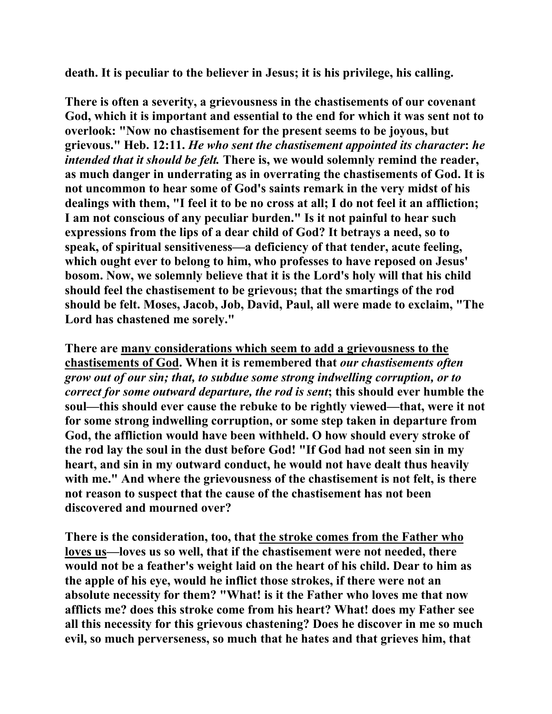**death. It is peculiar to the believer in Jesus; it is his privilege, his calling.** 

**There is often a severity, a grievousness in the chastisements of our covenant God, which it is important and essential to the end for which it was sent not to overlook: "Now no chastisement for the present seems to be joyous, but grievous." Heb. 12:11.** *He who sent the chastisement appointed its character***:** *he intended that it should be felt.* **There is, we would solemnly remind the reader, as much danger in underrating as in overrating the chastisements of God. It is not uncommon to hear some of God's saints remark in the very midst of his dealings with them, "I feel it to be no cross at all; I do not feel it an affliction; I am not conscious of any peculiar burden." Is it not painful to hear such expressions from the lips of a dear child of God? It betrays a need, so to speak, of spiritual sensitiveness—a deficiency of that tender, acute feeling, which ought ever to belong to him, who professes to have reposed on Jesus' bosom. Now, we solemnly believe that it is the Lord's holy will that his child should feel the chastisement to be grievous; that the smartings of the rod should be felt. Moses, Jacob, Job, David, Paul, all were made to exclaim, "The Lord has chastened me sorely."** 

**There are many considerations which seem to add a grievousness to the chastisements of God. When it is remembered that** *our chastisements often grow out of our sin; that, to subdue some strong indwelling corruption, or to correct for some outward departure, the rod is sent***; this should ever humble the soul—this should ever cause the rebuke to be rightly viewed—that, were it not for some strong indwelling corruption, or some step taken in departure from God, the affliction would have been withheld. O how should every stroke of the rod lay the soul in the dust before God! "If God had not seen sin in my heart, and sin in my outward conduct, he would not have dealt thus heavily with me." And where the grievousness of the chastisement is not felt, is there not reason to suspect that the cause of the chastisement has not been discovered and mourned over?** 

**There is the consideration, too, that the stroke comes from the Father who loves us—loves us so well, that if the chastisement were not needed, there would not be a feather's weight laid on the heart of his child. Dear to him as the apple of his eye, would he inflict those strokes, if there were not an absolute necessity for them? "What! is it the Father who loves me that now afflicts me? does this stroke come from his heart? What! does my Father see all this necessity for this grievous chastening? Does he discover in me so much evil, so much perverseness, so much that he hates and that grieves him, that**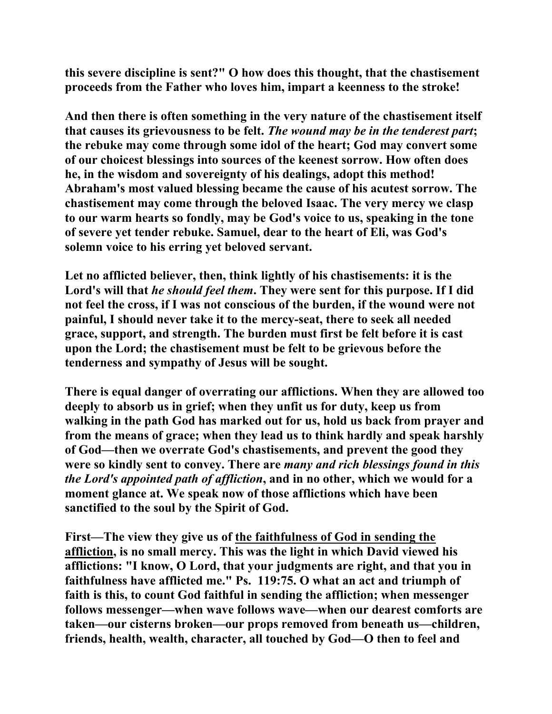**this severe discipline is sent?" O how does this thought, that the chastisement proceeds from the Father who loves him, impart a keenness to the stroke!** 

**And then there is often something in the very nature of the chastisement itself that causes its grievousness to be felt.** *The wound may be in the tenderest part***; the rebuke may come through some idol of the heart; God may convert some of our choicest blessings into sources of the keenest sorrow. How often does he, in the wisdom and sovereignty of his dealings, adopt this method! Abraham's most valued blessing became the cause of his acutest sorrow. The chastisement may come through the beloved Isaac. The very mercy we clasp to our warm hearts so fondly, may be God's voice to us, speaking in the tone of severe yet tender rebuke. Samuel, dear to the heart of Eli, was God's solemn voice to his erring yet beloved servant.** 

**Let no afflicted believer, then, think lightly of his chastisements: it is the Lord's will that** *he should feel them***. They were sent for this purpose. If I did not feel the cross, if I was not conscious of the burden, if the wound were not painful, I should never take it to the mercy-seat, there to seek all needed grace, support, and strength. The burden must first be felt before it is cast upon the Lord; the chastisement must be felt to be grievous before the tenderness and sympathy of Jesus will be sought.** 

**There is equal danger of overrating our afflictions. When they are allowed too deeply to absorb us in grief; when they unfit us for duty, keep us from walking in the path God has marked out for us, hold us back from prayer and from the means of grace; when they lead us to think hardly and speak harshly of God—then we overrate God's chastisements, and prevent the good they were so kindly sent to convey. There are** *many and rich blessings found in this the Lord's appointed path of affliction***, and in no other, which we would for a moment glance at. We speak now of those afflictions which have been sanctified to the soul by the Spirit of God.** 

**First—The view they give us of the faithfulness of God in sending the affliction, is no small mercy. This was the light in which David viewed his afflictions: "I know, O Lord, that your judgments are right, and that you in faithfulness have afflicted me." Ps. 119:75. O what an act and triumph of faith is this, to count God faithful in sending the affliction; when messenger follows messenger—when wave follows wave—when our dearest comforts are taken—our cisterns broken—our props removed from beneath us—children, friends, health, wealth, character, all touched by God—O then to feel and**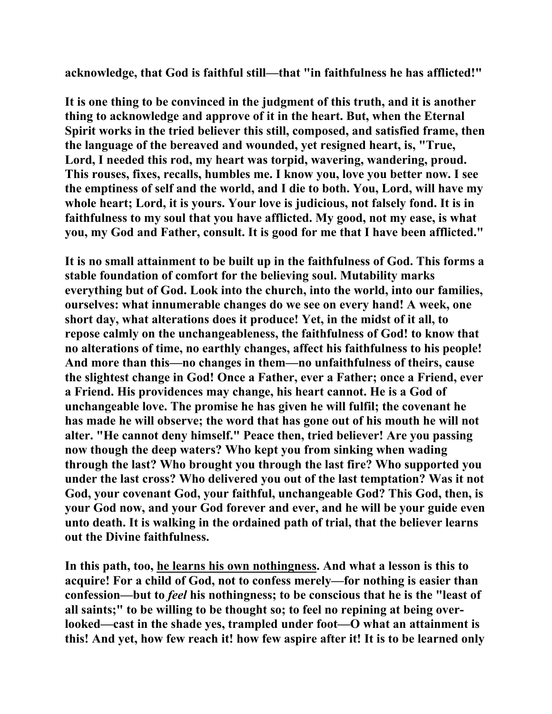**acknowledge, that God is faithful still—that "in faithfulness he has afflicted!"** 

**It is one thing to be convinced in the judgment of this truth, and it is another thing to acknowledge and approve of it in the heart. But, when the Eternal Spirit works in the tried believer this still, composed, and satisfied frame, then the language of the bereaved and wounded, yet resigned heart, is, "True, Lord, I needed this rod, my heart was torpid, wavering, wandering, proud. This rouses, fixes, recalls, humbles me. I know you, love you better now. I see the emptiness of self and the world, and I die to both. You, Lord, will have my whole heart; Lord, it is yours. Your love is judicious, not falsely fond. It is in faithfulness to my soul that you have afflicted. My good, not my ease, is what you, my God and Father, consult. It is good for me that I have been afflicted."** 

**It is no small attainment to be built up in the faithfulness of God. This forms a stable foundation of comfort for the believing soul. Mutability marks everything but of God. Look into the church, into the world, into our families, ourselves: what innumerable changes do we see on every hand! A week, one short day, what alterations does it produce! Yet, in the midst of it all, to repose calmly on the unchangeableness, the faithfulness of God! to know that no alterations of time, no earthly changes, affect his faithfulness to his people! And more than this—no changes in them—no unfaithfulness of theirs, cause the slightest change in God! Once a Father, ever a Father; once a Friend, ever a Friend. His providences may change, his heart cannot. He is a God of unchangeable love. The promise he has given he will fulfil; the covenant he has made he will observe; the word that has gone out of his mouth he will not alter. "He cannot deny himself." Peace then, tried believer! Are you passing now though the deep waters? Who kept you from sinking when wading through the last? Who brought you through the last fire? Who supported you under the last cross? Who delivered you out of the last temptation? Was it not God, your covenant God, your faithful, unchangeable God? This God, then, is your God now, and your God forever and ever, and he will be your guide even unto death. It is walking in the ordained path of trial, that the believer learns out the Divine faithfulness.** 

**In this path, too, he learns his own nothingness. And what a lesson is this to acquire! For a child of God, not to confess merely—for nothing is easier than confession—but to** *feel* **his nothingness; to be conscious that he is the "least of all saints;" to be willing to be thought so; to feel no repining at being overlooked—cast in the shade yes, trampled under foot—O what an attainment is this! And yet, how few reach it! how few aspire after it! It is to be learned only**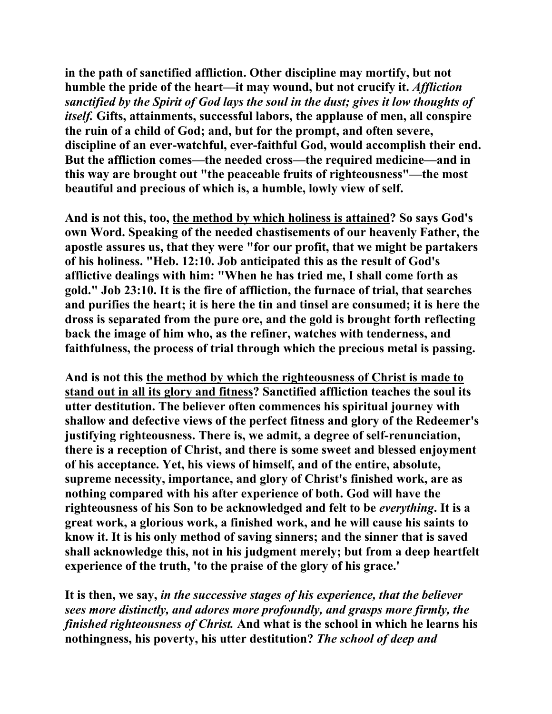**in the path of sanctified affliction. Other discipline may mortify, but not humble the pride of the heart—it may wound, but not crucify it.** *Affliction sanctified by the Spirit of God lays the soul in the dust; gives it low thoughts of itself.* **Gifts, attainments, successful labors, the applause of men, all conspire the ruin of a child of God; and, but for the prompt, and often severe, discipline of an ever-watchful, ever-faithful God, would accomplish their end. But the affliction comes—the needed cross—the required medicine—and in this way are brought out "the peaceable fruits of righteousness"—the most beautiful and precious of which is, a humble, lowly view of self.** 

**And is not this, too, the method by which holiness is attained? So says God's own Word. Speaking of the needed chastisements of our heavenly Father, the apostle assures us, that they were "for our profit, that we might be partakers of his holiness. "Heb. 12:10. Job anticipated this as the result of God's afflictive dealings with him: "When he has tried me, I shall come forth as gold." Job 23:10. It is the fire of affliction, the furnace of trial, that searches and purifies the heart; it is here the tin and tinsel are consumed; it is here the dross is separated from the pure ore, and the gold is brought forth reflecting back the image of him who, as the refiner, watches with tenderness, and faithfulness, the process of trial through which the precious metal is passing.** 

**And is not this the method by which the righteousness of Christ is made to stand out in all its glory and fitness? Sanctified affliction teaches the soul its utter destitution. The believer often commences his spiritual journey with shallow and defective views of the perfect fitness and glory of the Redeemer's justifying righteousness. There is, we admit, a degree of self-renunciation, there is a reception of Christ, and there is some sweet and blessed enjoyment of his acceptance. Yet, his views of himself, and of the entire, absolute, supreme necessity, importance, and glory of Christ's finished work, are as nothing compared with his after experience of both. God will have the righteousness of his Son to be acknowledged and felt to be** *everything***. It is a great work, a glorious work, a finished work, and he will cause his saints to know it. It is his only method of saving sinners; and the sinner that is saved shall acknowledge this, not in his judgment merely; but from a deep heartfelt experience of the truth, 'to the praise of the glory of his grace.'** 

**It is then, we say,** *in the successive stages of his experience, that the believer sees more distinctly, and adores more profoundly, and grasps more firmly, the finished righteousness of Christ.* **And what is the school in which he learns his nothingness, his poverty, his utter destitution?** *The school of deep and*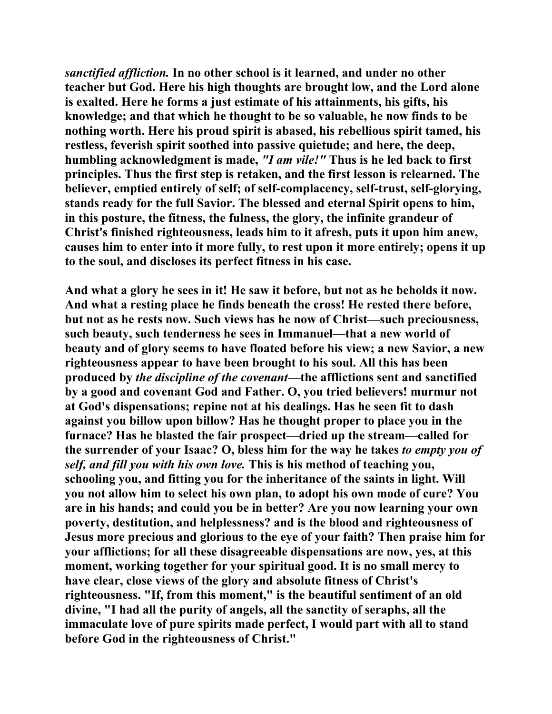*sanctified affliction.* **In no other school is it learned, and under no other teacher but God. Here his high thoughts are brought low, and the Lord alone is exalted. Here he forms a just estimate of his attainments, his gifts, his knowledge; and that which he thought to be so valuable, he now finds to be nothing worth. Here his proud spirit is abased, his rebellious spirit tamed, his restless, feverish spirit soothed into passive quietude; and here, the deep, humbling acknowledgment is made,** *"I am vile!"* **Thus is he led back to first principles. Thus the first step is retaken, and the first lesson is relearned. The believer, emptied entirely of self; of self-complacency, self-trust, self-glorying, stands ready for the full Savior. The blessed and eternal Spirit opens to him, in this posture, the fitness, the fulness, the glory, the infinite grandeur of Christ's finished righteousness, leads him to it afresh, puts it upon him anew, causes him to enter into it more fully, to rest upon it more entirely; opens it up to the soul, and discloses its perfect fitness in his case.** 

**And what a glory he sees in it! He saw it before, but not as he beholds it now. And what a resting place he finds beneath the cross! He rested there before, but not as he rests now. Such views has he now of Christ—such preciousness, such beauty, such tenderness he sees in Immanuel—that a new world of beauty and of glory seems to have floated before his view; a new Savior, a new righteousness appear to have been brought to his soul. All this has been produced by** *the discipline of the covenant***—the afflictions sent and sanctified by a good and covenant God and Father. O, you tried believers! murmur not at God's dispensations; repine not at his dealings. Has he seen fit to dash against you billow upon billow? Has he thought proper to place you in the furnace? Has he blasted the fair prospect—dried up the stream—called for the surrender of your Isaac? O, bless him for the way he takes** *to empty you of self, and fill you with his own love.* **This is his method of teaching you, schooling you, and fitting you for the inheritance of the saints in light. Will you not allow him to select his own plan, to adopt his own mode of cure? You are in his hands; and could you be in better? Are you now learning your own poverty, destitution, and helplessness? and is the blood and righteousness of Jesus more precious and glorious to the eye of your faith? Then praise him for your afflictions; for all these disagreeable dispensations are now, yes, at this moment, working together for your spiritual good. It is no small mercy to have clear, close views of the glory and absolute fitness of Christ's righteousness. "If, from this moment," is the beautiful sentiment of an old divine, "I had all the purity of angels, all the sanctity of seraphs, all the immaculate love of pure spirits made perfect, I would part with all to stand before God in the righteousness of Christ."**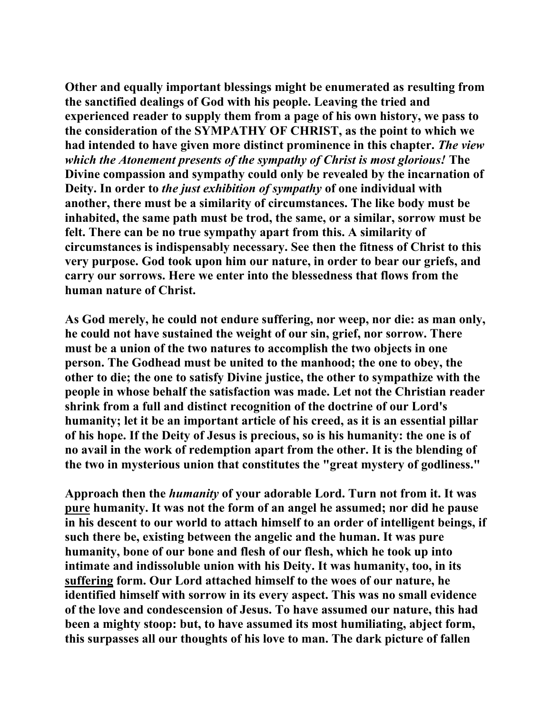**Other and equally important blessings might be enumerated as resulting from the sanctified dealings of God with his people. Leaving the tried and experienced reader to supply them from a page of his own history, we pass to the consideration of the SYMPATHY OF CHRIST, as the point to which we had intended to have given more distinct prominence in this chapter.** *The view which the Atonement presents of the sympathy of Christ is most glorious!* **The Divine compassion and sympathy could only be revealed by the incarnation of Deity. In order to** *the just exhibition of sympathy* **of one individual with another, there must be a similarity of circumstances. The like body must be inhabited, the same path must be trod, the same, or a similar, sorrow must be felt. There can be no true sympathy apart from this. A similarity of circumstances is indispensably necessary. See then the fitness of Christ to this very purpose. God took upon him our nature, in order to bear our griefs, and carry our sorrows. Here we enter into the blessedness that flows from the human nature of Christ.** 

**As God merely, he could not endure suffering, nor weep, nor die: as man only, he could not have sustained the weight of our sin, grief, nor sorrow. There must be a union of the two natures to accomplish the two objects in one person. The Godhead must be united to the manhood; the one to obey, the other to die; the one to satisfy Divine justice, the other to sympathize with the people in whose behalf the satisfaction was made. Let not the Christian reader shrink from a full and distinct recognition of the doctrine of our Lord's humanity; let it be an important article of his creed, as it is an essential pillar of his hope. If the Deity of Jesus is precious, so is his humanity: the one is of no avail in the work of redemption apart from the other. It is the blending of the two in mysterious union that constitutes the "great mystery of godliness."** 

**Approach then the** *humanity* **of your adorable Lord. Turn not from it. It was pure humanity. It was not the form of an angel he assumed; nor did he pause in his descent to our world to attach himself to an order of intelligent beings, if such there be, existing between the angelic and the human. It was pure humanity, bone of our bone and flesh of our flesh, which he took up into intimate and indissoluble union with his Deity. It was humanity, too, in its suffering form. Our Lord attached himself to the woes of our nature, he identified himself with sorrow in its every aspect. This was no small evidence of the love and condescension of Jesus. To have assumed our nature, this had been a mighty stoop: but, to have assumed its most humiliating, abject form, this surpasses all our thoughts of his love to man. The dark picture of fallen**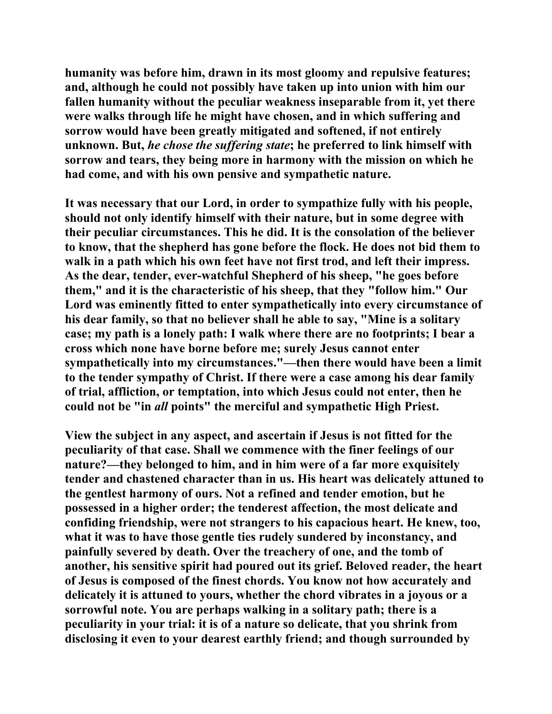**humanity was before him, drawn in its most gloomy and repulsive features; and, although he could not possibly have taken up into union with him our fallen humanity without the peculiar weakness inseparable from it, yet there were walks through life he might have chosen, and in which suffering and sorrow would have been greatly mitigated and softened, if not entirely unknown. But,** *he chose the suffering state***; he preferred to link himself with sorrow and tears, they being more in harmony with the mission on which he had come, and with his own pensive and sympathetic nature.** 

**It was necessary that our Lord, in order to sympathize fully with his people, should not only identify himself with their nature, but in some degree with their peculiar circumstances. This he did. It is the consolation of the believer to know, that the shepherd has gone before the flock. He does not bid them to walk in a path which his own feet have not first trod, and left their impress. As the dear, tender, ever-watchful Shepherd of his sheep, "he goes before them," and it is the characteristic of his sheep, that they "follow him." Our Lord was eminently fitted to enter sympathetically into every circumstance of his dear family, so that no believer shall he able to say, "Mine is a solitary case; my path is a lonely path: I walk where there are no footprints; I bear a cross which none have borne before me; surely Jesus cannot enter sympathetically into my circumstances."—then there would have been a limit to the tender sympathy of Christ. If there were a case among his dear family of trial, affliction, or temptation, into which Jesus could not enter, then he could not be "in** *all* **points" the merciful and sympathetic High Priest.** 

**View the subject in any aspect, and ascertain if Jesus is not fitted for the peculiarity of that case. Shall we commence with the finer feelings of our nature?—they belonged to him, and in him were of a far more exquisitely tender and chastened character than in us. His heart was delicately attuned to the gentlest harmony of ours. Not a refined and tender emotion, but he possessed in a higher order; the tenderest affection, the most delicate and confiding friendship, were not strangers to his capacious heart. He knew, too, what it was to have those gentle ties rudely sundered by inconstancy, and painfully severed by death. Over the treachery of one, and the tomb of another, his sensitive spirit had poured out its grief. Beloved reader, the heart of Jesus is composed of the finest chords. You know not how accurately and delicately it is attuned to yours, whether the chord vibrates in a joyous or a sorrowful note. You are perhaps walking in a solitary path; there is a peculiarity in your trial: it is of a nature so delicate, that you shrink from disclosing it even to your dearest earthly friend; and though surrounded by**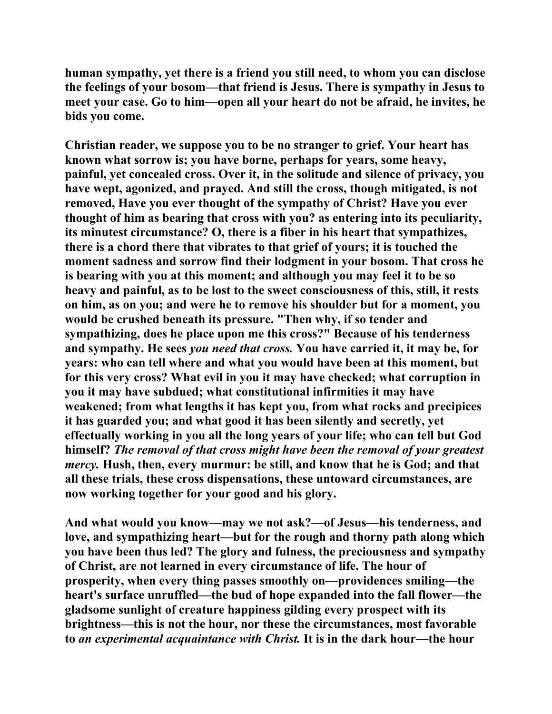**human sympathy, yet there is a friend you still need, to whom you can disclose the feelings of your bosom—that friend is Jesus. There is sympathy in Jesus to meet your case. Go to him—open all your heart do not be afraid, he invites, he bids you come.** 

**Christian reader, we suppose you to be no stranger to grief. Your heart has known what sorrow is; you have borne, perhaps for years, some heavy, painful, yet concealed cross. Over it, in the solitude and silence of privacy, you have wept, agonized, and prayed. And still the cross, though mitigated, is not removed, Have you ever thought of the sympathy of Christ? Have you ever thought of him as bearing that cross with you? as entering into its peculiarity, its minutest circumstance? O, there is a fiber in his heart that sympathizes, there is a chord there that vibrates to that grief of yours; it is touched the moment sadness and sorrow find their lodgment in your bosom. That cross he is bearing with you at this moment; and although you may feel it to be so heavy and painful, as to be lost to the sweet consciousness of this, still, it rests on him, as on you; and were he to remove his shoulder but for a moment, you would be crushed beneath its pressure. "Then why, if so tender and sympathizing, does he place upon me this cross?" Because of his tenderness and sympathy. He sees** *you need that cross.* **You have carried it, it may be, for years: who can tell where and what you would have been at this moment, but for this very cross? What evil in you it may have checked; what corruption in you it may have subdued; what constitutional infirmities it may have weakened; from what lengths it has kept you, from what rocks and precipices it has guarded you; and what good it has been silently and secretly, yet effectually working in you all the long years of your life; who can tell but God himself?** *The removal of that cross might have been the removal of your greatest mercy.* **Hush, then, every murmur: be still, and know that he is God; and that all these trials, these cross dispensations, these untoward circumstances, are now working together for your good and his glory.** 

**And what would you know—may we not ask?—of Jesus—his tenderness, and love, and sympathizing heart—but for the rough and thorny path along which you have been thus led? The glory and fulness, the preciousness and sympathy of Christ, are not learned in every circumstance of life. The hour of prosperity, when every thing passes smoothly on—providences smiling—the heart's surface unruffled—the bud of hope expanded into the fall flower—the gladsome sunlight of creature happiness gilding every prospect with its brightness—this is not the hour, nor these the circumstances, most favorable to** *an experimental acquaintance with Christ.* **It is in the dark hour—the hour**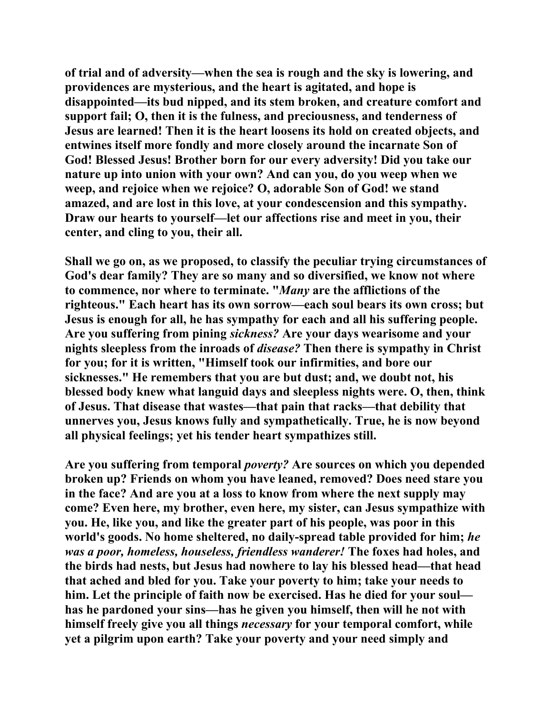**of trial and of adversity—when the sea is rough and the sky is lowering, and providences are mysterious, and the heart is agitated, and hope is disappointed—its bud nipped, and its stem broken, and creature comfort and support fail; O, then it is the fulness, and preciousness, and tenderness of Jesus are learned! Then it is the heart loosens its hold on created objects, and entwines itself more fondly and more closely around the incarnate Son of God! Blessed Jesus! Brother born for our every adversity! Did you take our nature up into union with your own? And can you, do you weep when we weep, and rejoice when we rejoice? O, adorable Son of God! we stand amazed, and are lost in this love, at your condescension and this sympathy. Draw our hearts to yourself—let our affections rise and meet in you, their center, and cling to you, their all.** 

**Shall we go on, as we proposed, to classify the peculiar trying circumstances of God's dear family? They are so many and so diversified, we know not where to commence, nor where to terminate. "***Many* **are the afflictions of the righteous." Each heart has its own sorrow—each soul bears its own cross; but Jesus is enough for all, he has sympathy for each and all his suffering people. Are you suffering from pining** *sickness?* **Are your days wearisome and your nights sleepless from the inroads of** *disease?* **Then there is sympathy in Christ for you; for it is written, "Himself took our infirmities, and bore our sicknesses." He remembers that you are but dust; and, we doubt not, his blessed body knew what languid days and sleepless nights were. O, then, think of Jesus. That disease that wastes—that pain that racks—that debility that unnerves you, Jesus knows fully and sympathetically. True, he is now beyond all physical feelings; yet his tender heart sympathizes still.** 

**Are you suffering from temporal** *poverty?* **Are sources on which you depended broken up? Friends on whom you have leaned, removed? Does need stare you in the face? And are you at a loss to know from where the next supply may come? Even here, my brother, even here, my sister, can Jesus sympathize with you. He, like you, and like the greater part of his people, was poor in this world's goods. No home sheltered, no daily-spread table provided for him;** *he was a poor, homeless, houseless, friendless wanderer!* **The foxes had holes, and the birds had nests, but Jesus had nowhere to lay his blessed head—that head that ached and bled for you. Take your poverty to him; take your needs to him. Let the principle of faith now be exercised. Has he died for your soul has he pardoned your sins—has he given you himself, then will he not with himself freely give you all things** *necessary* **for your temporal comfort, while yet a pilgrim upon earth? Take your poverty and your need simply and**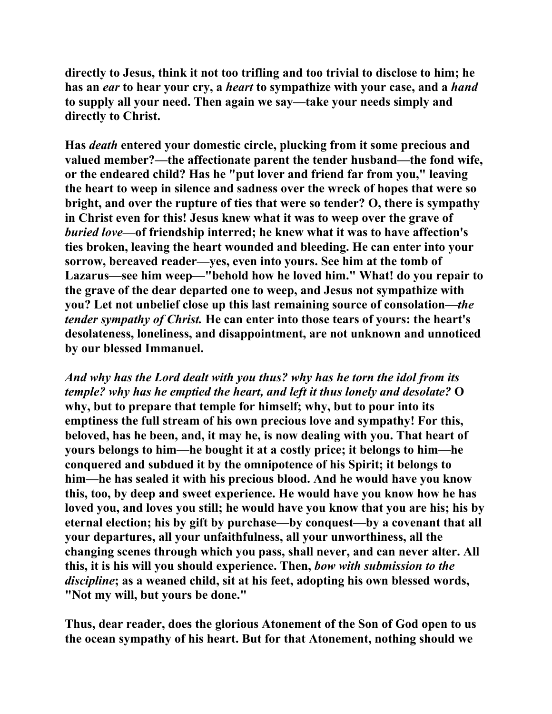**directly to Jesus, think it not too trifling and too trivial to disclose to him; he has an** *ear* **to hear your cry, a** *heart* **to sympathize with your case, and a** *hand* **to supply all your need. Then again we say—take your needs simply and directly to Christ.** 

**Has** *death* **entered your domestic circle, plucking from it some precious and valued member?—the affectionate parent the tender husband—the fond wife, or the endeared child? Has he "put lover and friend far from you," leaving the heart to weep in silence and sadness over the wreck of hopes that were so bright, and over the rupture of ties that were so tender? O, there is sympathy in Christ even for this! Jesus knew what it was to weep over the grave of**  *buried love***—of friendship interred; he knew what it was to have affection's ties broken, leaving the heart wounded and bleeding. He can enter into your sorrow, bereaved reader—yes, even into yours. See him at the tomb of Lazarus—see him weep—"behold how he loved him." What! do you repair to the grave of the dear departed one to weep, and Jesus not sympathize with you? Let not unbelief close up this last remaining source of consolation—***the tender sympathy of Christ.* **He can enter into those tears of yours: the heart's desolateness, loneliness, and disappointment, are not unknown and unnoticed by our blessed Immanuel.** 

*And why has the Lord dealt with you thus? why has he torn the idol from its temple? why has he emptied the heart, and left it thus lonely and desolate?* **O why, but to prepare that temple for himself; why, but to pour into its emptiness the full stream of his own precious love and sympathy! For this, beloved, has he been, and, it may he, is now dealing with you. That heart of yours belongs to him—he bought it at a costly price; it belongs to him—he conquered and subdued it by the omnipotence of his Spirit; it belongs to him—he has sealed it with his precious blood. And he would have you know this, too, by deep and sweet experience. He would have you know how he has loved you, and loves you still; he would have you know that you are his; his by eternal election; his by gift by purchase—by conquest—by a covenant that all your departures, all your unfaithfulness, all your unworthiness, all the changing scenes through which you pass, shall never, and can never alter. All this, it is his will you should experience. Then,** *bow with submission to the discipline***; as a weaned child, sit at his feet, adopting his own blessed words, "Not my will, but yours be done."** 

**Thus, dear reader, does the glorious Atonement of the Son of God open to us the ocean sympathy of his heart. But for that Atonement, nothing should we**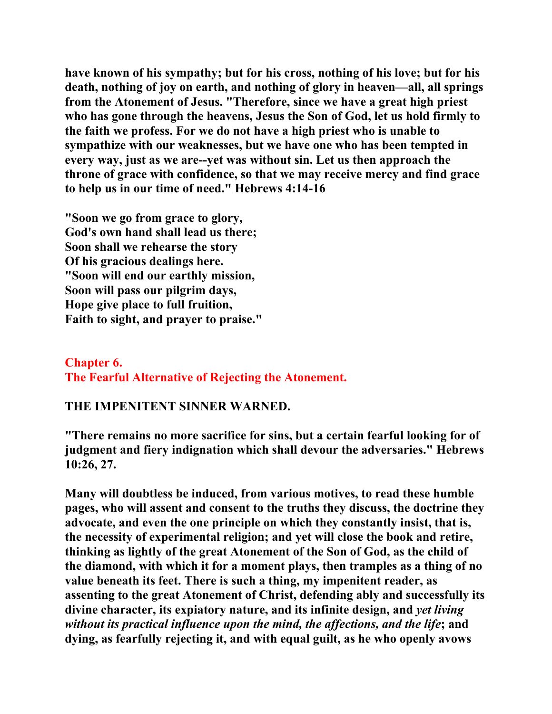**have known of his sympathy; but for his cross, nothing of his love; but for his death, nothing of joy on earth, and nothing of glory in heaven—all, all springs from the Atonement of Jesus. "Therefore, since we have a great high priest who has gone through the heavens, Jesus the Son of God, let us hold firmly to the faith we profess. For we do not have a high priest who is unable to sympathize with our weaknesses, but we have one who has been tempted in every way, just as we are--yet was without sin. Let us then approach the throne of grace with confidence, so that we may receive mercy and find grace to help us in our time of need." Hebrews 4:14-16** 

**"Soon we go from grace to glory, God's own hand shall lead us there; Soon shall we rehearse the story Of his gracious dealings here. "Soon will end our earthly mission, Soon will pass our pilgrim days, Hope give place to full fruition, Faith to sight, and prayer to praise."** 

## **Chapter 6. The Fearful Alternative of Rejecting the Atonement.**

## **THE IMPENITENT SINNER WARNED.**

**"There remains no more sacrifice for sins, but a certain fearful looking for of judgment and fiery indignation which shall devour the adversaries." Hebrews 10:26, 27.** 

**Many will doubtless be induced, from various motives, to read these humble pages, who will assent and consent to the truths they discuss, the doctrine they advocate, and even the one principle on which they constantly insist, that is, the necessity of experimental religion; and yet will close the book and retire, thinking as lightly of the great Atonement of the Son of God, as the child of the diamond, with which it for a moment plays, then tramples as a thing of no value beneath its feet. There is such a thing, my impenitent reader, as assenting to the great Atonement of Christ, defending ably and successfully its divine character, its expiatory nature, and its infinite design, and** *yet living without its practical influence upon the mind, the affections, and the life***; and dying, as fearfully rejecting it, and with equal guilt, as he who openly avows**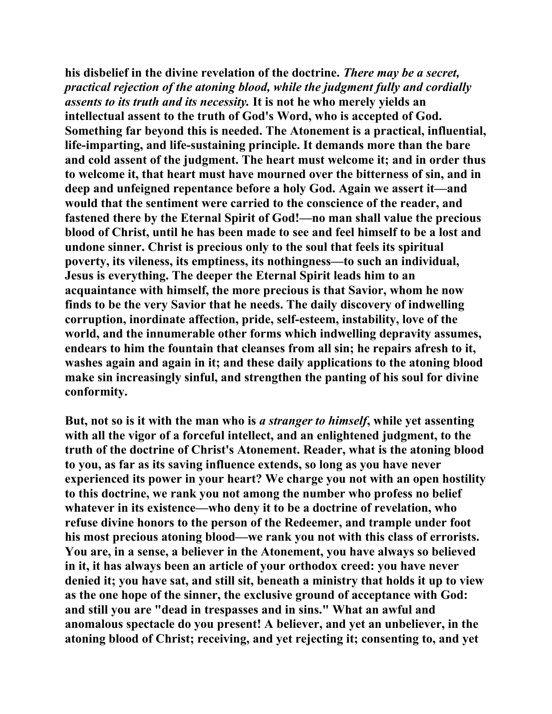**his disbelief in the divine revelation of the doctrine.** *There may be a secret, practical rejection of the atoning blood, while the judgment fully and cordially assents to its truth and its necessity.* **It is not he who merely yields an intellectual assent to the truth of God's Word, who is accepted of God. Something far beyond this is needed. The Atonement is a practical, influential, life-imparting, and life-sustaining principle. It demands more than the bare and cold assent of the judgment. The heart must welcome it; and in order thus to welcome it, that heart must have mourned over the bitterness of sin, and in deep and unfeigned repentance before a holy God. Again we assert it—and would that the sentiment were carried to the conscience of the reader, and fastened there by the Eternal Spirit of God!—no man shall value the precious blood of Christ, until he has been made to see and feel himself to be a lost and undone sinner. Christ is precious only to the soul that feels its spiritual poverty, its vileness, its emptiness, its nothingness—to such an individual, Jesus is everything. The deeper the Eternal Spirit leads him to an acquaintance with himself, the more precious is that Savior, whom he now finds to be the very Savior that he needs. The daily discovery of indwelling corruption, inordinate affection, pride, self-esteem, instability, love of the world, and the innumerable other forms which indwelling depravity assumes, endears to him the fountain that cleanses from all sin; he repairs afresh to it, washes again and again in it; and these daily applications to the atoning blood make sin increasingly sinful, and strengthen the panting of his soul for divine conformity.** 

**But, not so is it with the man who is** *a stranger to himself***, while yet assenting with all the vigor of a forceful intellect, and an enlightened judgment, to the truth of the doctrine of Christ's Atonement. Reader, what is the atoning blood to you, as far as its saving influence extends, so long as you have never experienced its power in your heart? We charge you not with an open hostility to this doctrine, we rank you not among the number who profess no belief whatever in its existence—who deny it to be a doctrine of revelation, who refuse divine honors to the person of the Redeemer, and trample under foot his most precious atoning blood—we rank you not with this class of errorists. You are, in a sense, a believer in the Atonement, you have always so believed in it, it has always been an article of your orthodox creed: you have never denied it; you have sat, and still sit, beneath a ministry that holds it up to view as the one hope of the sinner, the exclusive ground of acceptance with God: and still you are "dead in trespasses and in sins." What an awful and anomalous spectacle do you present! A believer, and yet an unbeliever, in the atoning blood of Christ; receiving, and yet rejecting it; consenting to, and yet**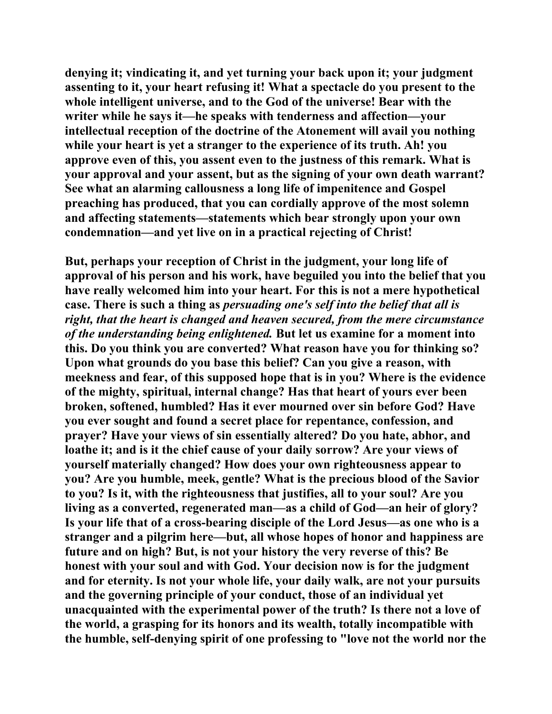**denying it; vindicating it, and yet turning your back upon it; your judgment assenting to it, your heart refusing it! What a spectacle do you present to the whole intelligent universe, and to the God of the universe! Bear with the writer while he says it—he speaks with tenderness and affection—your intellectual reception of the doctrine of the Atonement will avail you nothing while your heart is yet a stranger to the experience of its truth. Ah! you approve even of this, you assent even to the justness of this remark. What is your approval and your assent, but as the signing of your own death warrant? See what an alarming callousness a long life of impenitence and Gospel preaching has produced, that you can cordially approve of the most solemn and affecting statements—statements which bear strongly upon your own condemnation—and yet live on in a practical rejecting of Christ!** 

**But, perhaps your reception of Christ in the judgment, your long life of approval of his person and his work, have beguiled you into the belief that you have really welcomed him into your heart. For this is not a mere hypothetical case. There is such a thing as** *persuading one's self into the belief that all is right, that the heart is changed and heaven secured, from the mere circumstance of the understanding being enlightened.* **But let us examine for a moment into this. Do you think you are converted? What reason have you for thinking so? Upon what grounds do you base this belief? Can you give a reason, with meekness and fear, of this supposed hope that is in you? Where is the evidence of the mighty, spiritual, internal change? Has that heart of yours ever been broken, softened, humbled? Has it ever mourned over sin before God? Have you ever sought and found a secret place for repentance, confession, and prayer? Have your views of sin essentially altered? Do you hate, abhor, and loathe it; and is it the chief cause of your daily sorrow? Are your views of yourself materially changed? How does your own righteousness appear to you? Are you humble, meek, gentle? What is the precious blood of the Savior to you? Is it, with the righteousness that justifies, all to your soul? Are you living as a converted, regenerated man—as a child of God—an heir of glory? Is your life that of a cross-bearing disciple of the Lord Jesus—as one who is a stranger and a pilgrim here—but, all whose hopes of honor and happiness are future and on high? But, is not your history the very reverse of this? Be honest with your soul and with God. Your decision now is for the judgment and for eternity. Is not your whole life, your daily walk, are not your pursuits and the governing principle of your conduct, those of an individual yet unacquainted with the experimental power of the truth? Is there not a love of the world, a grasping for its honors and its wealth, totally incompatible with the humble, self-denying spirit of one professing to "love not the world nor the**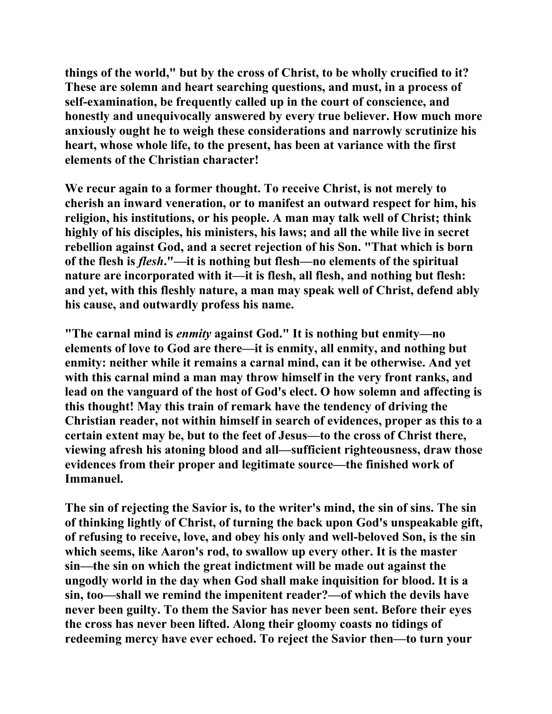**things of the world," but by the cross of Christ, to be wholly crucified to it? These are solemn and heart searching questions, and must, in a process of self-examination, be frequently called up in the court of conscience, and honestly and unequivocally answered by every true believer. How much more anxiously ought he to weigh these considerations and narrowly scrutinize his heart, whose whole life, to the present, has been at variance with the first elements of the Christian character!** 

**We recur again to a former thought. To receive Christ, is not merely to cherish an inward veneration, or to manifest an outward respect for him, his religion, his institutions, or his people. A man may talk well of Christ; think highly of his disciples, his ministers, his laws; and all the while live in secret rebellion against God, and a secret rejection of his Son. "That which is born of the flesh is** *flesh***."—it is nothing but flesh—no elements of the spiritual nature are incorporated with it—it is flesh, all flesh, and nothing but flesh: and yet, with this fleshly nature, a man may speak well of Christ, defend ably his cause, and outwardly profess his name.** 

**"The carnal mind is** *enmity* **against God." It is nothing but enmity—no elements of love to God are there—it is enmity, all enmity, and nothing but enmity: neither while it remains a carnal mind, can it be otherwise. And yet with this carnal mind a man may throw himself in the very front ranks, and lead on the vanguard of the host of God's elect. O how solemn and affecting is this thought! May this train of remark have the tendency of driving the Christian reader, not within himself in search of evidences, proper as this to a certain extent may be, but to the feet of Jesus—to the cross of Christ there, viewing afresh his atoning blood and all—sufficient righteousness, draw those evidences from their proper and legitimate source—the finished work of Immanuel.** 

**The sin of rejecting the Savior is, to the writer's mind, the sin of sins. The sin of thinking lightly of Christ, of turning the back upon God's unspeakable gift, of refusing to receive, love, and obey his only and well-beloved Son, is the sin which seems, like Aaron's rod, to swallow up every other. It is the master sin—the sin on which the great indictment will be made out against the ungodly world in the day when God shall make inquisition for blood. It is a sin, too—shall we remind the impenitent reader?—of which the devils have never been guilty. To them the Savior has never been sent. Before their eyes the cross has never been lifted. Along their gloomy coasts no tidings of redeeming mercy have ever echoed. To reject the Savior then—to turn your**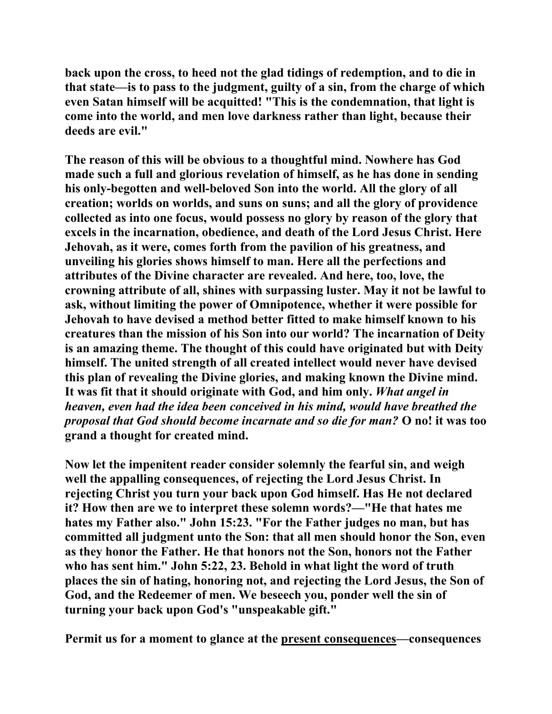**back upon the cross, to heed not the glad tidings of redemption, and to die in that state—is to pass to the judgment, guilty of a sin, from the charge of which even Satan himself will be acquitted! "This is the condemnation, that light is come into the world, and men love darkness rather than light, because their deeds are evil."** 

**The reason of this will be obvious to a thoughtful mind. Nowhere has God made such a full and glorious revelation of himself, as he has done in sending his only-begotten and well-beloved Son into the world. All the glory of all creation; worlds on worlds, and suns on suns; and all the glory of providence collected as into one focus, would possess no glory by reason of the glory that excels in the incarnation, obedience, and death of the Lord Jesus Christ. Here Jehovah, as it were, comes forth from the pavilion of his greatness, and unveiling his glories shows himself to man. Here all the perfections and attributes of the Divine character are revealed. And here, too, love, the crowning attribute of all, shines with surpassing luster. May it not be lawful to ask, without limiting the power of Omnipotence, whether it were possible for Jehovah to have devised a method better fitted to make himself known to his creatures than the mission of his Son into our world? The incarnation of Deity is an amazing theme. The thought of this could have originated but with Deity himself. The united strength of all created intellect would never have devised this plan of revealing the Divine glories, and making known the Divine mind. It was fit that it should originate with God, and him only.** *What angel in heaven, even had the idea been conceived in his mind, would have breathed the proposal that God should become incarnate and so die for man?* **O no! it was too grand a thought for created mind.** 

**Now let the impenitent reader consider solemnly the fearful sin, and weigh well the appalling consequences, of rejecting the Lord Jesus Christ. In rejecting Christ you turn your back upon God himself. Has He not declared it? How then are we to interpret these solemn words?—"He that hates me hates my Father also." John 15:23. "For the Father judges no man, but has committed all judgment unto the Son: that all men should honor the Son, even as they honor the Father. He that honors not the Son, honors not the Father who has sent him." John 5:22, 23. Behold in what light the word of truth places the sin of hating, honoring not, and rejecting the Lord Jesus, the Son of God, and the Redeemer of men. We beseech you, ponder well the sin of turning your back upon God's "unspeakable gift."** 

**Permit us for a moment to glance at the present consequences—consequences**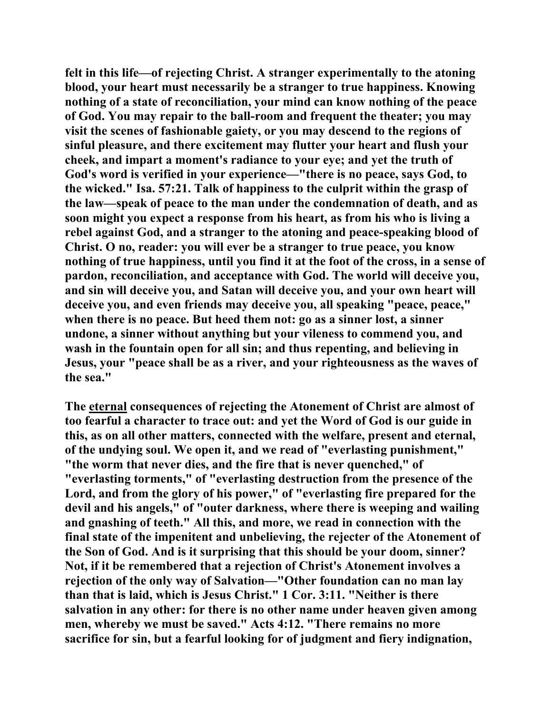**felt in this life—of rejecting Christ. A stranger experimentally to the atoning blood, your heart must necessarily be a stranger to true happiness. Knowing nothing of a state of reconciliation, your mind can know nothing of the peace of God. You may repair to the ball-room and frequent the theater; you may visit the scenes of fashionable gaiety, or you may descend to the regions of sinful pleasure, and there excitement may flutter your heart and flush your cheek, and impart a moment's radiance to your eye; and yet the truth of God's word is verified in your experience—"there is no peace, says God, to the wicked." Isa. 57:21. Talk of happiness to the culprit within the grasp of the law—speak of peace to the man under the condemnation of death, and as soon might you expect a response from his heart, as from his who is living a rebel against God, and a stranger to the atoning and peace-speaking blood of Christ. O no, reader: you will ever be a stranger to true peace, you know nothing of true happiness, until you find it at the foot of the cross, in a sense of pardon, reconciliation, and acceptance with God. The world will deceive you, and sin will deceive you, and Satan will deceive you, and your own heart will deceive you, and even friends may deceive you, all speaking "peace, peace," when there is no peace. But heed them not: go as a sinner lost, a sinner undone, a sinner without anything but your vileness to commend you, and wash in the fountain open for all sin; and thus repenting, and believing in Jesus, your "peace shall be as a river, and your righteousness as the waves of the sea."** 

**The eternal consequences of rejecting the Atonement of Christ are almost of too fearful a character to trace out: and yet the Word of God is our guide in this, as on all other matters, connected with the welfare, present and eternal, of the undying soul. We open it, and we read of "everlasting punishment," "the worm that never dies, and the fire that is never quenched," of "everlasting torments," of "everlasting destruction from the presence of the Lord, and from the glory of his power," of "everlasting fire prepared for the devil and his angels," of "outer darkness, where there is weeping and wailing and gnashing of teeth." All this, and more, we read in connection with the final state of the impenitent and unbelieving, the rejecter of the Atonement of the Son of God. And is it surprising that this should be your doom, sinner? Not, if it be remembered that a rejection of Christ's Atonement involves a rejection of the only way of Salvation—"Other foundation can no man lay than that is laid, which is Jesus Christ." 1 Cor. 3:11. "Neither is there salvation in any other: for there is no other name under heaven given among men, whereby we must be saved." Acts 4:12. "There remains no more sacrifice for sin, but a fearful looking for of judgment and fiery indignation,**